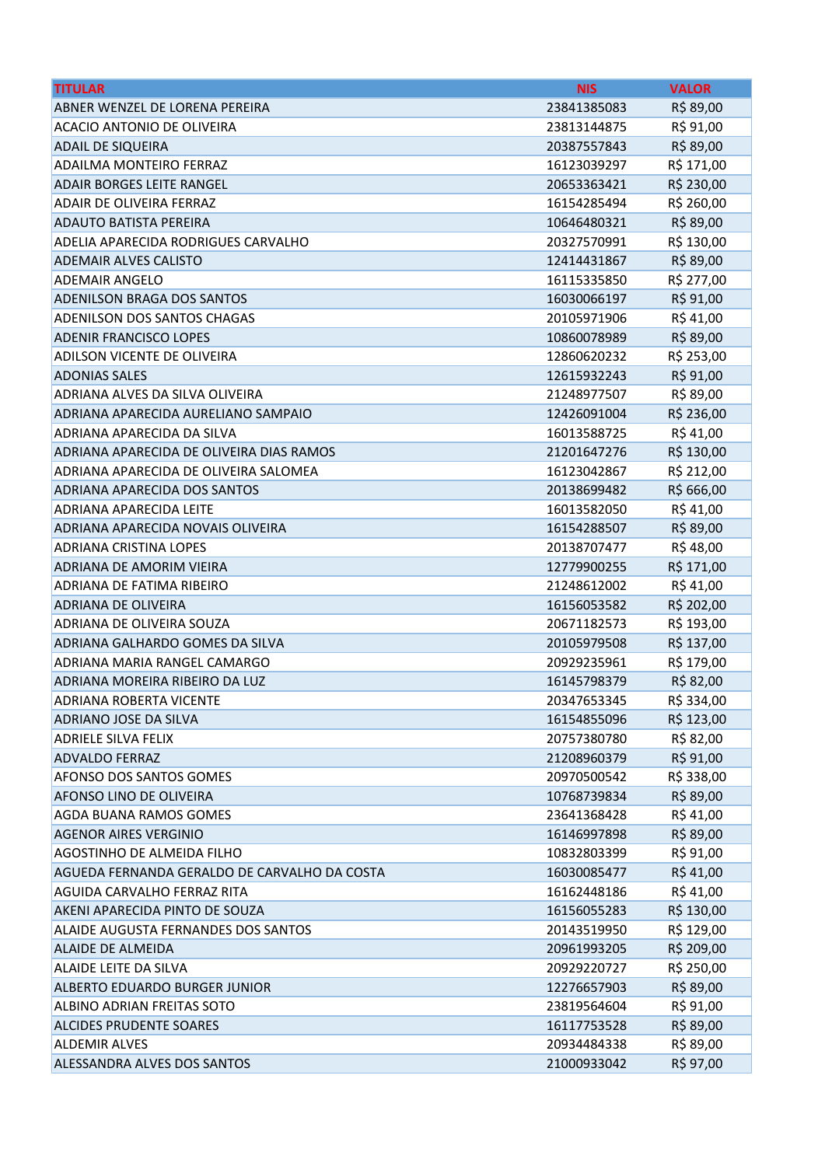| <b>TITULAR</b>                               | <b>NIS</b>  | <b>VALOR</b> |
|----------------------------------------------|-------------|--------------|
| ABNER WENZEL DE LORENA PEREIRA               | 23841385083 | R\$ 89,00    |
| ACACIO ANTONIO DE OLIVEIRA                   | 23813144875 | R\$ 91,00    |
| <b>ADAIL DE SIQUEIRA</b>                     | 20387557843 | R\$ 89,00    |
| <b>ADAILMA MONTEIRO FERRAZ</b>               | 16123039297 | R\$ 171,00   |
| <b>ADAIR BORGES LEITE RANGEL</b>             | 20653363421 | R\$ 230,00   |
| ADAIR DE OLIVEIRA FERRAZ                     | 16154285494 | R\$ 260,00   |
| <b>ADAUTO BATISTA PEREIRA</b>                | 10646480321 | R\$ 89,00    |
| ADELIA APARECIDA RODRIGUES CARVALHO          | 20327570991 | R\$ 130,00   |
| <b>ADEMAIR ALVES CALISTO</b>                 | 12414431867 | R\$ 89,00    |
| <b>ADEMAIR ANGELO</b>                        | 16115335850 | R\$ 277,00   |
| <b>ADENILSON BRAGA DOS SANTOS</b>            | 16030066197 | R\$ 91,00    |
| ADENILSON DOS SANTOS CHAGAS                  | 20105971906 | R\$41,00     |
| <b>ADENIR FRANCISCO LOPES</b>                | 10860078989 | R\$ 89,00    |
| ADILSON VICENTE DE OLIVEIRA                  | 12860620232 | R\$ 253,00   |
| <b>ADONIAS SALES</b>                         | 12615932243 | R\$ 91,00    |
| ADRIANA ALVES DA SILVA OLIVEIRA              | 21248977507 | R\$ 89,00    |
| ADRIANA APARECIDA AURELIANO SAMPAIO          | 12426091004 | R\$ 236,00   |
| ADRIANA APARECIDA DA SILVA                   | 16013588725 | R\$41,00     |
| ADRIANA APARECIDA DE OLIVEIRA DIAS RAMOS     | 21201647276 | R\$ 130,00   |
| ADRIANA APARECIDA DE OLIVEIRA SALOMEA        | 16123042867 | R\$ 212,00   |
| ADRIANA APARECIDA DOS SANTOS                 | 20138699482 | R\$ 666,00   |
| ADRIANA APARECIDA LEITE                      | 16013582050 | R\$41,00     |
| ADRIANA APARECIDA NOVAIS OLIVEIRA            | 16154288507 | R\$ 89,00    |
| <b>ADRIANA CRISTINA LOPES</b>                | 20138707477 | R\$48,00     |
| <b>ADRIANA DE AMORIM VIEIRA</b>              | 12779900255 | R\$ 171,00   |
| ADRIANA DE FATIMA RIBEIRO                    | 21248612002 | R\$41,00     |
| <b>ADRIANA DE OLIVEIRA</b>                   | 16156053582 | R\$ 202,00   |
| ADRIANA DE OLIVEIRA SOUZA                    | 20671182573 | R\$ 193,00   |
| ADRIANA GALHARDO GOMES DA SILVA              | 20105979508 | R\$ 137,00   |
| ADRIANA MARIA RANGEL CAMARGO                 | 20929235961 | R\$ 179,00   |
| ADRIANA MOREIRA RIBEIRO DA LUZ               | 16145798379 | R\$ 82,00    |
| ADRIANA ROBERTA VICENTE                      | 20347653345 | R\$ 334,00   |
| <b>ADRIANO JOSE DA SILVA</b>                 | 16154855096 | R\$ 123,00   |
| <b>ADRIELE SILVA FELIX</b>                   | 20757380780 | R\$ 82,00    |
| <b>ADVALDO FERRAZ</b>                        | 21208960379 | R\$ 91,00    |
| <b>AFONSO DOS SANTOS GOMES</b>               | 20970500542 | R\$ 338,00   |
| AFONSO LINO DE OLIVEIRA                      | 10768739834 | R\$ 89,00    |
| AGDA BUANA RAMOS GOMES                       | 23641368428 | R\$41,00     |
| <b>AGENOR AIRES VERGINIO</b>                 | 16146997898 | R\$ 89,00    |
| AGOSTINHO DE ALMEIDA FILHO                   | 10832803399 | R\$ 91,00    |
| AGUEDA FERNANDA GERALDO DE CARVALHO DA COSTA | 16030085477 | R\$41,00     |
| AGUIDA CARVALHO FERRAZ RITA                  | 16162448186 | R\$ 41,00    |
| AKENI APARECIDA PINTO DE SOUZA               | 16156055283 | R\$ 130,00   |
| ALAIDE AUGUSTA FERNANDES DOS SANTOS          | 20143519950 | R\$ 129,00   |
| <b>ALAIDE DE ALMEIDA</b>                     | 20961993205 | R\$ 209,00   |
| ALAIDE LEITE DA SILVA                        | 20929220727 | R\$ 250,00   |
| ALBERTO EDUARDO BURGER JUNIOR                | 12276657903 | R\$ 89,00    |
| ALBINO ADRIAN FREITAS SOTO                   | 23819564604 | R\$ 91,00    |
| <b>ALCIDES PRUDENTE SOARES</b>               | 16117753528 | R\$ 89,00    |
| <b>ALDEMIR ALVES</b>                         | 20934484338 | R\$ 89,00    |
| ALESSANDRA ALVES DOS SANTOS                  | 21000933042 | R\$ 97,00    |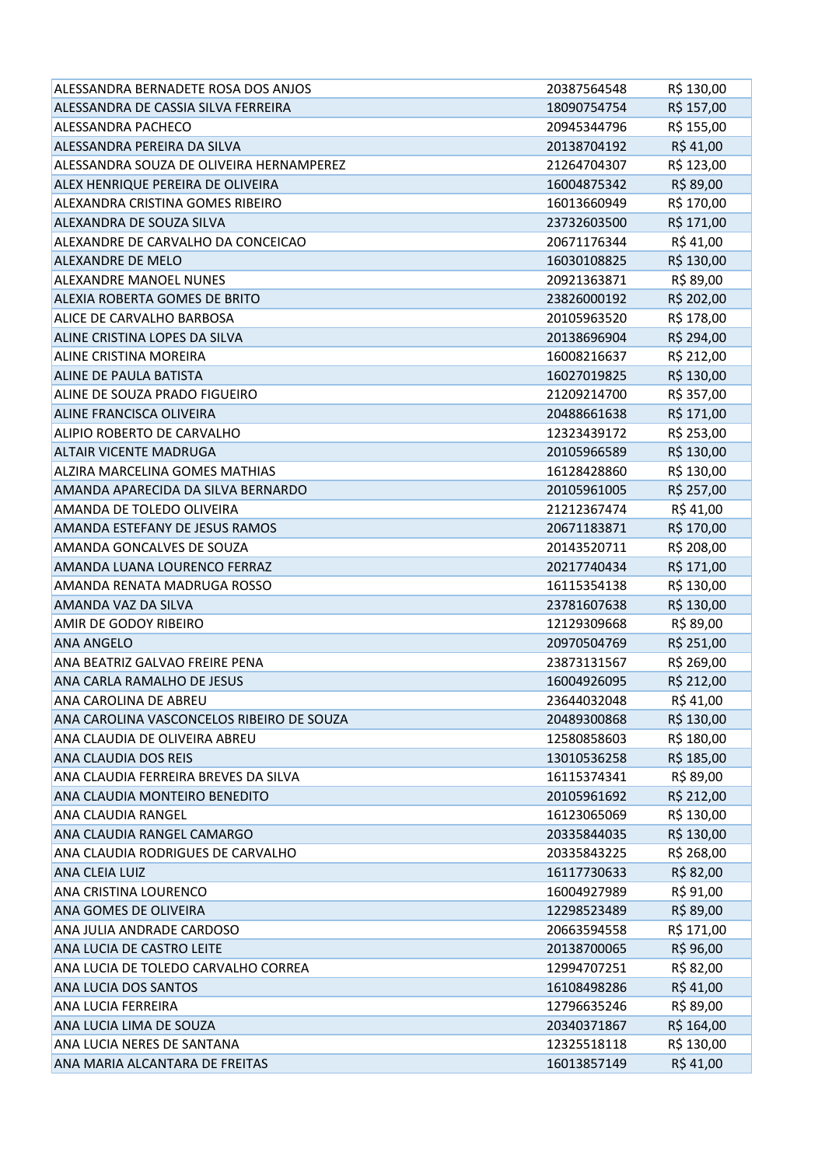| ALESSANDRA BERNADETE ROSA DOS ANJOS       | 20387564548 | R\$ 130,00 |
|-------------------------------------------|-------------|------------|
| ALESSANDRA DE CASSIA SILVA FERREIRA       | 18090754754 | R\$ 157,00 |
| <b>ALESSANDRA PACHECO</b>                 | 20945344796 | R\$ 155,00 |
| ALESSANDRA PEREIRA DA SILVA               | 20138704192 | R\$41,00   |
| ALESSANDRA SOUZA DE OLIVEIRA HERNAMPEREZ  | 21264704307 | R\$ 123,00 |
| ALEX HENRIQUE PEREIRA DE OLIVEIRA         | 16004875342 | R\$ 89,00  |
| ALEXANDRA CRISTINA GOMES RIBEIRO          | 16013660949 | R\$ 170,00 |
| ALEXANDRA DE SOUZA SILVA                  | 23732603500 | R\$ 171,00 |
| ALEXANDRE DE CARVALHO DA CONCEICAO        | 20671176344 | R\$41,00   |
| <b>ALEXANDRE DE MELO</b>                  | 16030108825 | R\$ 130,00 |
| <b>ALEXANDRE MANOEL NUNES</b>             | 20921363871 | R\$ 89,00  |
| ALEXIA ROBERTA GOMES DE BRITO             | 23826000192 | R\$ 202,00 |
| ALICE DE CARVALHO BARBOSA                 | 20105963520 | R\$ 178,00 |
| ALINE CRISTINA LOPES DA SILVA             | 20138696904 | R\$ 294,00 |
| <b>ALINE CRISTINA MOREIRA</b>             | 16008216637 | R\$ 212,00 |
| ALINE DE PAULA BATISTA                    | 16027019825 | R\$ 130,00 |
| ALINE DE SOUZA PRADO FIGUEIRO             | 21209214700 | R\$ 357,00 |
| <b>ALINE FRANCISCA OLIVEIRA</b>           | 20488661638 | R\$ 171,00 |
| ALIPIO ROBERTO DE CARVALHO                | 12323439172 | R\$ 253,00 |
| <b>ALTAIR VICENTE MADRUGA</b>             | 20105966589 | R\$ 130,00 |
| <b>ALZIRA MARCELINA GOMES MATHIAS</b>     | 16128428860 | R\$ 130,00 |
| AMANDA APARECIDA DA SILVA BERNARDO        | 20105961005 | R\$ 257,00 |
| AMANDA DE TOLEDO OLIVEIRA                 | 21212367474 | R\$41,00   |
| AMANDA ESTEFANY DE JESUS RAMOS            | 20671183871 | R\$ 170,00 |
| AMANDA GONCALVES DE SOUZA                 | 20143520711 | R\$ 208,00 |
| AMANDA LUANA LOURENCO FERRAZ              | 20217740434 | R\$ 171,00 |
| AMANDA RENATA MADRUGA ROSSO               | 16115354138 | R\$ 130,00 |
| AMANDA VAZ DA SILVA                       | 23781607638 | R\$ 130,00 |
| AMIR DE GODOY RIBEIRO                     | 12129309668 | R\$ 89,00  |
| <b>ANA ANGELO</b>                         | 20970504769 | R\$ 251,00 |
| ANA BEATRIZ GALVAO FREIRE PENA            | 23873131567 | R\$ 269,00 |
| ANA CARLA RAMALHO DE JESUS                | 16004926095 | R\$ 212,00 |
| ANA CAROLINA DE ABREU                     | 23644032048 | R\$ 41,00  |
| ANA CAROLINA VASCONCELOS RIBEIRO DE SOUZA | 20489300868 | R\$ 130,00 |
| ANA CLAUDIA DE OLIVEIRA ABREU             | 12580858603 | R\$ 180,00 |
| <b>ANA CLAUDIA DOS REIS</b>               | 13010536258 | R\$ 185,00 |
| ANA CLAUDIA FERREIRA BREVES DA SILVA      | 16115374341 | R\$ 89,00  |
| ANA CLAUDIA MONTEIRO BENEDITO             | 20105961692 | R\$ 212,00 |
| <b>ANA CLAUDIA RANGEL</b>                 | 16123065069 | R\$ 130,00 |
| ANA CLAUDIA RANGEL CAMARGO                | 20335844035 | R\$ 130,00 |
| ANA CLAUDIA RODRIGUES DE CARVALHO         | 20335843225 | R\$ 268,00 |
| <b>ANA CLEIA LUIZ</b>                     | 16117730633 | R\$ 82,00  |
| ANA CRISTINA LOURENCO                     | 16004927989 | R\$ 91,00  |
| ANA GOMES DE OLIVEIRA                     | 12298523489 | R\$ 89,00  |
| ANA JULIA ANDRADE CARDOSO                 | 20663594558 | R\$ 171,00 |
| ANA LUCIA DE CASTRO LEITE                 | 20138700065 | R\$ 96,00  |
| ANA LUCIA DE TOLEDO CARVALHO CORREA       | 12994707251 | R\$ 82,00  |
| <b>ANA LUCIA DOS SANTOS</b>               | 16108498286 | R\$41,00   |
| <b>ANA LUCIA FERREIRA</b>                 | 12796635246 | R\$ 89,00  |
| ANA LUCIA LIMA DE SOUZA                   | 20340371867 | R\$ 164,00 |
| ANA LUCIA NERES DE SANTANA                | 12325518118 | R\$ 130,00 |
| ANA MARIA ALCANTARA DE FREITAS            | 16013857149 | R\$41,00   |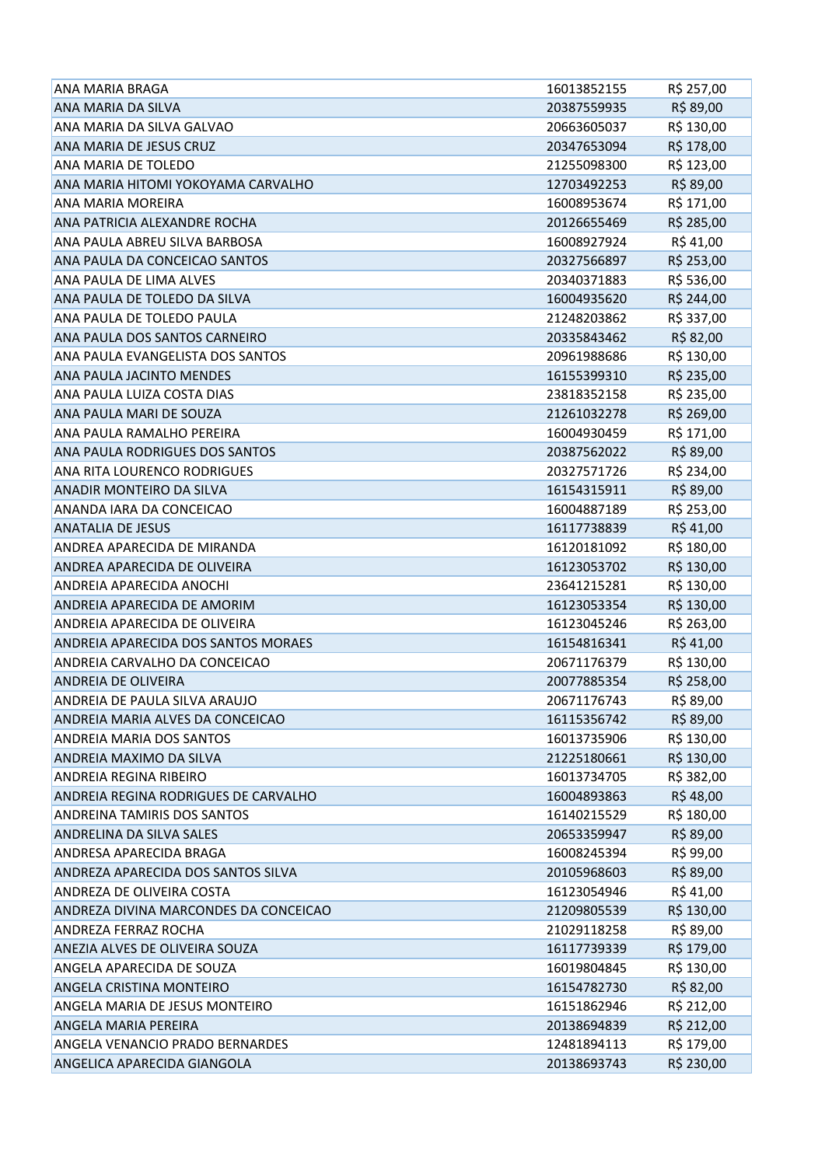| <b>ANA MARIA BRAGA</b>                 | 16013852155 | R\$ 257,00 |
|----------------------------------------|-------------|------------|
| <b>ANA MARIA DA SILVA</b>              | 20387559935 | R\$ 89,00  |
| ANA MARIA DA SILVA GALVAO              | 20663605037 | R\$ 130,00 |
| ANA MARIA DE JESUS CRUZ                | 20347653094 | R\$ 178,00 |
| <b>ANA MARIA DE TOLEDO</b>             | 21255098300 | R\$ 123,00 |
| ANA MARIA HITOMI YOKOYAMA CARVALHO     | 12703492253 | R\$ 89,00  |
| <b>ANA MARIA MOREIRA</b>               | 16008953674 | R\$ 171,00 |
| ANA PATRICIA ALEXANDRE ROCHA           | 20126655469 | R\$ 285,00 |
| ANA PAULA ABREU SILVA BARBOSA          | 16008927924 | R\$41,00   |
| ANA PAULA DA CONCEICAO SANTOS          | 20327566897 | R\$ 253,00 |
| <b>ANA PAULA DE LIMA ALVES</b>         | 20340371883 | R\$ 536,00 |
| ANA PAULA DE TOLEDO DA SILVA           | 16004935620 | R\$ 244,00 |
| ANA PAULA DE TOLEDO PAULA              | 21248203862 | R\$ 337,00 |
| ANA PAULA DOS SANTOS CARNEIRO          | 20335843462 | R\$ 82,00  |
| ANA PAULA EVANGELISTA DOS SANTOS       | 20961988686 | R\$ 130,00 |
| <b>ANA PAULA JACINTO MENDES</b>        | 16155399310 | R\$ 235,00 |
| ANA PAULA LUIZA COSTA DIAS             | 23818352158 | R\$ 235,00 |
| ANA PAULA MARI DE SOUZA                | 21261032278 | R\$ 269,00 |
| ANA PAULA RAMALHO PEREIRA              | 16004930459 | R\$ 171,00 |
| ANA PAULA RODRIGUES DOS SANTOS         | 20387562022 | R\$ 89,00  |
| <b>ANA RITA LOURENCO RODRIGUES</b>     | 20327571726 | R\$ 234,00 |
| <b>ANADIR MONTEIRO DA SILVA</b>        | 16154315911 | R\$ 89,00  |
| ANANDA IARA DA CONCEICAO               | 16004887189 | R\$ 253,00 |
| <b>ANATALIA DE JESUS</b>               | 16117738839 | R\$41,00   |
| <b>ANDREA APARECIDA DE MIRANDA</b>     | 16120181092 | R\$ 180,00 |
| ANDREA APARECIDA DE OLIVEIRA           | 16123053702 | R\$ 130,00 |
| <b>ANDREIA APARECIDA ANOCHI</b>        | 23641215281 | R\$ 130,00 |
| ANDREIA APARECIDA DE AMORIM            | 16123053354 | R\$ 130,00 |
| <b>ANDREIA APARECIDA DE OLIVEIRA</b>   | 16123045246 | R\$ 263,00 |
| ANDREIA APARECIDA DOS SANTOS MORAES    | 16154816341 | R\$ 41,00  |
| ANDREIA CARVALHO DA CONCEICAO          | 20671176379 | R\$ 130,00 |
| <b>ANDREIA DE OLIVEIRA</b>             | 20077885354 | R\$ 258,00 |
| ANDREIA DE PAULA SILVA ARAUJO          | 20671176743 | R\$ 89,00  |
| ANDREIA MARIA ALVES DA CONCEICAO       | 16115356742 | R\$ 89,00  |
| <b>ANDREIA MARIA DOS SANTOS</b>        | 16013735906 | R\$ 130,00 |
| ANDREIA MAXIMO DA SILVA                | 21225180661 | R\$ 130,00 |
| <b>ANDREIA REGINA RIBEIRO</b>          | 16013734705 | R\$ 382,00 |
| ANDREIA REGINA RODRIGUES DE CARVALHO   | 16004893863 | R\$48,00   |
| <b>ANDREINA TAMIRIS DOS SANTOS</b>     | 16140215529 | R\$ 180,00 |
| <b>ANDRELINA DA SILVA SALES</b>        | 20653359947 | R\$ 89,00  |
| ANDRESA APARECIDA BRAGA                | 16008245394 | R\$ 99,00  |
| ANDREZA APARECIDA DOS SANTOS SILVA     | 20105968603 | R\$ 89,00  |
| ANDREZA DE OLIVEIRA COSTA              | 16123054946 | R\$ 41,00  |
| ANDREZA DIVINA MARCONDES DA CONCEICAO  | 21209805539 | R\$ 130,00 |
| <b>ANDREZA FERRAZ ROCHA</b>            | 21029118258 | R\$ 89,00  |
| ANEZIA ALVES DE OLIVEIRA SOUZA         | 16117739339 | R\$ 179,00 |
| ANGELA APARECIDA DE SOUZA              | 16019804845 | R\$ 130,00 |
| <b>ANGELA CRISTINA MONTEIRO</b>        | 16154782730 | R\$ 82,00  |
| ANGELA MARIA DE JESUS MONTEIRO         | 16151862946 | R\$ 212,00 |
| <b>ANGELA MARIA PEREIRA</b>            | 20138694839 | R\$ 212,00 |
| <b>ANGELA VENANCIO PRADO BERNARDES</b> | 12481894113 | R\$ 179,00 |
| ANGELICA APARECIDA GIANGOLA            | 20138693743 | R\$ 230,00 |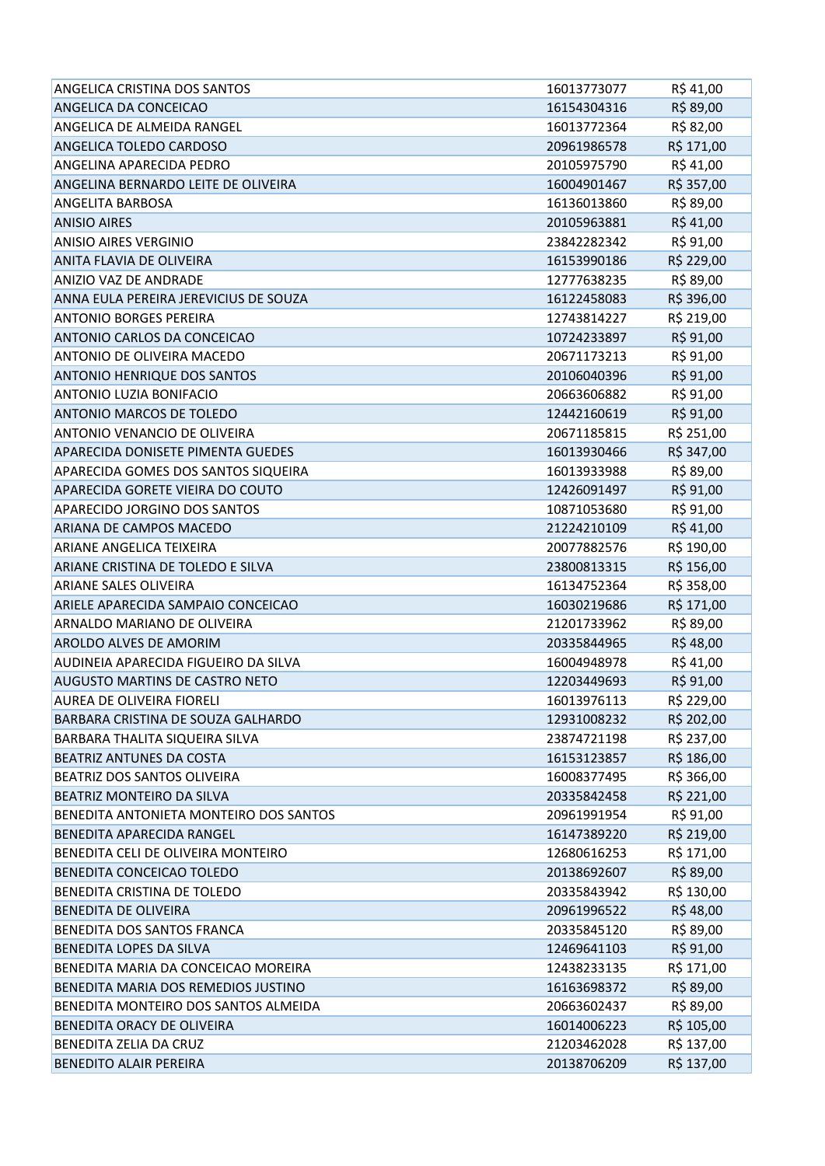| ANGELICA CRISTINA DOS SANTOS           | 16013773077 | R\$41,00   |
|----------------------------------------|-------------|------------|
| ANGELICA DA CONCEICAO                  | 16154304316 | R\$ 89,00  |
| ANGELICA DE ALMEIDA RANGEL             | 16013772364 | R\$ 82,00  |
| ANGELICA TOLEDO CARDOSO                | 20961986578 | R\$ 171,00 |
| <b>ANGELINA APARECIDA PEDRO</b>        | 20105975790 | R\$ 41,00  |
| ANGELINA BERNARDO LEITE DE OLIVEIRA    | 16004901467 | R\$ 357,00 |
| <b>ANGELITA BARBOSA</b>                | 16136013860 | R\$ 89,00  |
| <b>ANISIO AIRES</b>                    | 20105963881 | R\$41,00   |
| <b>ANISIO AIRES VERGINIO</b>           | 23842282342 | R\$ 91,00  |
| <b>ANITA FLAVIA DE OLIVEIRA</b>        | 16153990186 | R\$ 229,00 |
| <b>ANIZIO VAZ DE ANDRADE</b>           | 12777638235 | R\$ 89,00  |
| ANNA EULA PEREIRA JEREVICIUS DE SOUZA  | 16122458083 | R\$ 396,00 |
| <b>ANTONIO BORGES PEREIRA</b>          | 12743814227 | R\$ 219,00 |
| ANTONIO CARLOS DA CONCEICAO            | 10724233897 | R\$ 91,00  |
| ANTONIO DE OLIVEIRA MACEDO             | 20671173213 | R\$ 91,00  |
| <b>ANTONIO HENRIQUE DOS SANTOS</b>     | 20106040396 | R\$ 91,00  |
| <b>ANTONIO LUZIA BONIFACIO</b>         | 20663606882 | R\$ 91,00  |
| <b>ANTONIO MARCOS DE TOLEDO</b>        | 12442160619 | R\$ 91,00  |
| ANTONIO VENANCIO DE OLIVEIRA           | 20671185815 | R\$ 251,00 |
| APARECIDA DONISETE PIMENTA GUEDES      | 16013930466 | R\$ 347,00 |
| APARECIDA GOMES DOS SANTOS SIQUEIRA    | 16013933988 | R\$ 89,00  |
| APARECIDA GORETE VIEIRA DO COUTO       | 12426091497 | R\$ 91,00  |
| APARECIDO JORGINO DOS SANTOS           | 10871053680 | R\$ 91,00  |
| <b>ARIANA DE CAMPOS MACEDO</b>         | 21224210109 | R\$41,00   |
| <b>ARIANE ANGELICA TEIXEIRA</b>        | 20077882576 | R\$ 190,00 |
| ARIANE CRISTINA DE TOLEDO E SILVA      | 23800813315 | R\$ 156,00 |
| <b>ARIANE SALES OLIVEIRA</b>           | 16134752364 | R\$ 358,00 |
| ARIELE APARECIDA SAMPAIO CONCEICAO     | 16030219686 | R\$ 171,00 |
| ARNALDO MARIANO DE OLIVEIRA            | 21201733962 | R\$ 89,00  |
| <b>AROLDO ALVES DE AMORIM</b>          | 20335844965 | R\$48,00   |
| AUDINEIA APARECIDA FIGUEIRO DA SILVA   | 16004948978 | R\$41,00   |
| <b>AUGUSTO MARTINS DE CASTRO NETO</b>  | 12203449693 | R\$ 91,00  |
| AUREA DE OLIVEIRA FIORELI              | 16013976113 | R\$ 229,00 |
| BARBARA CRISTINA DE SOUZA GALHARDO     | 12931008232 | R\$ 202,00 |
| BARBARA THALITA SIQUEIRA SILVA         | 23874721198 | R\$ 237,00 |
| BEATRIZ ANTUNES DA COSTA               | 16153123857 | R\$ 186,00 |
| BEATRIZ DOS SANTOS OLIVEIRA            | 16008377495 | R\$ 366,00 |
| BEATRIZ MONTEIRO DA SILVA              | 20335842458 | R\$ 221,00 |
| BENEDITA ANTONIETA MONTEIRO DOS SANTOS | 20961991954 | R\$ 91,00  |
| BENEDITA APARECIDA RANGEL              | 16147389220 | R\$ 219,00 |
| BENEDITA CELI DE OLIVEIRA MONTEIRO     | 12680616253 | R\$ 171,00 |
| BENEDITA CONCEICAO TOLEDO              | 20138692607 | R\$ 89,00  |
| BENEDITA CRISTINA DE TOLEDO            | 20335843942 | R\$ 130,00 |
| <b>BENEDITA DE OLIVEIRA</b>            | 20961996522 | R\$48,00   |
| BENEDITA DOS SANTOS FRANCA             | 20335845120 | R\$ 89,00  |
| <b>BENEDITA LOPES DA SILVA</b>         | 12469641103 | R\$ 91,00  |
| BENEDITA MARIA DA CONCEICAO MOREIRA    | 12438233135 | R\$ 171,00 |
| BENEDITA MARIA DOS REMEDIOS JUSTINO    | 16163698372 | R\$ 89,00  |
| BENEDITA MONTEIRO DOS SANTOS ALMEIDA   | 20663602437 | R\$ 89,00  |
| BENEDITA ORACY DE OLIVEIRA             | 16014006223 | R\$ 105,00 |
| BENEDITA ZELIA DA CRUZ                 | 21203462028 | R\$ 137,00 |
| BENEDITO ALAIR PEREIRA                 | 20138706209 | R\$ 137,00 |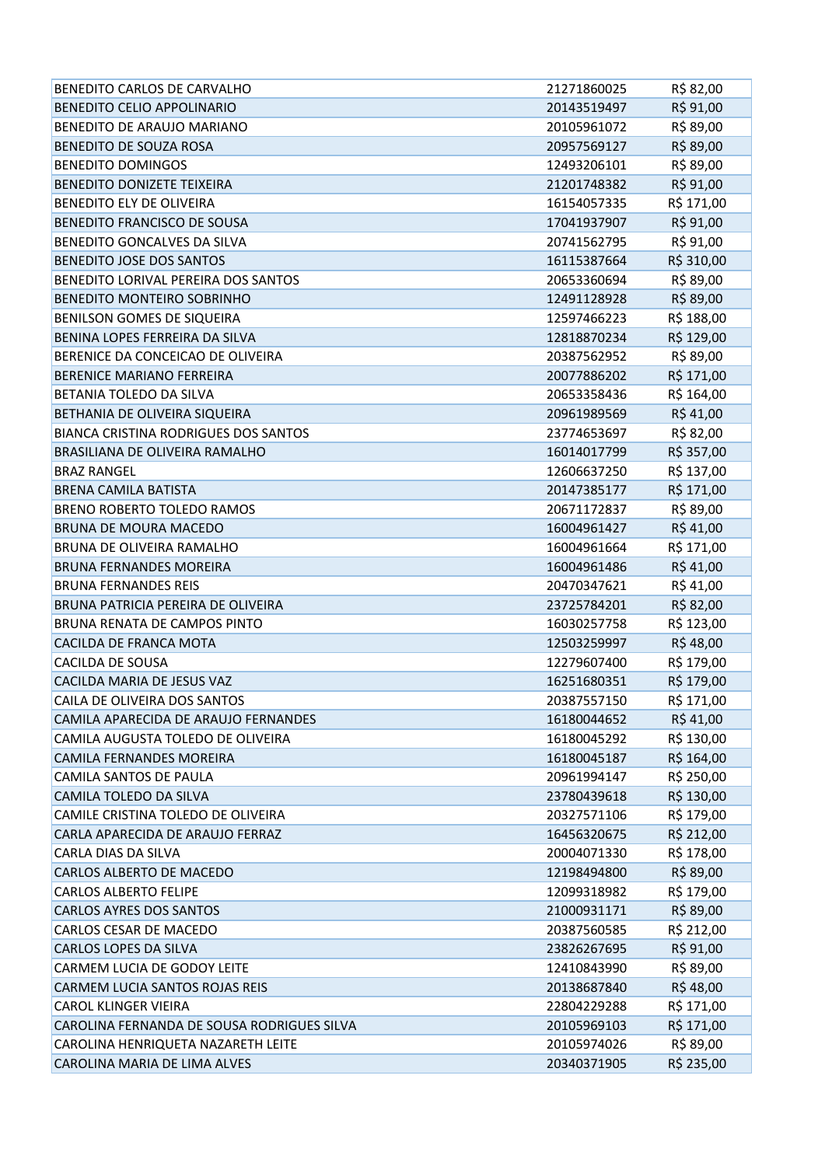| BENEDITO CARLOS DE CARVALHO                 | 21271860025 | R\$ 82,00  |
|---------------------------------------------|-------------|------------|
| <b>BENEDITO CELIO APPOLINARIO</b>           | 20143519497 | R\$ 91,00  |
| BENEDITO DE ARAUJO MARIANO                  | 20105961072 | R\$ 89,00  |
| BENEDITO DE SOUZA ROSA                      | 20957569127 | R\$ 89,00  |
| <b>BENEDITO DOMINGOS</b>                    | 12493206101 | R\$ 89,00  |
| BENEDITO DONIZETE TEIXEIRA                  | 21201748382 | R\$ 91,00  |
| BENEDITO ELY DE OLIVEIRA                    | 16154057335 | R\$ 171,00 |
| BENEDITO FRANCISCO DE SOUSA                 | 17041937907 | R\$ 91,00  |
| BENEDITO GONCALVES DA SILVA                 | 20741562795 | R\$ 91,00  |
| BENEDITO JOSE DOS SANTOS                    | 16115387664 | R\$ 310,00 |
| BENEDITO LORIVAL PEREIRA DOS SANTOS         | 20653360694 | R\$ 89,00  |
| <b>BENEDITO MONTEIRO SOBRINHO</b>           | 12491128928 | R\$ 89,00  |
| BENILSON GOMES DE SIQUEIRA                  | 12597466223 | R\$ 188,00 |
| BENINA LOPES FERREIRA DA SILVA              | 12818870234 | R\$ 129,00 |
| BERENICE DA CONCEICAO DE OLIVEIRA           | 20387562952 | R\$ 89,00  |
| BERENICE MARIANO FERREIRA                   | 20077886202 | R\$ 171,00 |
| BETANIA TOLEDO DA SILVA                     | 20653358436 | R\$ 164,00 |
| BETHANIA DE OLIVEIRA SIQUEIRA               | 20961989569 | R\$41,00   |
| <b>BIANCA CRISTINA RODRIGUES DOS SANTOS</b> | 23774653697 | R\$ 82,00  |
| BRASILIANA DE OLIVEIRA RAMALHO              | 16014017799 | R\$ 357,00 |
| <b>BRAZ RANGEL</b>                          | 12606637250 | R\$ 137,00 |
| <b>BRENA CAMILA BATISTA</b>                 | 20147385177 | R\$ 171,00 |
| <b>BRENO ROBERTO TOLEDO RAMOS</b>           | 20671172837 | R\$ 89,00  |
| BRUNA DE MOURA MACEDO                       | 16004961427 | R\$41,00   |
| BRUNA DE OLIVEIRA RAMALHO                   | 16004961664 | R\$ 171,00 |
| <b>BRUNA FERNANDES MOREIRA</b>              | 16004961486 | R\$ 41,00  |
| <b>BRUNA FERNANDES REIS</b>                 | 20470347621 | R\$ 41,00  |
| BRUNA PATRICIA PEREIRA DE OLIVEIRA          | 23725784201 | R\$ 82,00  |
| BRUNA RENATA DE CAMPOS PINTO                | 16030257758 | R\$ 123,00 |
| CACILDA DE FRANCA MOTA                      | 12503259997 | R\$48,00   |
| CACILDA DE SOUSA                            | 12279607400 | R\$ 179,00 |
| CACILDA MARIA DE JESUS VAZ                  | 16251680351 | R\$ 179,00 |
| CAILA DE OLIVEIRA DOS SANTOS                | 20387557150 | R\$ 171,00 |
| CAMILA APARECIDA DE ARAUJO FERNANDES        | 16180044652 | R\$ 41,00  |
| CAMILA AUGUSTA TOLEDO DE OLIVEIRA           | 16180045292 | R\$ 130,00 |
| CAMILA FERNANDES MOREIRA                    | 16180045187 | R\$ 164,00 |
| CAMILA SANTOS DE PAULA                      | 20961994147 | R\$ 250,00 |
| CAMILA TOLEDO DA SILVA                      | 23780439618 | R\$ 130,00 |
| CAMILE CRISTINA TOLEDO DE OLIVEIRA          | 20327571106 | R\$ 179,00 |
| CARLA APARECIDA DE ARAUJO FERRAZ            | 16456320675 | R\$ 212,00 |
| CARLA DIAS DA SILVA                         | 20004071330 | R\$ 178,00 |
| CARLOS ALBERTO DE MACEDO                    | 12198494800 | R\$ 89,00  |
| <b>CARLOS ALBERTO FELIPE</b>                | 12099318982 | R\$ 179,00 |
| <b>CARLOS AYRES DOS SANTOS</b>              | 21000931171 | R\$ 89,00  |
| CARLOS CESAR DE MACEDO                      | 20387560585 | R\$ 212,00 |
| CARLOS LOPES DA SILVA                       | 23826267695 | R\$ 91,00  |
| CARMEM LUCIA DE GODOY LEITE                 | 12410843990 | R\$ 89,00  |
| CARMEM LUCIA SANTOS ROJAS REIS              | 20138687840 | R\$48,00   |
| <b>CAROL KLINGER VIEIRA</b>                 | 22804229288 | R\$ 171,00 |
| CAROLINA FERNANDA DE SOUSA RODRIGUES SILVA  | 20105969103 | R\$ 171,00 |
| CAROLINA HENRIQUETA NAZARETH LEITE          | 20105974026 | R\$ 89,00  |
| CAROLINA MARIA DE LIMA ALVES                | 20340371905 | R\$ 235,00 |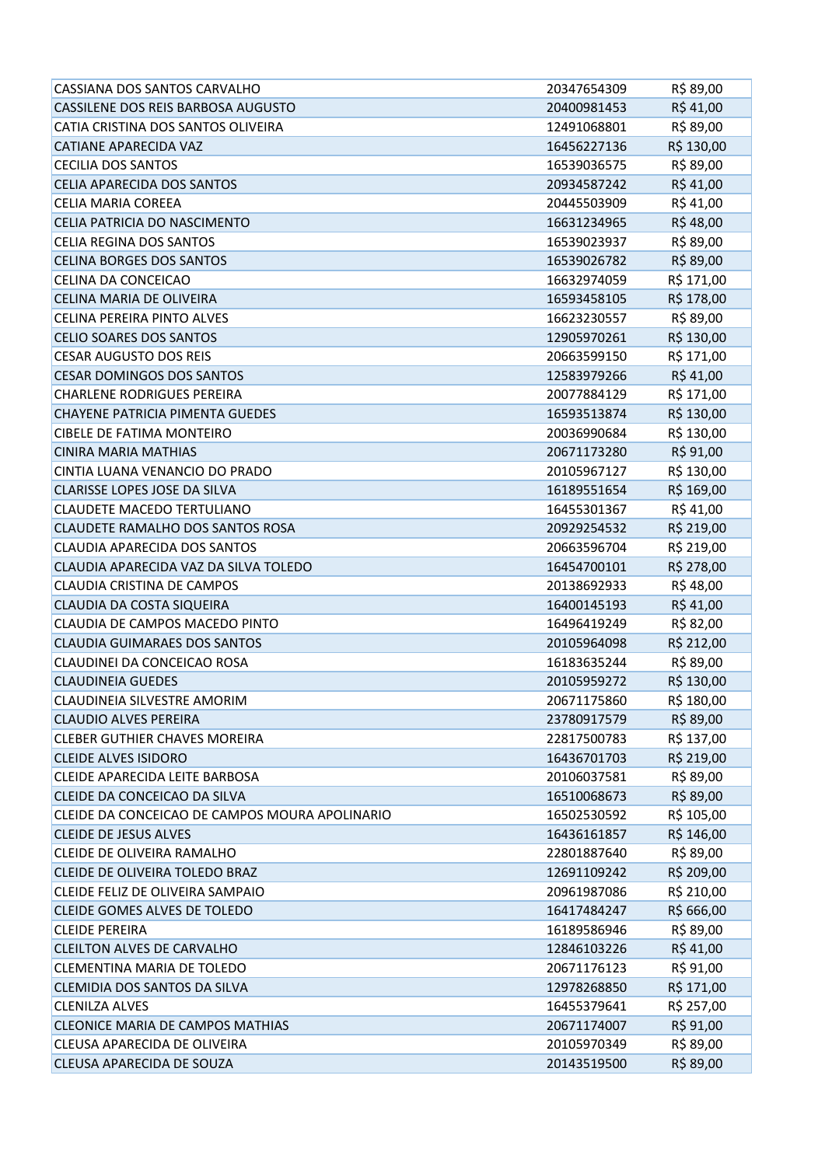| CASSIANA DOS SANTOS CARVALHO                   | 20347654309 | R\$ 89,00  |
|------------------------------------------------|-------------|------------|
| CASSILENE DOS REIS BARBOSA AUGUSTO             | 20400981453 | R\$41,00   |
| CATIA CRISTINA DOS SANTOS OLIVEIRA             | 12491068801 | R\$ 89,00  |
| CATIANE APARECIDA VAZ                          | 16456227136 | R\$ 130,00 |
| <b>CECILIA DOS SANTOS</b>                      | 16539036575 | R\$ 89,00  |
| CELIA APARECIDA DOS SANTOS                     | 20934587242 | R\$41,00   |
| <b>CELIA MARIA COREEA</b>                      | 20445503909 | R\$ 41,00  |
| CELIA PATRICIA DO NASCIMENTO                   | 16631234965 | R\$48,00   |
| <b>CELIA REGINA DOS SANTOS</b>                 | 16539023937 | R\$ 89,00  |
| <b>CELINA BORGES DOS SANTOS</b>                | 16539026782 | R\$ 89,00  |
| CELINA DA CONCEICAO                            | 16632974059 | R\$ 171,00 |
| <b>CELINA MARIA DE OLIVEIRA</b>                | 16593458105 | R\$ 178,00 |
| CELINA PEREIRA PINTO ALVES                     | 16623230557 | R\$ 89,00  |
| <b>CELIO SOARES DOS SANTOS</b>                 | 12905970261 | R\$ 130,00 |
| <b>CESAR AUGUSTO DOS REIS</b>                  | 20663599150 | R\$ 171,00 |
| <b>CESAR DOMINGOS DOS SANTOS</b>               | 12583979266 | R\$41,00   |
| <b>CHARLENE RODRIGUES PEREIRA</b>              | 20077884129 | R\$ 171,00 |
| <b>CHAYENE PATRICIA PIMENTA GUEDES</b>         | 16593513874 | R\$ 130,00 |
| <b>CIBELE DE FATIMA MONTEIRO</b>               | 20036990684 | R\$ 130,00 |
| <b>CINIRA MARIA MATHIAS</b>                    | 20671173280 | R\$ 91,00  |
| CINTIA LUANA VENANCIO DO PRADO                 | 20105967127 | R\$ 130,00 |
| <b>CLARISSE LOPES JOSE DA SILVA</b>            | 16189551654 | R\$ 169,00 |
| <b>CLAUDETE MACEDO TERTULIANO</b>              | 16455301367 | R\$ 41,00  |
| CLAUDETE RAMALHO DOS SANTOS ROSA               | 20929254532 | R\$ 219,00 |
| CLAUDIA APARECIDA DOS SANTOS                   | 20663596704 | R\$ 219,00 |
| CLAUDIA APARECIDA VAZ DA SILVA TOLEDO          | 16454700101 | R\$ 278,00 |
| <b>CLAUDIA CRISTINA DE CAMPOS</b>              | 20138692933 | R\$ 48,00  |
| CLAUDIA DA COSTA SIQUEIRA                      | 16400145193 | R\$41,00   |
| CLAUDIA DE CAMPOS MACEDO PINTO                 | 16496419249 | R\$ 82,00  |
| <b>CLAUDIA GUIMARAES DOS SANTOS</b>            | 20105964098 | R\$ 212,00 |
| CLAUDINEI DA CONCEICAO ROSA                    | 16183635244 | R\$ 89,00  |
| <b>CLAUDINEIA GUEDES</b>                       | 20105959272 | R\$ 130,00 |
| CLAUDINEIA SILVESTRE AMORIM                    | 20671175860 | R\$ 180,00 |
| <b>CLAUDIO ALVES PEREIRA</b>                   | 23780917579 | R\$ 89,00  |
| <b>CLEBER GUTHIER CHAVES MOREIRA</b>           | 22817500783 | R\$ 137,00 |
| <b>CLEIDE ALVES ISIDORO</b>                    | 16436701703 | R\$ 219,00 |
| CLEIDE APARECIDA LEITE BARBOSA                 | 20106037581 | R\$ 89,00  |
| CLEIDE DA CONCEICAO DA SILVA                   | 16510068673 | R\$ 89,00  |
| CLEIDE DA CONCEICAO DE CAMPOS MOURA APOLINARIO | 16502530592 | R\$ 105,00 |
| <b>CLEIDE DE JESUS ALVES</b>                   | 16436161857 | R\$ 146,00 |
| CLEIDE DE OLIVEIRA RAMALHO                     | 22801887640 | R\$ 89,00  |
| <b>CLEIDE DE OLIVEIRA TOLEDO BRAZ</b>          | 12691109242 | R\$ 209,00 |
| CLEIDE FELIZ DE OLIVEIRA SAMPAIO               | 20961987086 | R\$ 210,00 |
| CLEIDE GOMES ALVES DE TOLEDO                   | 16417484247 | R\$ 666,00 |
| <b>CLEIDE PEREIRA</b>                          | 16189586946 | R\$ 89,00  |
| <b>CLEILTON ALVES DE CARVALHO</b>              | 12846103226 | R\$41,00   |
| CLEMENTINA MARIA DE TOLEDO                     | 20671176123 | R\$ 91,00  |
| CLEMIDIA DOS SANTOS DA SILVA                   | 12978268850 | R\$ 171,00 |
| <b>CLENILZA ALVES</b>                          | 16455379641 | R\$ 257,00 |
| <b>CLEONICE MARIA DE CAMPOS MATHIAS</b>        | 20671174007 | R\$ 91,00  |
| CLEUSA APARECIDA DE OLIVEIRA                   | 20105970349 | R\$ 89,00  |
| CLEUSA APARECIDA DE SOUZA                      | 20143519500 | R\$ 89,00  |
|                                                |             |            |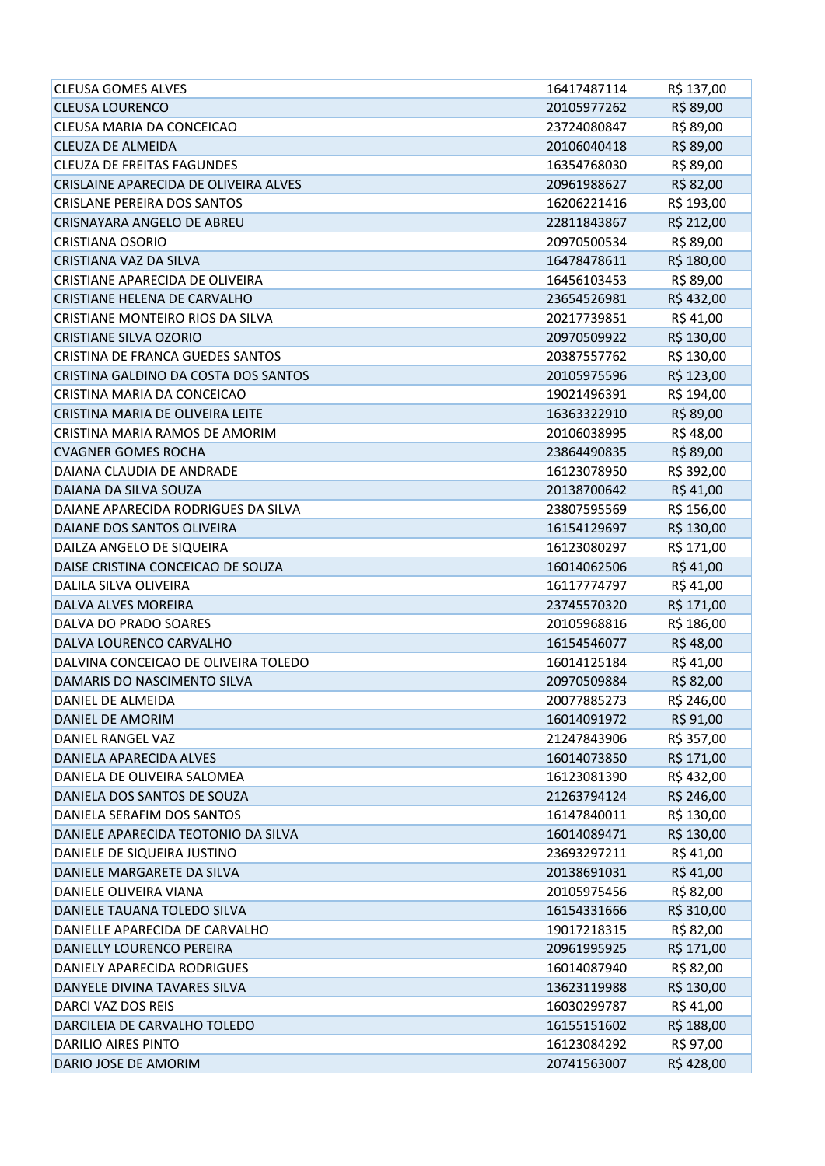| <b>CLEUSA GOMES ALVES</b>               | 16417487114 | R\$ 137,00 |
|-----------------------------------------|-------------|------------|
| <b>CLEUSA LOURENCO</b>                  | 20105977262 | R\$ 89,00  |
| CLEUSA MARIA DA CONCEICAO               | 23724080847 | R\$ 89,00  |
| <b>CLEUZA DE ALMEIDA</b>                | 20106040418 | R\$ 89,00  |
| <b>CLEUZA DE FREITAS FAGUNDES</b>       | 16354768030 | R\$ 89,00  |
| CRISLAINE APARECIDA DE OLIVEIRA ALVES   | 20961988627 | R\$ 82,00  |
| <b>CRISLANE PEREIRA DOS SANTOS</b>      | 16206221416 | R\$ 193,00 |
| <b>CRISNAYARA ANGELO DE ABREU</b>       | 22811843867 | R\$ 212,00 |
| <b>CRISTIANA OSORIO</b>                 | 20970500534 | R\$ 89,00  |
| <b>CRISTIANA VAZ DA SILVA</b>           | 16478478611 | R\$ 180,00 |
| CRISTIANE APARECIDA DE OLIVEIRA         | 16456103453 | R\$ 89,00  |
| CRISTIANE HELENA DE CARVALHO            | 23654526981 | R\$432,00  |
| CRISTIANE MONTEIRO RIOS DA SILVA        | 20217739851 | R\$ 41,00  |
| <b>CRISTIANE SILVA OZORIO</b>           | 20970509922 | R\$ 130,00 |
| <b>CRISTINA DE FRANCA GUEDES SANTOS</b> | 20387557762 | R\$ 130,00 |
| CRISTINA GALDINO DA COSTA DOS SANTOS    | 20105975596 | R\$ 123,00 |
| CRISTINA MARIA DA CONCEICAO             | 19021496391 | R\$ 194,00 |
| CRISTINA MARIA DE OLIVEIRA LEITE        | 16363322910 | R\$ 89,00  |
| CRISTINA MARIA RAMOS DE AMORIM          | 20106038995 | R\$48,00   |
| <b>CVAGNER GOMES ROCHA</b>              | 23864490835 | R\$ 89,00  |
| DAIANA CLAUDIA DE ANDRADE               | 16123078950 | R\$ 392,00 |
| DAIANA DA SILVA SOUZA                   | 20138700642 | R\$41,00   |
| DAIANE APARECIDA RODRIGUES DA SILVA     | 23807595569 | R\$ 156,00 |
| DAIANE DOS SANTOS OLIVEIRA              | 16154129697 | R\$ 130,00 |
| DAILZA ANGELO DE SIQUEIRA               | 16123080297 | R\$ 171,00 |
| DAISE CRISTINA CONCEICAO DE SOUZA       | 16014062506 | R\$41,00   |
| DALILA SILVA OLIVEIRA                   | 16117774797 | R\$41,00   |
| DALVA ALVES MOREIRA                     | 23745570320 | R\$ 171,00 |
| DALVA DO PRADO SOARES                   | 20105968816 | R\$ 186,00 |
| DALVA LOURENCO CARVALHO                 | 16154546077 | R\$48,00   |
| DALVINA CONCEICAO DE OLIVEIRA TOLEDO    | 16014125184 | R\$41,00   |
| DAMARIS DO NASCIMENTO SILVA             | 20970509884 | R\$ 82,00  |
| DANIEL DE ALMEIDA                       | 20077885273 | R\$ 246,00 |
| DANIEL DE AMORIM                        | 16014091972 | R\$ 91,00  |
| DANIEL RANGEL VAZ                       | 21247843906 | R\$ 357,00 |
| DANIELA APARECIDA ALVES                 | 16014073850 | R\$ 171,00 |
| DANIELA DE OLIVEIRA SALOMEA             | 16123081390 | R\$432,00  |
| DANIELA DOS SANTOS DE SOUZA             | 21263794124 | R\$ 246,00 |
| DANIELA SERAFIM DOS SANTOS              | 16147840011 | R\$ 130,00 |
| DANIELE APARECIDA TEOTONIO DA SILVA     | 16014089471 | R\$ 130,00 |
| DANIELE DE SIQUEIRA JUSTINO             | 23693297211 | R\$41,00   |
| DANIELE MARGARETE DA SILVA              | 20138691031 | R\$41,00   |
| DANIELE OLIVEIRA VIANA                  | 20105975456 | R\$ 82,00  |
| DANIELE TAUANA TOLEDO SILVA             | 16154331666 | R\$ 310,00 |
| DANIELLE APARECIDA DE CARVALHO          | 19017218315 | R\$ 82,00  |
| DANIELLY LOURENCO PEREIRA               | 20961995925 | R\$ 171,00 |
| DANIELY APARECIDA RODRIGUES             | 16014087940 | R\$ 82,00  |
| DANYELE DIVINA TAVARES SILVA            | 13623119988 | R\$ 130,00 |
| DARCI VAZ DOS REIS                      | 16030299787 | R\$41,00   |
| DARCILEIA DE CARVALHO TOLEDO            | 16155151602 | R\$ 188,00 |
| DARILIO AIRES PINTO                     | 16123084292 | R\$ 97,00  |
| DARIO JOSE DE AMORIM                    | 20741563007 | R\$428,00  |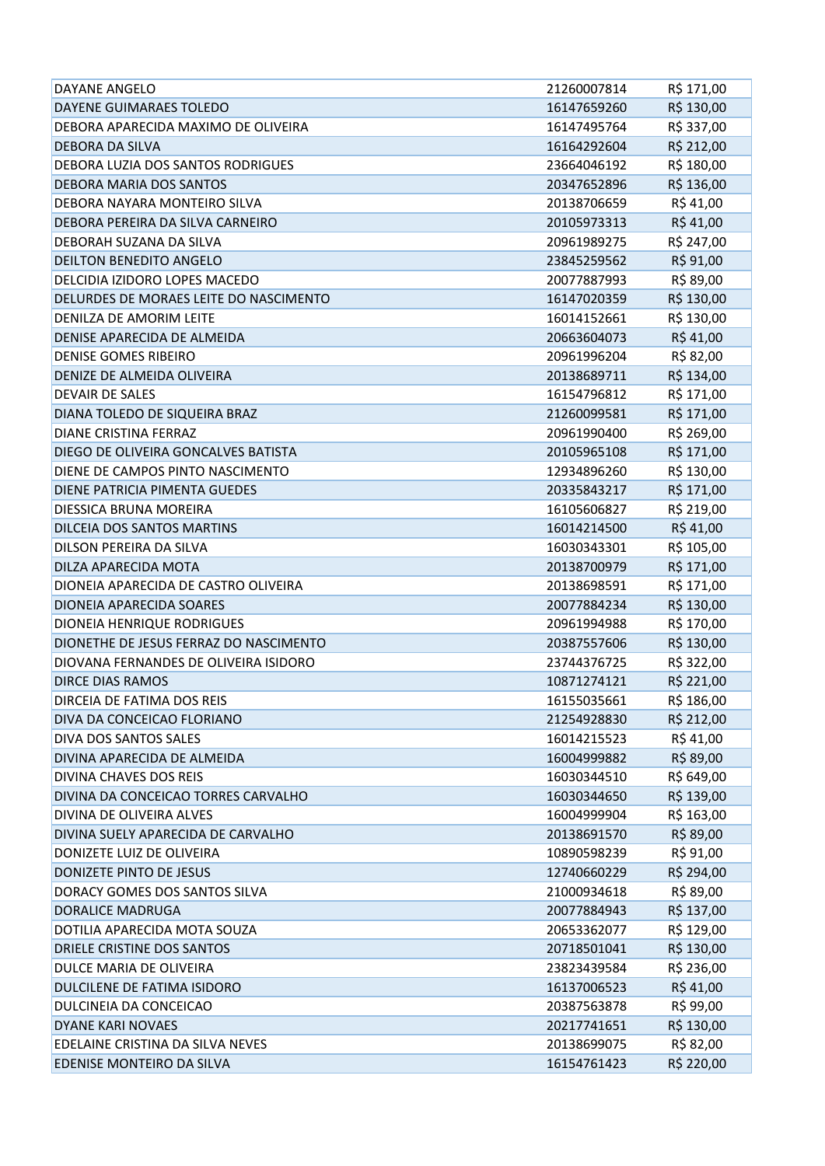| DAYANE ANGELO                          | 21260007814 | R\$ 171,00 |
|----------------------------------------|-------------|------------|
| DAYENE GUIMARAES TOLEDO                | 16147659260 | R\$ 130,00 |
| DEBORA APARECIDA MAXIMO DE OLIVEIRA    | 16147495764 | R\$ 337,00 |
| <b>DEBORA DA SILVA</b>                 | 16164292604 | R\$ 212,00 |
| DEBORA LUZIA DOS SANTOS RODRIGUES      | 23664046192 | R\$ 180,00 |
| DEBORA MARIA DOS SANTOS                | 20347652896 | R\$ 136,00 |
| DEBORA NAYARA MONTEIRO SILVA           | 20138706659 | R\$41,00   |
| DEBORA PEREIRA DA SILVA CARNEIRO       | 20105973313 | R\$41,00   |
| DEBORAH SUZANA DA SILVA                | 20961989275 | R\$ 247,00 |
| DEILTON BENEDITO ANGELO                | 23845259562 | R\$ 91,00  |
| DELCIDIA IZIDORO LOPES MACEDO          | 20077887993 | R\$ 89,00  |
| DELURDES DE MORAES LEITE DO NASCIMENTO | 16147020359 | R\$ 130,00 |
| DENILZA DE AMORIM LEITE                | 16014152661 | R\$ 130,00 |
| DENISE APARECIDA DE ALMEIDA            | 20663604073 | R\$41,00   |
| <b>DENISE GOMES RIBEIRO</b>            | 20961996204 | R\$ 82,00  |
| DENIZE DE ALMEIDA OLIVEIRA             | 20138689711 | R\$ 134,00 |
| <b>DEVAIR DE SALES</b>                 | 16154796812 | R\$ 171,00 |
| DIANA TOLEDO DE SIQUEIRA BRAZ          | 21260099581 | R\$ 171,00 |
| DIANE CRISTINA FERRAZ                  | 20961990400 | R\$ 269,00 |
| DIEGO DE OLIVEIRA GONCALVES BATISTA    | 20105965108 | R\$ 171,00 |
| DIENE DE CAMPOS PINTO NASCIMENTO       | 12934896260 | R\$ 130,00 |
| DIENE PATRICIA PIMENTA GUEDES          | 20335843217 | R\$ 171,00 |
| DIESSICA BRUNA MOREIRA                 | 16105606827 | R\$ 219,00 |
| DILCEIA DOS SANTOS MARTINS             | 16014214500 | R\$41,00   |
| DILSON PEREIRA DA SILVA                | 16030343301 | R\$ 105,00 |
| DILZA APARECIDA MOTA                   | 20138700979 | R\$ 171,00 |
| DIONEIA APARECIDA DE CASTRO OLIVEIRA   | 20138698591 | R\$ 171,00 |
| DIONEIA APARECIDA SOARES               | 20077884234 | R\$ 130,00 |
| DIONEIA HENRIQUE RODRIGUES             | 20961994988 | R\$ 170,00 |
| DIONETHE DE JESUS FERRAZ DO NASCIMENTO | 20387557606 | R\$ 130,00 |
| DIOVANA FERNANDES DE OLIVEIRA ISIDORO  | 23744376725 | R\$ 322,00 |
| <b>DIRCE DIAS RAMOS</b>                | 10871274121 | R\$ 221,00 |
| DIRCEIA DE FATIMA DOS REIS             | 16155035661 | R\$ 186,00 |
| DIVA DA CONCEICAO FLORIANO             | 21254928830 | R\$ 212,00 |
| DIVA DOS SANTOS SALES                  | 16014215523 | R\$41,00   |
| DIVINA APARECIDA DE ALMEIDA            | 16004999882 | R\$ 89,00  |
| DIVINA CHAVES DOS REIS                 | 16030344510 | R\$ 649,00 |
| DIVINA DA CONCEICAO TORRES CARVALHO    | 16030344650 | R\$ 139,00 |
| DIVINA DE OLIVEIRA ALVES               | 16004999904 | R\$ 163,00 |
| DIVINA SUELY APARECIDA DE CARVALHO     | 20138691570 | R\$ 89,00  |
| DONIZETE LUIZ DE OLIVEIRA              | 10890598239 | R\$ 91,00  |
| DONIZETE PINTO DE JESUS                | 12740660229 | R\$ 294,00 |
| DORACY GOMES DOS SANTOS SILVA          | 21000934618 | R\$ 89,00  |
| <b>DORALICE MADRUGA</b>                | 20077884943 | R\$ 137,00 |
| DOTILIA APARECIDA MOTA SOUZA           | 20653362077 | R\$ 129,00 |
| DRIELE CRISTINE DOS SANTOS             | 20718501041 | R\$ 130,00 |
| DULCE MARIA DE OLIVEIRA                | 23823439584 | R\$ 236,00 |
| DULCILENE DE FATIMA ISIDORO            | 16137006523 | R\$41,00   |
| DULCINEIA DA CONCEICAO                 | 20387563878 | R\$ 99,00  |
| DYANE KARI NOVAES                      | 20217741651 | R\$ 130,00 |
| EDELAINE CRISTINA DA SILVA NEVES       | 20138699075 | R\$ 82,00  |
| EDENISE MONTEIRO DA SILVA              | 16154761423 | R\$ 220,00 |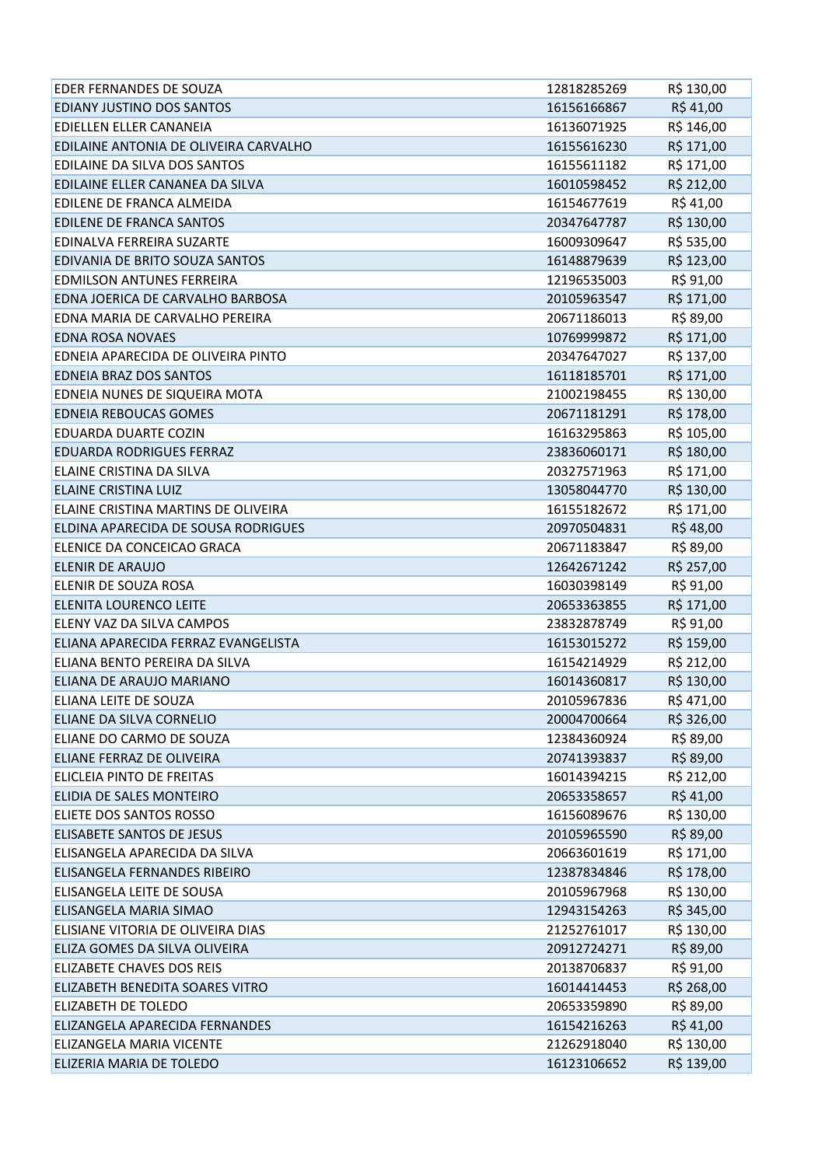| EDER FERNANDES DE SOUZA               | 12818285269 | R\$ 130,00 |
|---------------------------------------|-------------|------------|
| EDIANY JUSTINO DOS SANTOS             | 16156166867 | R\$41,00   |
| EDIELLEN ELLER CANANEIA               | 16136071925 | R\$ 146,00 |
| EDILAINE ANTONIA DE OLIVEIRA CARVALHO | 16155616230 | R\$ 171,00 |
| EDILAINE DA SILVA DOS SANTOS          | 16155611182 | R\$ 171,00 |
| EDILAINE ELLER CANANEA DA SILVA       | 16010598452 | R\$ 212,00 |
| EDILENE DE FRANCA ALMEIDA             | 16154677619 | R\$ 41,00  |
| EDILENE DE FRANCA SANTOS              | 20347647787 | R\$ 130,00 |
| EDINALVA FERREIRA SUZARTE             | 16009309647 | R\$ 535,00 |
| EDIVANIA DE BRITO SOUZA SANTOS        | 16148879639 | R\$ 123,00 |
| EDMILSON ANTUNES FERREIRA             | 12196535003 | R\$ 91,00  |
| EDNA JOERICA DE CARVALHO BARBOSA      | 20105963547 | R\$ 171,00 |
| EDNA MARIA DE CARVALHO PEREIRA        | 20671186013 | R\$ 89,00  |
| <b>EDNA ROSA NOVAES</b>               | 10769999872 | R\$ 171,00 |
| EDNEIA APARECIDA DE OLIVEIRA PINTO    | 20347647027 | R\$ 137,00 |
| <b>EDNEIA BRAZ DOS SANTOS</b>         | 16118185701 | R\$ 171,00 |
| EDNEIA NUNES DE SIQUEIRA MOTA         | 21002198455 | R\$ 130,00 |
| <b>EDNEIA REBOUCAS GOMES</b>          | 20671181291 | R\$ 178,00 |
| EDUARDA DUARTE COZIN                  | 16163295863 | R\$ 105,00 |
| EDUARDA RODRIGUES FERRAZ              | 23836060171 | R\$ 180,00 |
| ELAINE CRISTINA DA SILVA              | 20327571963 | R\$ 171,00 |
| ELAINE CRISTINA LUIZ                  | 13058044770 | R\$ 130,00 |
| ELAINE CRISTINA MARTINS DE OLIVEIRA   | 16155182672 | R\$ 171,00 |
| ELDINA APARECIDA DE SOUSA RODRIGUES   | 20970504831 | R\$48,00   |
| ELENICE DA CONCEICAO GRACA            | 20671183847 | R\$ 89,00  |
| <b>ELENIR DE ARAUJO</b>               | 12642671242 | R\$ 257,00 |
| ELENIR DE SOUZA ROSA                  | 16030398149 | R\$ 91,00  |
| <b>ELENITA LOURENCO LEITE</b>         | 20653363855 | R\$ 171,00 |
| ELENY VAZ DA SILVA CAMPOS             | 23832878749 | R\$ 91,00  |
| ELIANA APARECIDA FERRAZ EVANGELISTA   | 16153015272 | R\$ 159,00 |
| ELIANA BENTO PEREIRA DA SILVA         | 16154214929 | R\$ 212,00 |
| ELIANA DE ARAUJO MARIANO              | 16014360817 | R\$ 130,00 |
| ELIANA LEITE DE SOUZA                 | 20105967836 | R\$ 471,00 |
| ELIANE DA SILVA CORNELIO              | 20004700664 | R\$ 326,00 |
| ELIANE DO CARMO DE SOUZA              | 12384360924 | R\$ 89,00  |
| ELIANE FERRAZ DE OLIVEIRA             | 20741393837 | R\$ 89,00  |
| ELICLEIA PINTO DE FREITAS             | 16014394215 | R\$ 212,00 |
| ELIDIA DE SALES MONTEIRO              | 20653358657 | R\$41,00   |
| ELIETE DOS SANTOS ROSSO               | 16156089676 | R\$ 130,00 |
| ELISABETE SANTOS DE JESUS             | 20105965590 | R\$ 89,00  |
| ELISANGELA APARECIDA DA SILVA         | 20663601619 | R\$ 171,00 |
| ELISANGELA FERNANDES RIBEIRO          | 12387834846 | R\$ 178,00 |
| ELISANGELA LEITE DE SOUSA             | 20105967968 | R\$ 130,00 |
| ELISANGELA MARIA SIMAO                | 12943154263 | R\$ 345,00 |
| ELISIANE VITORIA DE OLIVEIRA DIAS     | 21252761017 | R\$ 130,00 |
| ELIZA GOMES DA SILVA OLIVEIRA         | 20912724271 | R\$ 89,00  |
| ELIZABETE CHAVES DOS REIS             | 20138706837 | R\$ 91,00  |
| ELIZABETH BENEDITA SOARES VITRO       | 16014414453 | R\$ 268,00 |
| ELIZABETH DE TOLEDO                   | 20653359890 | R\$ 89,00  |
| ELIZANGELA APARECIDA FERNANDES        | 16154216263 | R\$ 41,00  |
| ELIZANGELA MARIA VICENTE              | 21262918040 | R\$ 130,00 |
| ELIZERIA MARIA DE TOLEDO              | 16123106652 | R\$ 139,00 |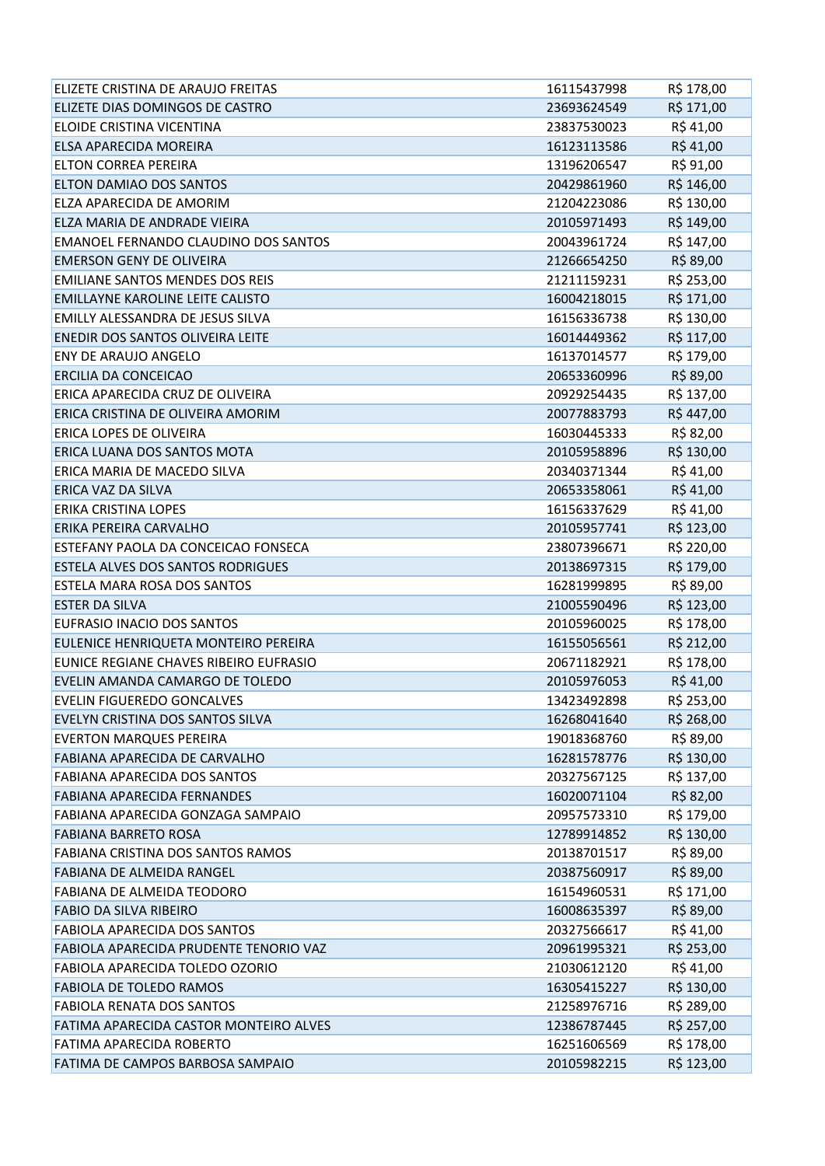| ELIZETE CRISTINA DE ARAUJO FREITAS     | 16115437998 | R\$ 178,00 |
|----------------------------------------|-------------|------------|
| ELIZETE DIAS DOMINGOS DE CASTRO        | 23693624549 | R\$ 171,00 |
| ELOIDE CRISTINA VICENTINA              | 23837530023 | R\$41,00   |
| ELSA APARECIDA MOREIRA                 | 16123113586 | R\$41,00   |
| ELTON CORREA PEREIRA                   | 13196206547 | R\$ 91,00  |
| ELTON DAMIAO DOS SANTOS                | 20429861960 | R\$ 146,00 |
| ELZA APARECIDA DE AMORIM               | 21204223086 | R\$ 130,00 |
| ELZA MARIA DE ANDRADE VIEIRA           | 20105971493 | R\$ 149,00 |
| EMANOEL FERNANDO CLAUDINO DOS SANTOS   | 20043961724 | R\$ 147,00 |
| <b>EMERSON GENY DE OLIVEIRA</b>        | 21266654250 | R\$ 89,00  |
| <b>EMILIANE SANTOS MENDES DOS REIS</b> | 21211159231 | R\$ 253,00 |
| EMILLAYNE KAROLINE LEITE CALISTO       | 16004218015 | R\$ 171,00 |
| EMILLY ALESSANDRA DE JESUS SILVA       | 16156336738 | R\$ 130,00 |
| ENEDIR DOS SANTOS OLIVEIRA LEITE       | 16014449362 | R\$ 117,00 |
| <b>ENY DE ARAUJO ANGELO</b>            | 16137014577 | R\$ 179,00 |
| ERCILIA DA CONCEICAO                   | 20653360996 | R\$ 89,00  |
| ERICA APARECIDA CRUZ DE OLIVEIRA       | 20929254435 | R\$ 137,00 |
| ERICA CRISTINA DE OLIVEIRA AMORIM      | 20077883793 | R\$447,00  |
| ERICA LOPES DE OLIVEIRA                | 16030445333 | R\$ 82,00  |
| ERICA LUANA DOS SANTOS MOTA            | 20105958896 | R\$ 130,00 |
| ERICA MARIA DE MACEDO SILVA            | 20340371344 | R\$41,00   |
| ERICA VAZ DA SILVA                     | 20653358061 | R\$41,00   |
| <b>ERIKA CRISTINA LOPES</b>            | 16156337629 | R\$41,00   |
| ERIKA PEREIRA CARVALHO                 | 20105957741 | R\$ 123,00 |
| ESTEFANY PAOLA DA CONCEICAO FONSECA    | 23807396671 | R\$ 220,00 |
| ESTELA ALVES DOS SANTOS RODRIGUES      | 20138697315 | R\$ 179,00 |
| ESTELA MARA ROSA DOS SANTOS            | 16281999895 | R\$ 89,00  |
| <b>ESTER DA SILVA</b>                  | 21005590496 | R\$ 123,00 |
| EUFRASIO INACIO DOS SANTOS             | 20105960025 | R\$ 178,00 |
| EULENICE HENRIQUETA MONTEIRO PEREIRA   | 16155056561 | R\$ 212,00 |
| EUNICE REGIANE CHAVES RIBEIRO EUFRASIO | 20671182921 | R\$ 178,00 |
| EVELIN AMANDA CAMARGO DE TOLEDO        | 20105976053 | R\$41,00   |
| EVELIN FIGUEREDO GONCALVES             | 13423492898 | R\$ 253,00 |
| EVELYN CRISTINA DOS SANTOS SILVA       | 16268041640 | R\$ 268,00 |
| <b>EVERTON MARQUES PEREIRA</b>         | 19018368760 | R\$ 89,00  |
| FABIANA APARECIDA DE CARVALHO          | 16281578776 | R\$ 130,00 |
| FABIANA APARECIDA DOS SANTOS           | 20327567125 | R\$ 137,00 |
| <b>FABIANA APARECIDA FERNANDES</b>     | 16020071104 | R\$ 82,00  |
| FABIANA APARECIDA GONZAGA SAMPAIO      | 20957573310 | R\$ 179,00 |
| <b>FABIANA BARRETO ROSA</b>            | 12789914852 | R\$ 130,00 |
| FABIANA CRISTINA DOS SANTOS RAMOS      | 20138701517 | R\$ 89,00  |
| FABIANA DE ALMEIDA RANGEL              | 20387560917 | R\$ 89,00  |
| FABIANA DE ALMEIDA TEODORO             | 16154960531 | R\$ 171,00 |
| FABIO DA SILVA RIBEIRO                 | 16008635397 | R\$ 89,00  |
| FABIOLA APARECIDA DOS SANTOS           | 20327566617 | R\$41,00   |
| FABIOLA APARECIDA PRUDENTE TENORIO VAZ | 20961995321 | R\$ 253,00 |
| FABIOLA APARECIDA TOLEDO OZORIO        | 21030612120 | R\$ 41,00  |
| <b>FABIOLA DE TOLEDO RAMOS</b>         | 16305415227 | R\$ 130,00 |
| <b>FABIOLA RENATA DOS SANTOS</b>       | 21258976716 | R\$ 289,00 |
| FATIMA APARECIDA CASTOR MONTEIRO ALVES | 12386787445 | R\$ 257,00 |
| FATIMA APARECIDA ROBERTO               | 16251606569 | R\$ 178,00 |
| FATIMA DE CAMPOS BARBOSA SAMPAIO       | 20105982215 | R\$ 123,00 |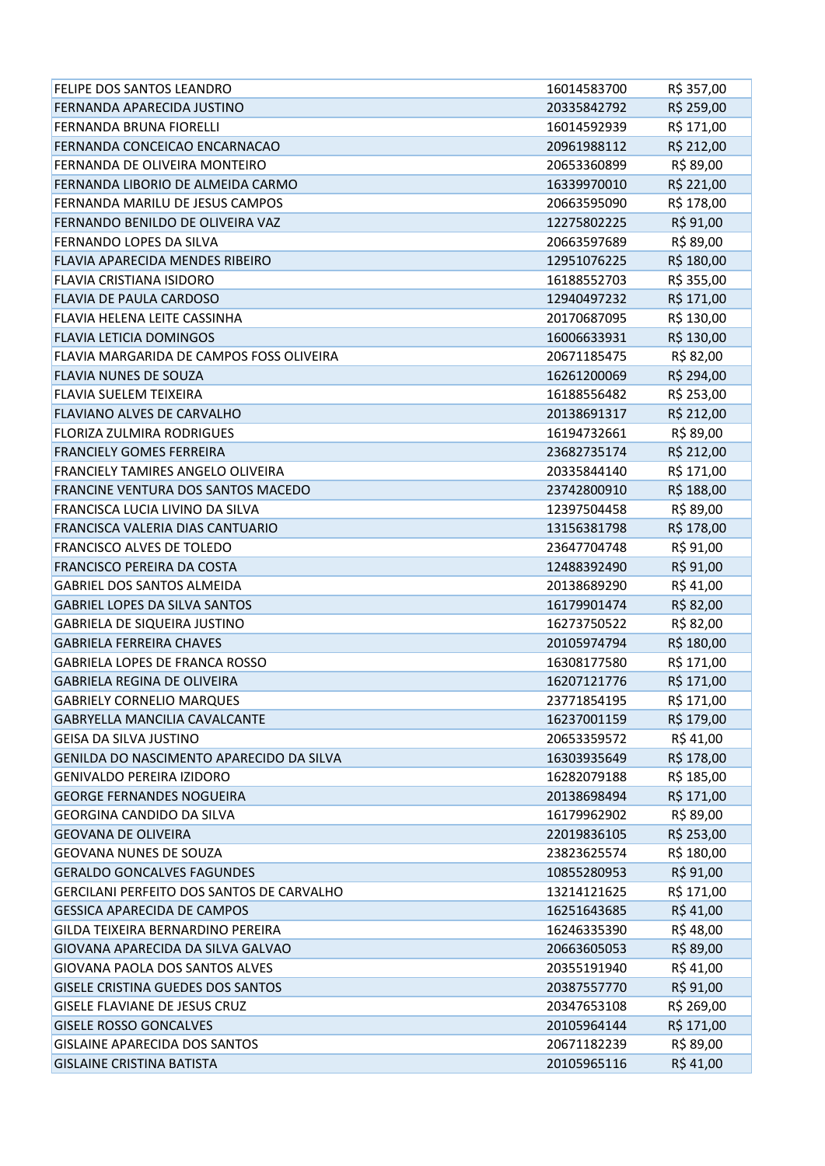| FELIPE DOS SANTOS LEANDRO                        | 16014583700 | R\$ 357,00 |
|--------------------------------------------------|-------------|------------|
| FERNANDA APARECIDA JUSTINO                       | 20335842792 | R\$ 259,00 |
| FERNANDA BRUNA FIORELLI                          | 16014592939 | R\$ 171,00 |
| FERNANDA CONCEICAO ENCARNACAO                    | 20961988112 | R\$ 212,00 |
| FERNANDA DE OLIVEIRA MONTEIRO                    | 20653360899 | R\$ 89,00  |
| FERNANDA LIBORIO DE ALMEIDA CARMO                | 16339970010 | R\$ 221,00 |
| FERNANDA MARILU DE JESUS CAMPOS                  | 20663595090 | R\$ 178,00 |
| FERNANDO BENILDO DE OLIVEIRA VAZ                 | 12275802225 | R\$ 91,00  |
| FERNANDO LOPES DA SILVA                          | 20663597689 | R\$ 89,00  |
| FLAVIA APARECIDA MENDES RIBEIRO                  | 12951076225 | R\$ 180,00 |
| FLAVIA CRISTIANA ISIDORO                         | 16188552703 | R\$ 355,00 |
| FLAVIA DE PAULA CARDOSO                          | 12940497232 | R\$ 171,00 |
| FLAVIA HELENA LEITE CASSINHA                     | 20170687095 | R\$ 130,00 |
| <b>FLAVIA LETICIA DOMINGOS</b>                   | 16006633931 | R\$ 130,00 |
| FLAVIA MARGARIDA DE CAMPOS FOSS OLIVEIRA         | 20671185475 | R\$ 82,00  |
| <b>FLAVIA NUNES DE SOUZA</b>                     | 16261200069 | R\$ 294,00 |
| <b>FLAVIA SUELEM TEIXEIRA</b>                    | 16188556482 | R\$ 253,00 |
| <b>FLAVIANO ALVES DE CARVALHO</b>                | 20138691317 | R\$ 212,00 |
| <b>FLORIZA ZULMIRA RODRIGUES</b>                 | 16194732661 | R\$ 89,00  |
| <b>FRANCIELY GOMES FERREIRA</b>                  | 23682735174 | R\$ 212,00 |
| FRANCIELY TAMIRES ANGELO OLIVEIRA                | 20335844140 | R\$ 171,00 |
| FRANCINE VENTURA DOS SANTOS MACEDO               | 23742800910 | R\$ 188,00 |
| FRANCISCA LUCIA LIVINO DA SILVA                  | 12397504458 | R\$ 89,00  |
| FRANCISCA VALERIA DIAS CANTUARIO                 | 13156381798 | R\$ 178,00 |
| FRANCISCO ALVES DE TOLEDO                        | 23647704748 | R\$ 91,00  |
| FRANCISCO PEREIRA DA COSTA                       | 12488392490 | R\$ 91,00  |
| <b>GABRIEL DOS SANTOS ALMEIDA</b>                | 20138689290 | R\$41,00   |
| <b>GABRIEL LOPES DA SILVA SANTOS</b>             | 16179901474 | R\$ 82,00  |
| <b>GABRIELA DE SIQUEIRA JUSTINO</b>              | 16273750522 | R\$ 82,00  |
| <b>GABRIELA FERREIRA CHAVES</b>                  | 20105974794 | R\$ 180,00 |
| <b>GABRIELA LOPES DE FRANCA ROSSO</b>            | 16308177580 | R\$ 171,00 |
| <b>GABRIELA REGINA DE OLIVEIRA</b>               | 16207121776 | R\$ 171,00 |
| <b>GABRIELY CORNELIO MARQUES</b>                 | 23771854195 | R\$ 171,00 |
| <b>GABRYELLA MANCILIA CAVALCANTE</b>             | 16237001159 | R\$ 179,00 |
| <b>GEISA DA SILVA JUSTINO</b>                    | 20653359572 | R\$ 41,00  |
| GENILDA DO NASCIMENTO APARECIDO DA SILVA         | 16303935649 | R\$ 178,00 |
| GENIVALDO PEREIRA IZIDORO                        | 16282079188 | R\$ 185,00 |
| <b>GEORGE FERNANDES NOGUEIRA</b>                 | 20138698494 | R\$ 171,00 |
| <b>GEORGINA CANDIDO DA SILVA</b>                 | 16179962902 | R\$ 89,00  |
| <b>GEOVANA DE OLIVEIRA</b>                       | 22019836105 | R\$ 253,00 |
| <b>GEOVANA NUNES DE SOUZA</b>                    | 23823625574 | R\$ 180,00 |
| <b>GERALDO GONCALVES FAGUNDES</b>                | 10855280953 | R\$ 91,00  |
| <b>GERCILANI PERFEITO DOS SANTOS DE CARVALHO</b> | 13214121625 | R\$ 171,00 |
| <b>GESSICA APARECIDA DE CAMPOS</b>               | 16251643685 | R\$41,00   |
| GILDA TEIXEIRA BERNARDINO PEREIRA                | 16246335390 | R\$48,00   |
| GIOVANA APARECIDA DA SILVA GALVAO                | 20663605053 | R\$ 89,00  |
| GIOVANA PAOLA DOS SANTOS ALVES                   | 20355191940 | R\$41,00   |
| <b>GISELE CRISTINA GUEDES DOS SANTOS</b>         | 20387557770 | R\$ 91,00  |
| <b>GISELE FLAVIANE DE JESUS CRUZ</b>             | 20347653108 | R\$ 269,00 |
| <b>GISELE ROSSO GONCALVES</b>                    | 20105964144 | R\$ 171,00 |
| <b>GISLAINE APARECIDA DOS SANTOS</b>             | 20671182239 | R\$ 89,00  |
| <b>GISLAINE CRISTINA BATISTA</b>                 | 20105965116 | R\$41,00   |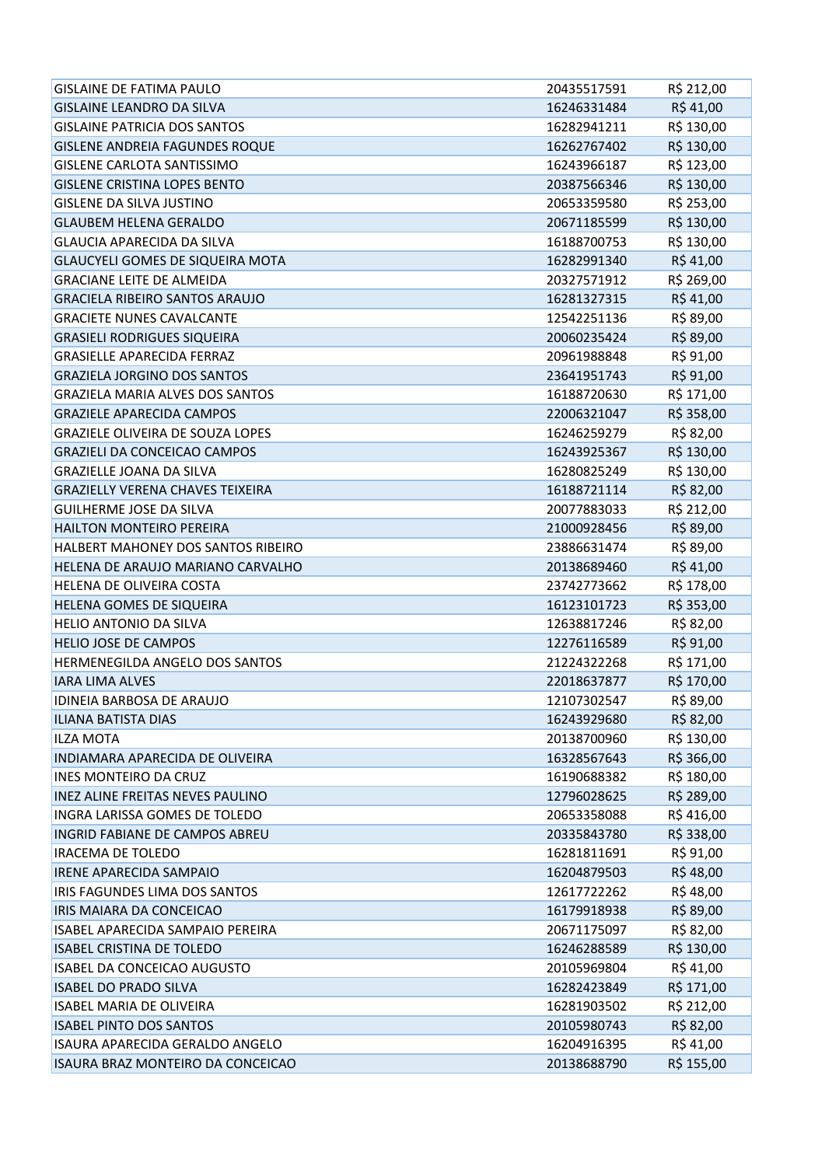| <b>GISLAINE DE FATIMA PAULO</b>         | 20435517591 | R\$ 212,00 |
|-----------------------------------------|-------------|------------|
| <b>GISLAINE LEANDRO DA SILVA</b>        | 16246331484 | R\$41,00   |
| <b>GISLAINE PATRICIA DOS SANTOS</b>     | 16282941211 | R\$ 130,00 |
| <b>GISLENE ANDREIA FAGUNDES ROQUE</b>   | 16262767402 | R\$ 130,00 |
| <b>GISLENE CARLOTA SANTISSIMO</b>       | 16243966187 | R\$ 123,00 |
| <b>GISLENE CRISTINA LOPES BENTO</b>     | 20387566346 | R\$ 130,00 |
| <b>GISLENE DA SILVA JUSTINO</b>         | 20653359580 | R\$ 253,00 |
| <b>GLAUBEM HELENA GERALDO</b>           | 20671185599 | R\$ 130,00 |
| <b>GLAUCIA APARECIDA DA SILVA</b>       | 16188700753 | R\$ 130,00 |
| <b>GLAUCYELI GOMES DE SIQUEIRA MOTA</b> | 16282991340 | R\$41,00   |
| <b>GRACIANE LEITE DE ALMEIDA</b>        | 20327571912 | R\$ 269,00 |
| <b>GRACIELA RIBEIRO SANTOS ARAUJO</b>   | 16281327315 | R\$41,00   |
| <b>GRACIETE NUNES CAVALCANTE</b>        | 12542251136 | R\$ 89,00  |
| <b>GRASIELI RODRIGUES SIQUEIRA</b>      | 20060235424 | R\$ 89,00  |
| <b>GRASIELLE APARECIDA FERRAZ</b>       | 20961988848 | R\$ 91,00  |
| <b>GRAZIELA JORGINO DOS SANTOS</b>      | 23641951743 | R\$ 91,00  |
| <b>GRAZIELA MARIA ALVES DOS SANTOS</b>  | 16188720630 | R\$ 171,00 |
| <b>GRAZIELE APARECIDA CAMPOS</b>        | 22006321047 | R\$ 358,00 |
| <b>GRAZIELE OLIVEIRA DE SOUZA LOPES</b> | 16246259279 | R\$ 82,00  |
| <b>GRAZIELI DA CONCEICAO CAMPOS</b>     | 16243925367 | R\$ 130,00 |
| <b>GRAZIELLE JOANA DA SILVA</b>         | 16280825249 | R\$ 130,00 |
| <b>GRAZIELLY VERENA CHAVES TEIXEIRA</b> | 16188721114 | R\$ 82,00  |
| <b>GUILHERME JOSE DA SILVA</b>          | 20077883033 | R\$ 212,00 |
| HAILTON MONTEIRO PEREIRA                | 21000928456 | R\$ 89,00  |
| HALBERT MAHONEY DOS SANTOS RIBEIRO      | 23886631474 | R\$ 89,00  |
| HELENA DE ARAUJO MARIANO CARVALHO       | 20138689460 | R\$41,00   |
| HELENA DE OLIVEIRA COSTA                | 23742773662 | R\$ 178,00 |
| HELENA GOMES DE SIQUEIRA                | 16123101723 | R\$ 353,00 |
| <b>HELIO ANTONIO DA SILVA</b>           | 12638817246 | R\$ 82,00  |
| <b>HELIO JOSE DE CAMPOS</b>             | 12276116589 | R\$ 91,00  |
| HERMENEGILDA ANGELO DOS SANTOS          | 21224322268 | R\$ 171,00 |
| <b>IARA LIMA ALVES</b>                  | 22018637877 | R\$ 170,00 |
| IDINEIA BARBOSA DE ARAUJO               | 12107302547 | R\$ 89,00  |
| <b>ILIANA BATISTA DIAS</b>              | 16243929680 | R\$ 82,00  |
| <b>ILZA MOTA</b>                        | 20138700960 | R\$ 130,00 |
| INDIAMARA APARECIDA DE OLIVEIRA         | 16328567643 | R\$ 366,00 |
| INES MONTEIRO DA CRUZ                   | 16190688382 | R\$ 180,00 |
| INEZ ALINE FREITAS NEVES PAULINO        | 12796028625 | R\$ 289,00 |
| INGRA LARISSA GOMES DE TOLEDO           | 20653358088 | R\$416,00  |
| INGRID FABIANE DE CAMPOS ABREU          | 20335843780 | R\$ 338,00 |
| <b>IRACEMA DE TOLEDO</b>                | 16281811691 | R\$ 91,00  |
| <b>IRENE APARECIDA SAMPAIO</b>          | 16204879503 | R\$48,00   |
| IRIS FAGUNDES LIMA DOS SANTOS           | 12617722262 | R\$ 48,00  |
| IRIS MAIARA DA CONCEICAO                | 16179918938 | R\$ 89,00  |
| ISABEL APARECIDA SAMPAIO PEREIRA        | 20671175097 | R\$ 82,00  |
| <b>ISABEL CRISTINA DE TOLEDO</b>        | 16246288589 | R\$ 130,00 |
| ISABEL DA CONCEICAO AUGUSTO             | 20105969804 | R\$41,00   |
| <b>ISABEL DO PRADO SILVA</b>            | 16282423849 | R\$ 171,00 |
| <b>ISABEL MARIA DE OLIVEIRA</b>         | 16281903502 | R\$ 212,00 |
| <b>ISABEL PINTO DOS SANTOS</b>          | 20105980743 | R\$ 82,00  |
| ISAURA APARECIDA GERALDO ANGELO         | 16204916395 | R\$ 41,00  |
| ISAURA BRAZ MONTEIRO DA CONCEICAO       | 20138688790 | R\$ 155,00 |
|                                         |             |            |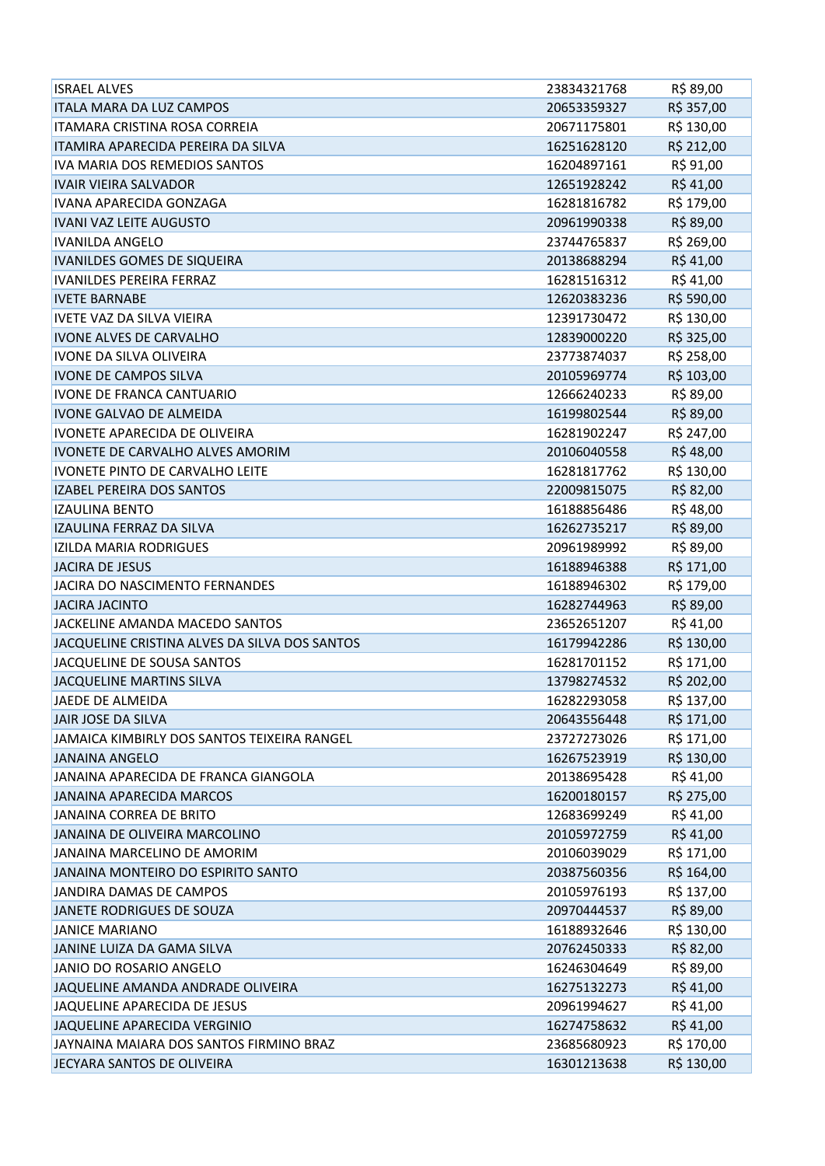| <b>ISRAEL ALVES</b>                           | 23834321768 | R\$ 89,00  |
|-----------------------------------------------|-------------|------------|
| <b>ITALA MARA DA LUZ CAMPOS</b>               | 20653359327 | R\$ 357,00 |
| ITAMARA CRISTINA ROSA CORREIA                 | 20671175801 | R\$ 130,00 |
| ITAMIRA APARECIDA PEREIRA DA SILVA            | 16251628120 | R\$ 212,00 |
| IVA MARIA DOS REMEDIOS SANTOS                 | 16204897161 | R\$ 91,00  |
| <b>IVAIR VIEIRA SALVADOR</b>                  | 12651928242 | R\$41,00   |
| IVANA APARECIDA GONZAGA                       | 16281816782 | R\$ 179,00 |
| <b>IVANI VAZ LEITE AUGUSTO</b>                | 20961990338 | R\$ 89,00  |
| <b>IVANILDA ANGELO</b>                        | 23744765837 | R\$ 269,00 |
| IVANILDES GOMES DE SIQUEIRA                   | 20138688294 | R\$41,00   |
| <b>IVANILDES PEREIRA FERRAZ</b>               | 16281516312 | R\$41,00   |
| <b>IVETE BARNABE</b>                          | 12620383236 | R\$ 590,00 |
| <b>IVETE VAZ DA SILVA VIEIRA</b>              | 12391730472 | R\$ 130,00 |
| <b>IVONE ALVES DE CARVALHO</b>                | 12839000220 | R\$ 325,00 |
| <b>IVONE DA SILVA OLIVEIRA</b>                | 23773874037 | R\$ 258,00 |
| <b>IVONE DE CAMPOS SILVA</b>                  | 20105969774 | R\$ 103,00 |
| <b>IVONE DE FRANCA CANTUARIO</b>              | 12666240233 | R\$ 89,00  |
| <b>IVONE GALVAO DE ALMEIDA</b>                | 16199802544 | R\$ 89,00  |
| IVONETE APARECIDA DE OLIVEIRA                 | 16281902247 | R\$ 247,00 |
| <b>IVONETE DE CARVALHO ALVES AMORIM</b>       | 20106040558 | R\$48,00   |
| <b>IVONETE PINTO DE CARVALHO LEITE</b>        | 16281817762 | R\$ 130,00 |
| <b>IZABEL PEREIRA DOS SANTOS</b>              | 22009815075 | R\$ 82,00  |
| <b>IZAULINA BENTO</b>                         | 16188856486 | R\$48,00   |
| IZAULINA FERRAZ DA SILVA                      | 16262735217 | R\$ 89,00  |
| IZILDA MARIA RODRIGUES                        | 20961989992 | R\$ 89,00  |
| <b>JACIRA DE JESUS</b>                        | 16188946388 | R\$ 171,00 |
| JACIRA DO NASCIMENTO FERNANDES                | 16188946302 | R\$ 179,00 |
| <b>JACIRA JACINTO</b>                         | 16282744963 | R\$ 89,00  |
| JACKELINE AMANDA MACEDO SANTOS                | 23652651207 | R\$41,00   |
| JACQUELINE CRISTINA ALVES DA SILVA DOS SANTOS | 16179942286 | R\$ 130,00 |
| JACQUELINE DE SOUSA SANTOS                    | 16281701152 | R\$ 171,00 |
| JACQUELINE MARTINS SILVA                      | 13798274532 | R\$ 202,00 |
| JAEDE DE ALMEIDA                              | 16282293058 | R\$ 137,00 |
| JAIR JOSE DA SILVA                            | 20643556448 | R\$ 171,00 |
| JAMAICA KIMBIRLY DOS SANTOS TEIXEIRA RANGEL   | 23727273026 | R\$ 171,00 |
| <b>JANAINA ANGELO</b>                         | 16267523919 | R\$ 130,00 |
| JANAINA APARECIDA DE FRANCA GIANGOLA          | 20138695428 | R\$41,00   |
| JANAINA APARECIDA MARCOS                      | 16200180157 | R\$ 275,00 |
| JANAINA CORREA DE BRITO                       | 12683699249 | R\$41,00   |
| JANAINA DE OLIVEIRA MARCOLINO                 | 20105972759 | R\$41,00   |
| JANAINA MARCELINO DE AMORIM                   | 20106039029 | R\$ 171,00 |
| JANAINA MONTEIRO DO ESPIRITO SANTO            | 20387560356 | R\$ 164,00 |
| JANDIRA DAMAS DE CAMPOS                       | 20105976193 | R\$ 137,00 |
| JANETE RODRIGUES DE SOUZA                     | 20970444537 | R\$ 89,00  |
| <b>JANICE MARIANO</b>                         | 16188932646 | R\$ 130,00 |
| JANINE LUIZA DA GAMA SILVA                    | 20762450333 | R\$ 82,00  |
| JANIO DO ROSARIO ANGELO                       | 16246304649 | R\$ 89,00  |
| JAQUELINE AMANDA ANDRADE OLIVEIRA             | 16275132273 | R\$41,00   |
| JAQUELINE APARECIDA DE JESUS                  | 20961994627 | R\$41,00   |
| JAQUELINE APARECIDA VERGINIO                  | 16274758632 | R\$41,00   |
| JAYNAINA MAIARA DOS SANTOS FIRMINO BRAZ       | 23685680923 | R\$ 170,00 |
| JECYARA SANTOS DE OLIVEIRA                    | 16301213638 | R\$ 130,00 |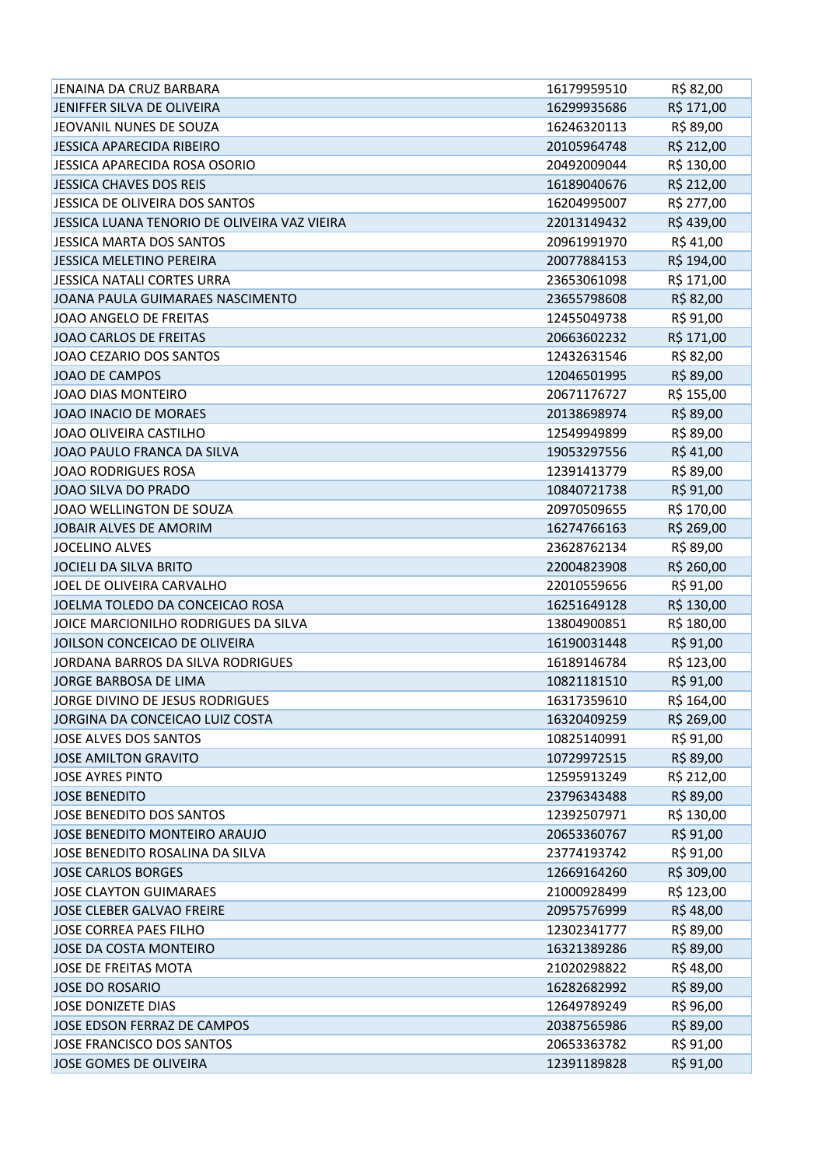| JENAINA DA CRUZ BARBARA                      | 16179959510 | R\$ 82,00  |
|----------------------------------------------|-------------|------------|
| JENIFFER SILVA DE OLIVEIRA                   | 16299935686 | R\$ 171,00 |
| JEOVANIL NUNES DE SOUZA                      | 16246320113 | R\$ 89,00  |
| JESSICA APARECIDA RIBEIRO                    | 20105964748 | R\$ 212,00 |
| JESSICA APARECIDA ROSA OSORIO                | 20492009044 | R\$ 130,00 |
| JESSICA CHAVES DOS REIS                      | 16189040676 | R\$ 212,00 |
| JESSICA DE OLIVEIRA DOS SANTOS               | 16204995007 | R\$ 277,00 |
| JESSICA LUANA TENORIO DE OLIVEIRA VAZ VIEIRA | 22013149432 | R\$439,00  |
| JESSICA MARTA DOS SANTOS                     | 20961991970 | R\$41,00   |
| JESSICA MELETINO PEREIRA                     | 20077884153 | R\$ 194,00 |
| JESSICA NATALI CORTES URRA                   | 23653061098 | R\$ 171,00 |
| JOANA PAULA GUIMARAES NASCIMENTO             | 23655798608 | R\$ 82,00  |
| JOAO ANGELO DE FREITAS                       | 12455049738 | R\$ 91,00  |
| <b>JOAO CARLOS DE FREITAS</b>                | 20663602232 | R\$ 171,00 |
| JOAO CEZARIO DOS SANTOS                      | 12432631546 | R\$ 82,00  |
| JOAO DE CAMPOS                               | 12046501995 | R\$ 89,00  |
| <b>JOAO DIAS MONTEIRO</b>                    | 20671176727 | R\$ 155,00 |
| JOAO INACIO DE MORAES                        | 20138698974 | R\$ 89,00  |
| JOAO OLIVEIRA CASTILHO                       | 12549949899 | R\$ 89,00  |
| JOAO PAULO FRANCA DA SILVA                   | 19053297556 | R\$41,00   |
| <b>JOAO RODRIGUES ROSA</b>                   | 12391413779 | R\$ 89,00  |
| JOAO SILVA DO PRADO                          | 10840721738 | R\$ 91,00  |
| JOAO WELLINGTON DE SOUZA                     | 20970509655 | R\$ 170,00 |
| JOBAIR ALVES DE AMORIM                       | 16274766163 | R\$ 269,00 |
| <b>JOCELINO ALVES</b>                        | 23628762134 | R\$ 89,00  |
| JOCIELI DA SILVA BRITO                       | 22004823908 | R\$ 260,00 |
| JOEL DE OLIVEIRA CARVALHO                    | 22010559656 | R\$ 91,00  |
| JOELMA TOLEDO DA CONCEICAO ROSA              | 16251649128 | R\$ 130,00 |
| JOICE MARCIONILHO RODRIGUES DA SILVA         | 13804900851 | R\$ 180,00 |
| JOILSON CONCEICAO DE OLIVEIRA                | 16190031448 | R\$ 91,00  |
| JORDANA BARROS DA SILVA RODRIGUES            | 16189146784 | R\$ 123,00 |
| JORGE BARBOSA DE LIMA                        | 10821181510 | R\$ 91,00  |
| JORGE DIVINO DE JESUS RODRIGUES              | 16317359610 | R\$ 164,00 |
| JORGINA DA CONCEICAO LUIZ COSTA              | 16320409259 | R\$ 269,00 |
| JOSE ALVES DOS SANTOS                        | 10825140991 | R\$ 91,00  |
| <b>JOSE AMILTON GRAVITO</b>                  | 10729972515 | R\$ 89,00  |
| <b>JOSE AYRES PINTO</b>                      | 12595913249 | R\$ 212,00 |
| <b>JOSE BENEDITO</b>                         | 23796343488 | R\$ 89,00  |
| JOSE BENEDITO DOS SANTOS                     | 12392507971 | R\$ 130,00 |
| JOSE BENEDITO MONTEIRO ARAUJO                | 20653360767 | R\$ 91,00  |
| JOSE BENEDITO ROSALINA DA SILVA              | 23774193742 | R\$ 91,00  |
| <b>JOSE CARLOS BORGES</b>                    | 12669164260 | R\$ 309,00 |
| <b>JOSE CLAYTON GUIMARAES</b>                | 21000928499 | R\$ 123,00 |
| JOSE CLEBER GALVAO FREIRE                    | 20957576999 | R\$48,00   |
| <b>JOSE CORREA PAES FILHO</b>                | 12302341777 | R\$ 89,00  |
| JOSE DA COSTA MONTEIRO                       | 16321389286 | R\$ 89,00  |
| JOSE DE FREITAS MOTA                         | 21020298822 | R\$48,00   |
| <b>JOSE DO ROSARIO</b>                       | 16282682992 | R\$ 89,00  |
| JOSE DONIZETE DIAS                           | 12649789249 | R\$ 96,00  |
| JOSE EDSON FERRAZ DE CAMPOS                  | 20387565986 | R\$ 89,00  |
| JOSE FRANCISCO DOS SANTOS                    | 20653363782 | R\$ 91,00  |
| JOSE GOMES DE OLIVEIRA                       | 12391189828 | R\$ 91,00  |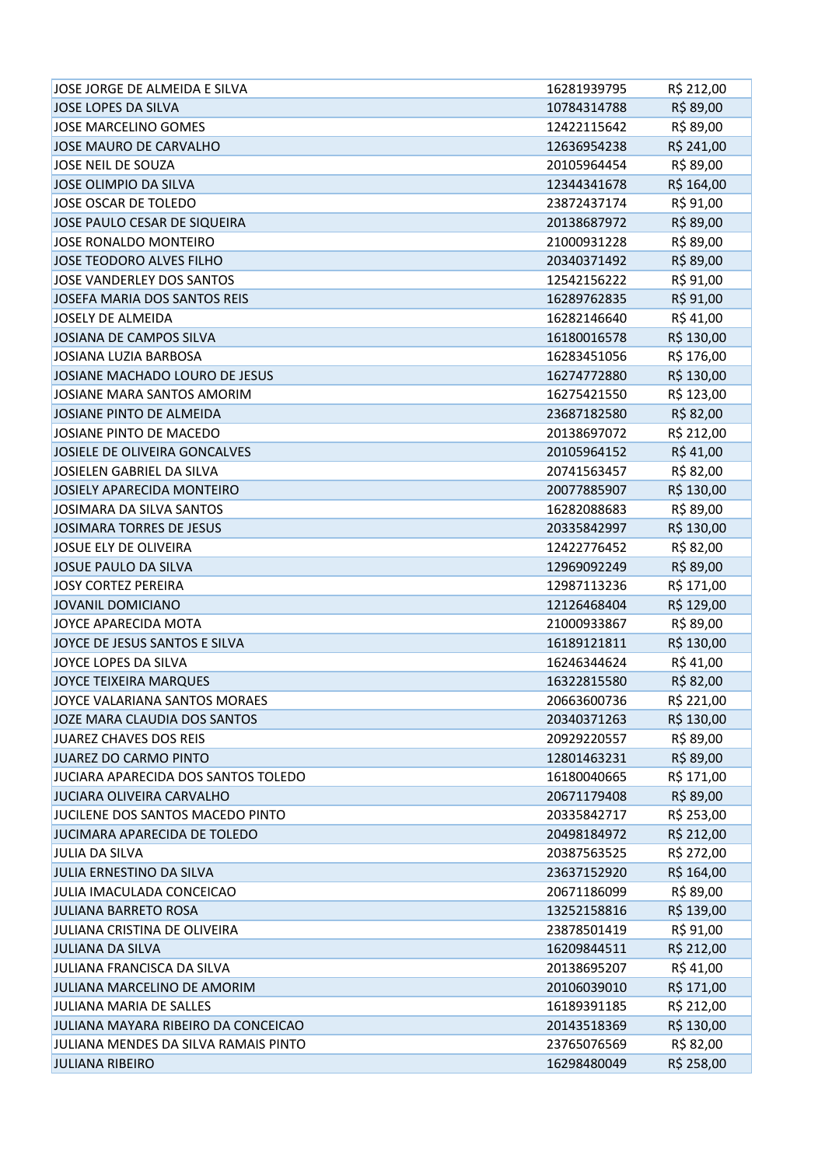| JOSE JORGE DE ALMEIDA E SILVA        | 16281939795 | R\$ 212,00 |
|--------------------------------------|-------------|------------|
| JOSE LOPES DA SILVA                  | 10784314788 | R\$ 89,00  |
| JOSE MARCELINO GOMES                 | 12422115642 | R\$ 89,00  |
| JOSE MAURO DE CARVALHO               | 12636954238 | R\$ 241,00 |
| JOSE NEIL DE SOUZA                   | 20105964454 | R\$ 89,00  |
| JOSE OLIMPIO DA SILVA                | 12344341678 | R\$ 164,00 |
| JOSE OSCAR DE TOLEDO                 | 23872437174 | R\$ 91,00  |
| JOSE PAULO CESAR DE SIQUEIRA         | 20138687972 | R\$ 89,00  |
| JOSE RONALDO MONTEIRO                | 21000931228 | R\$ 89,00  |
| JOSE TEODORO ALVES FILHO             | 20340371492 | R\$ 89,00  |
| JOSE VANDERLEY DOS SANTOS            | 12542156222 | R\$ 91,00  |
| JOSEFA MARIA DOS SANTOS REIS         | 16289762835 | R\$ 91,00  |
| JOSELY DE ALMEIDA                    | 16282146640 | R\$41,00   |
| JOSIANA DE CAMPOS SILVA              | 16180016578 | R\$ 130,00 |
| JOSIANA LUZIA BARBOSA                | 16283451056 | R\$ 176,00 |
| JOSIANE MACHADO LOURO DE JESUS       | 16274772880 | R\$ 130,00 |
| JOSIANE MARA SANTOS AMORIM           | 16275421550 | R\$ 123,00 |
| JOSIANE PINTO DE ALMEIDA             | 23687182580 | R\$ 82,00  |
| JOSIANE PINTO DE MACEDO              | 20138697072 | R\$ 212,00 |
| JOSIELE DE OLIVEIRA GONCALVES        | 20105964152 | R\$41,00   |
| JOSIELEN GABRIEL DA SILVA            | 20741563457 | R\$ 82,00  |
| JOSIELY APARECIDA MONTEIRO           | 20077885907 | R\$ 130,00 |
| JOSIMARA DA SILVA SANTOS             | 16282088683 | R\$ 89,00  |
| JOSIMARA TORRES DE JESUS             | 20335842997 | R\$ 130,00 |
| JOSUE ELY DE OLIVEIRA                | 12422776452 | R\$ 82,00  |
| JOSUE PAULO DA SILVA                 | 12969092249 | R\$ 89,00  |
| <b>JOSY CORTEZ PEREIRA</b>           | 12987113236 | R\$ 171,00 |
| JOVANIL DOMICIANO                    | 12126468404 | R\$ 129,00 |
| JOYCE APARECIDA MOTA                 | 21000933867 | R\$ 89,00  |
| JOYCE DE JESUS SANTOS E SILVA        | 16189121811 | R\$ 130,00 |
| JOYCE LOPES DA SILVA                 | 16246344624 | R\$41,00   |
| JOYCE TEIXEIRA MARQUES               | 16322815580 | R\$ 82,00  |
| JOYCE VALARIANA SANTOS MORAES        | 20663600736 | R\$ 221,00 |
| JOZE MARA CLAUDIA DOS SANTOS         | 20340371263 | R\$ 130,00 |
| JUAREZ CHAVES DOS REIS               | 20929220557 | R\$ 89,00  |
| JUAREZ DO CARMO PINTO                | 12801463231 | R\$ 89,00  |
| JUCIARA APARECIDA DOS SANTOS TOLEDO  | 16180040665 | R\$ 171,00 |
| <b>JUCIARA OLIVEIRA CARVALHO</b>     | 20671179408 | R\$ 89,00  |
| JUCILENE DOS SANTOS MACEDO PINTO     | 20335842717 | R\$ 253,00 |
| JUCIMARA APARECIDA DE TOLEDO         | 20498184972 | R\$ 212,00 |
| <b>JULIA DA SILVA</b>                | 20387563525 | R\$ 272,00 |
| JULIA ERNESTINO DA SILVA             | 23637152920 | R\$ 164,00 |
| JULIA IMACULADA CONCEICAO            | 20671186099 | R\$ 89,00  |
| <b>JULIANA BARRETO ROSA</b>          | 13252158816 | R\$ 139,00 |
| JULIANA CRISTINA DE OLIVEIRA         | 23878501419 | R\$ 91,00  |
| <b>JULIANA DA SILVA</b>              | 16209844511 | R\$ 212,00 |
| JULIANA FRANCISCA DA SILVA           | 20138695207 | R\$ 41,00  |
| JULIANA MARCELINO DE AMORIM          | 20106039010 | R\$ 171,00 |
| JULIANA MARIA DE SALLES              | 16189391185 | R\$ 212,00 |
| JULIANA MAYARA RIBEIRO DA CONCEICAO  | 20143518369 | R\$ 130,00 |
| JULIANA MENDES DA SILVA RAMAIS PINTO | 23765076569 | R\$ 82,00  |
| <b>JULIANA RIBEIRO</b>               | 16298480049 | R\$ 258,00 |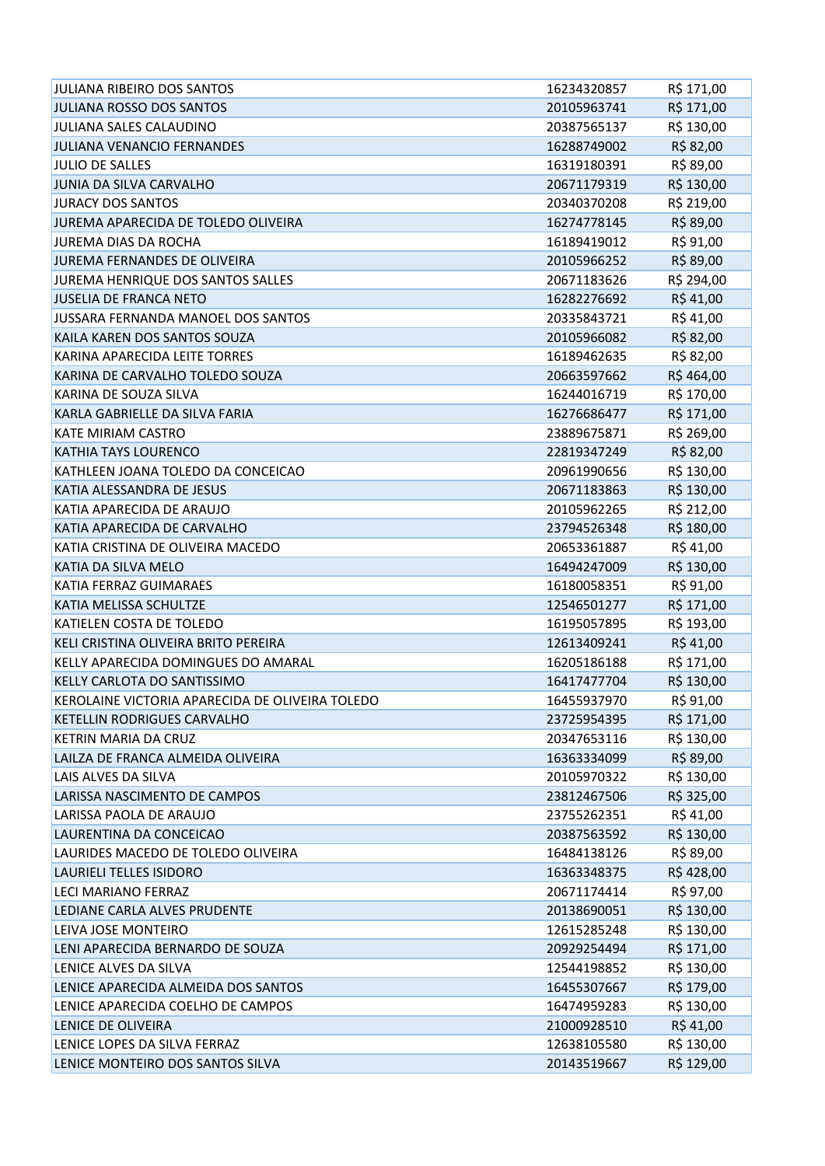| JULIANA RIBEIRO DOS SANTOS                      | 16234320857 | R\$ 171,00 |
|-------------------------------------------------|-------------|------------|
| <b>JULIANA ROSSO DOS SANTOS</b>                 | 20105963741 | R\$ 171,00 |
| JULIANA SALES CALAUDINO                         | 20387565137 | R\$ 130,00 |
| JULIANA VENANCIO FERNANDES                      | 16288749002 | R\$ 82,00  |
| <b>JULIO DE SALLES</b>                          | 16319180391 | R\$ 89,00  |
| JUNIA DA SILVA CARVALHO                         | 20671179319 | R\$ 130,00 |
| <b>JURACY DOS SANTOS</b>                        | 20340370208 | R\$ 219,00 |
| JUREMA APARECIDA DE TOLEDO OLIVEIRA             | 16274778145 | R\$ 89,00  |
| <b>JUREMA DIAS DA ROCHA</b>                     | 16189419012 | R\$ 91,00  |
| JUREMA FERNANDES DE OLIVEIRA                    | 20105966252 | R\$ 89,00  |
| JUREMA HENRIQUE DOS SANTOS SALLES               | 20671183626 | R\$ 294,00 |
| <b>JUSELIA DE FRANCA NETO</b>                   | 16282276692 | R\$41,00   |
| JUSSARA FERNANDA MANOEL DOS SANTOS              | 20335843721 | R\$41,00   |
| KAILA KAREN DOS SANTOS SOUZA                    | 20105966082 | R\$ 82,00  |
| KARINA APARECIDA LEITE TORRES                   | 16189462635 | R\$ 82,00  |
| KARINA DE CARVALHO TOLEDO SOUZA                 | 20663597662 | R\$464,00  |
| KARINA DE SOUZA SILVA                           | 16244016719 | R\$ 170,00 |
| KARLA GABRIELLE DA SILVA FARIA                  | 16276686477 | R\$ 171,00 |
| <b>KATE MIRIAM CASTRO</b>                       | 23889675871 | R\$ 269,00 |
| KATHIA TAYS LOURENCO                            | 22819347249 | R\$ 82,00  |
| KATHLEEN JOANA TOLEDO DA CONCEICAO              | 20961990656 | R\$ 130,00 |
| KATIA ALESSANDRA DE JESUS                       | 20671183863 | R\$ 130,00 |
| KATIA APARECIDA DE ARAUJO                       | 20105962265 | R\$ 212,00 |
| KATIA APARECIDA DE CARVALHO                     | 23794526348 | R\$ 180,00 |
| KATIA CRISTINA DE OLIVEIRA MACEDO               | 20653361887 | R\$41,00   |
| KATIA DA SILVA MELO                             | 16494247009 | R\$ 130,00 |
| <b>KATIA FERRAZ GUIMARAES</b>                   | 16180058351 | R\$ 91,00  |
| KATIA MELISSA SCHULTZE                          | 12546501277 | R\$ 171,00 |
| KATIELEN COSTA DE TOLEDO                        | 16195057895 | R\$ 193,00 |
| KELI CRISTINA OLIVEIRA BRITO PEREIRA            | 12613409241 | R\$41,00   |
| KELLY APARECIDA DOMINGUES DO AMARAL             | 16205186188 | R\$ 171,00 |
| KELLY CARLOTA DO SANTISSIMO                     | 16417477704 | R\$ 130,00 |
| KEROLAINE VICTORIA APARECIDA DE OLIVEIRA TOLEDO | 16455937970 | R\$ 91,00  |
| KETELLIN RODRIGUES CARVALHO                     | 23725954395 | R\$ 171,00 |
| KETRIN MARIA DA CRUZ                            | 20347653116 | R\$ 130,00 |
| LAILZA DE FRANCA ALMEIDA OLIVEIRA               | 16363334099 | R\$ 89,00  |
| LAIS ALVES DA SILVA                             | 20105970322 | R\$ 130,00 |
| LARISSA NASCIMENTO DE CAMPOS                    | 23812467506 | R\$ 325,00 |
| LARISSA PAOLA DE ARAUJO                         | 23755262351 | R\$41,00   |
| LAURENTINA DA CONCEICAO                         | 20387563592 | R\$ 130,00 |
| LAURIDES MACEDO DE TOLEDO OLIVEIRA              | 16484138126 | R\$ 89,00  |
| LAURIELI TELLES ISIDORO                         | 16363348375 | R\$428,00  |
| <b>LECI MARIANO FERRAZ</b>                      | 20671174414 | R\$ 97,00  |
| LEDIANE CARLA ALVES PRUDENTE                    | 20138690051 | R\$ 130,00 |
| LEIVA JOSE MONTEIRO                             | 12615285248 | R\$ 130,00 |
| LENI APARECIDA BERNARDO DE SOUZA                | 20929254494 | R\$ 171,00 |
| LENICE ALVES DA SILVA                           | 12544198852 | R\$ 130,00 |
| LENICE APARECIDA ALMEIDA DOS SANTOS             | 16455307667 | R\$ 179,00 |
| LENICE APARECIDA COELHO DE CAMPOS               | 16474959283 | R\$ 130,00 |
| LENICE DE OLIVEIRA                              | 21000928510 | R\$41,00   |
| LENICE LOPES DA SILVA FERRAZ                    | 12638105580 | R\$ 130,00 |
| LENICE MONTEIRO DOS SANTOS SILVA                | 20143519667 | R\$ 129,00 |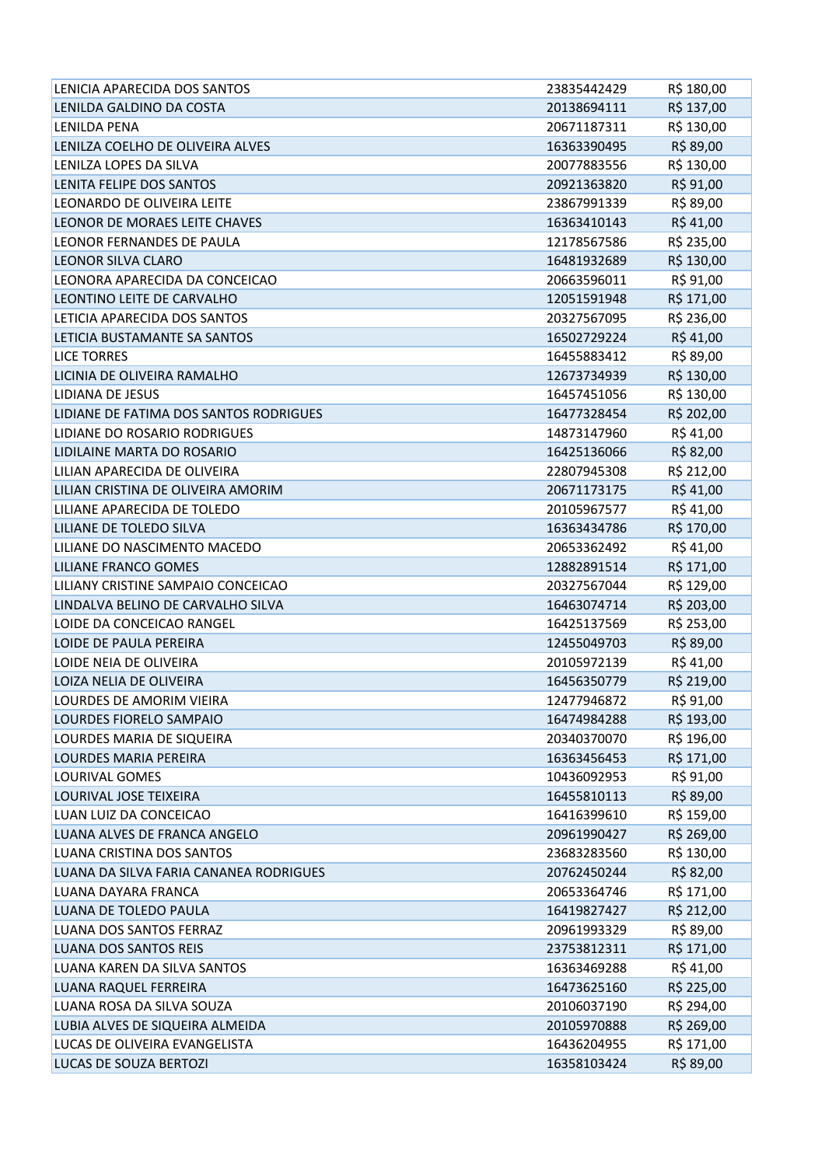| LENICIA APARECIDA DOS SANTOS           | 23835442429 | R\$ 180,00 |
|----------------------------------------|-------------|------------|
| LENILDA GALDINO DA COSTA               | 20138694111 | R\$ 137,00 |
| LENILDA PENA                           | 20671187311 | R\$ 130,00 |
| LENILZA COELHO DE OLIVEIRA ALVES       | 16363390495 | R\$ 89,00  |
| LENILZA LOPES DA SILVA                 | 20077883556 | R\$ 130,00 |
| LENITA FELIPE DOS SANTOS               | 20921363820 | R\$ 91,00  |
| LEONARDO DE OLIVEIRA LEITE             | 23867991339 | R\$ 89,00  |
| LEONOR DE MORAES LEITE CHAVES          | 16363410143 | R\$41,00   |
| LEONOR FERNANDES DE PAULA              | 12178567586 | R\$ 235,00 |
| <b>LEONOR SILVA CLARO</b>              | 16481932689 | R\$ 130,00 |
| LEONORA APARECIDA DA CONCEICAO         | 20663596011 | R\$ 91,00  |
| LEONTINO LEITE DE CARVALHO             | 12051591948 | R\$ 171,00 |
| LETICIA APARECIDA DOS SANTOS           | 20327567095 | R\$ 236,00 |
| LETICIA BUSTAMANTE SA SANTOS           | 16502729224 | R\$41,00   |
| <b>LICE TORRES</b>                     | 16455883412 | R\$ 89,00  |
| LICINIA DE OLIVEIRA RAMALHO            | 12673734939 | R\$ 130,00 |
| <b>LIDIANA DE JESUS</b>                | 16457451056 | R\$ 130,00 |
| LIDIANE DE FATIMA DOS SANTOS RODRIGUES | 16477328454 | R\$ 202,00 |
| LIDIANE DO ROSARIO RODRIGUES           | 14873147960 | R\$41,00   |
| LIDILAINE MARTA DO ROSARIO             | 16425136066 | R\$ 82,00  |
| LILIAN APARECIDA DE OLIVEIRA           | 22807945308 | R\$ 212,00 |
| LILIAN CRISTINA DE OLIVEIRA AMORIM     | 20671173175 | R\$41,00   |
| LILIANE APARECIDA DE TOLEDO            | 20105967577 | R\$41,00   |
| LILIANE DE TOLEDO SILVA                | 16363434786 | R\$ 170,00 |
| LILIANE DO NASCIMENTO MACEDO           | 20653362492 | R\$41,00   |
| <b>LILIANE FRANCO GOMES</b>            | 12882891514 | R\$ 171,00 |
| LILIANY CRISTINE SAMPAIO CONCEICAO     | 20327567044 | R\$ 129,00 |
| LINDALVA BELINO DE CARVALHO SILVA      | 16463074714 | R\$ 203,00 |
| LOIDE DA CONCEICAO RANGEL              | 16425137569 | R\$ 253,00 |
| LOIDE DE PAULA PEREIRA                 | 12455049703 | R\$ 89,00  |
| LOIDE NEIA DE OLIVEIRA                 | 20105972139 | R\$41,00   |
| LOIZA NELIA DE OLIVEIRA                | 16456350779 | R\$ 219,00 |
| LOURDES DE AMORIM VIEIRA               | 12477946872 | R\$ 91,00  |
| LOURDES FIORELO SAMPAIO                | 16474984288 | R\$ 193,00 |
| LOURDES MARIA DE SIQUEIRA              | 20340370070 | R\$ 196,00 |
| <b>LOURDES MARIA PEREIRA</b>           | 16363456453 | R\$ 171,00 |
| LOURIVAL GOMES                         | 10436092953 | R\$ 91,00  |
| LOURIVAL JOSE TEIXEIRA                 | 16455810113 | R\$ 89,00  |
| LUAN LUIZ DA CONCEICAO                 | 16416399610 | R\$ 159,00 |
| LUANA ALVES DE FRANCA ANGELO           | 20961990427 | R\$ 269,00 |
| LUANA CRISTINA DOS SANTOS              | 23683283560 | R\$ 130,00 |
| LUANA DA SILVA FARIA CANANEA RODRIGUES | 20762450244 | R\$ 82,00  |
| LUANA DAYARA FRANCA                    | 20653364746 | R\$ 171,00 |
| LUANA DE TOLEDO PAULA                  | 16419827427 | R\$ 212,00 |
| LUANA DOS SANTOS FERRAZ                | 20961993329 | R\$ 89,00  |
| LUANA DOS SANTOS REIS                  | 23753812311 | R\$ 171,00 |
| LUANA KAREN DA SILVA SANTOS            | 16363469288 | R\$ 41,00  |
| LUANA RAQUEL FERREIRA                  | 16473625160 | R\$ 225,00 |
| LUANA ROSA DA SILVA SOUZA              | 20106037190 | R\$ 294,00 |
| LUBIA ALVES DE SIQUEIRA ALMEIDA        | 20105970888 | R\$ 269,00 |
| LUCAS DE OLIVEIRA EVANGELISTA          | 16436204955 | R\$ 171,00 |
| LUCAS DE SOUZA BERTOZI                 | 16358103424 | R\$ 89,00  |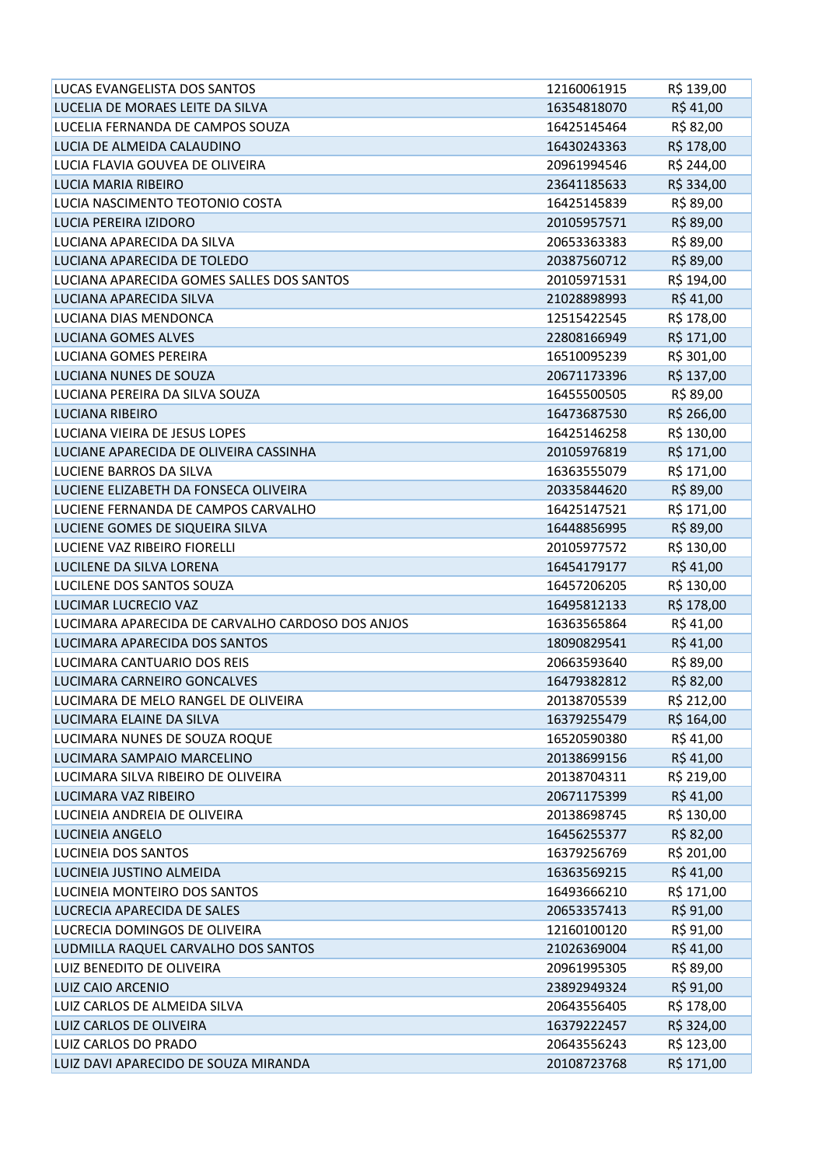| LUCAS EVANGELISTA DOS SANTOS                     | 12160061915 | R\$ 139,00             |
|--------------------------------------------------|-------------|------------------------|
| LUCELIA DE MORAES LEITE DA SILVA                 | 16354818070 | R\$41,00               |
| LUCELIA FERNANDA DE CAMPOS SOUZA                 | 16425145464 | R\$ 82,00              |
| LUCIA DE ALMEIDA CALAUDINO                       | 16430243363 | R\$ 178,00             |
| LUCIA FLAVIA GOUVEA DE OLIVEIRA                  | 20961994546 | R\$ 244,00             |
| LUCIA MARIA RIBEIRO                              | 23641185633 | R\$ 334,00             |
| LUCIA NASCIMENTO TEOTONIO COSTA                  | 16425145839 | R\$ 89,00              |
| <b>LUCIA PEREIRA IZIDORO</b>                     | 20105957571 | R\$ 89,00              |
| LUCIANA APARECIDA DA SILVA                       | 20653363383 | R\$ 89,00              |
| LUCIANA APARECIDA DE TOLEDO                      | 20387560712 | R\$ 89,00              |
| LUCIANA APARECIDA GOMES SALLES DOS SANTOS        | 20105971531 | R\$ 194,00             |
| LUCIANA APARECIDA SILVA                          | 21028898993 | R\$41,00               |
| LUCIANA DIAS MENDONCA                            | 12515422545 | R\$ 178,00             |
| LUCIANA GOMES ALVES                              | 22808166949 | R\$ 171,00             |
| LUCIANA GOMES PEREIRA                            | 16510095239 | R\$ 301,00             |
| LUCIANA NUNES DE SOUZA                           | 20671173396 | R\$ 137,00             |
| LUCIANA PEREIRA DA SILVA SOUZA                   | 16455500505 | R\$ 89,00              |
| <b>LUCIANA RIBEIRO</b>                           | 16473687530 | R\$ 266,00             |
| LUCIANA VIEIRA DE JESUS LOPES                    | 16425146258 | R\$ 130,00             |
| LUCIANE APARECIDA DE OLIVEIRA CASSINHA           | 20105976819 | R\$ 171,00             |
| LUCIENE BARROS DA SILVA                          | 16363555079 | R\$ 171,00             |
| LUCIENE ELIZABETH DA FONSECA OLIVEIRA            | 20335844620 | R\$ 89,00              |
| LUCIENE FERNANDA DE CAMPOS CARVALHO              | 16425147521 | R\$ 171,00             |
| LUCIENE GOMES DE SIQUEIRA SILVA                  | 16448856995 | R\$ 89,00              |
| LUCIENE VAZ RIBEIRO FIORELLI                     | 20105977572 | R\$ 130,00             |
|                                                  | 16454179177 | R\$41,00               |
| LUCILENE DA SILVA LORENA                         |             |                        |
| LUCILENE DOS SANTOS SOUZA                        | 16457206205 |                        |
| LUCIMAR LUCRECIO VAZ                             | 16495812133 | R\$ 130,00             |
| LUCIMARA APARECIDA DE CARVALHO CARDOSO DOS ANJOS | 16363565864 | R\$ 178,00<br>R\$41,00 |
| LUCIMARA APARECIDA DOS SANTOS                    | 18090829541 |                        |
| LUCIMARA CANTUARIO DOS REIS                      | 20663593640 | R\$41,00<br>R\$ 89,00  |
| LUCIMARA CARNEIRO GONCALVES                      | 16479382812 | R\$ 82,00              |
| LUCIMARA DE MELO RANGEL DE OLIVEIRA              | 20138705539 | R\$ 212,00             |
| LUCIMARA ELAINE DA SILVA                         | 16379255479 | R\$ 164,00             |
| LUCIMARA NUNES DE SOUZA ROQUE                    | 16520590380 | R\$41,00               |
| LUCIMARA SAMPAIO MARCELINO                       | 20138699156 | R\$41,00               |
| LUCIMARA SILVA RIBEIRO DE OLIVEIRA               | 20138704311 | R\$ 219,00             |
| LUCIMARA VAZ RIBEIRO                             | 20671175399 | R\$41,00               |
| LUCINEIA ANDREIA DE OLIVEIRA                     | 20138698745 | R\$ 130,00             |
| LUCINEIA ANGELO                                  | 16456255377 | R\$ 82,00              |
| LUCINEIA DOS SANTOS                              | 16379256769 | R\$ 201,00             |
| LUCINEIA JUSTINO ALMEIDA                         | 16363569215 | R\$41,00               |
| LUCINEIA MONTEIRO DOS SANTOS                     | 16493666210 | R\$ 171,00             |
| LUCRECIA APARECIDA DE SALES                      | 20653357413 | R\$ 91,00              |
| LUCRECIA DOMINGOS DE OLIVEIRA                    | 12160100120 | R\$ 91,00              |
| LUDMILLA RAQUEL CARVALHO DOS SANTOS              | 21026369004 | R\$41,00               |
| LUIZ BENEDITO DE OLIVEIRA                        | 20961995305 | R\$ 89,00              |
| LUIZ CAIO ARCENIO                                | 23892949324 | R\$ 91,00              |
| LUIZ CARLOS DE ALMEIDA SILVA                     | 20643556405 | R\$ 178,00             |
| LUIZ CARLOS DE OLIVEIRA                          | 16379222457 | R\$ 324,00             |
| LUIZ CARLOS DO PRADO                             | 20643556243 | R\$ 123,00             |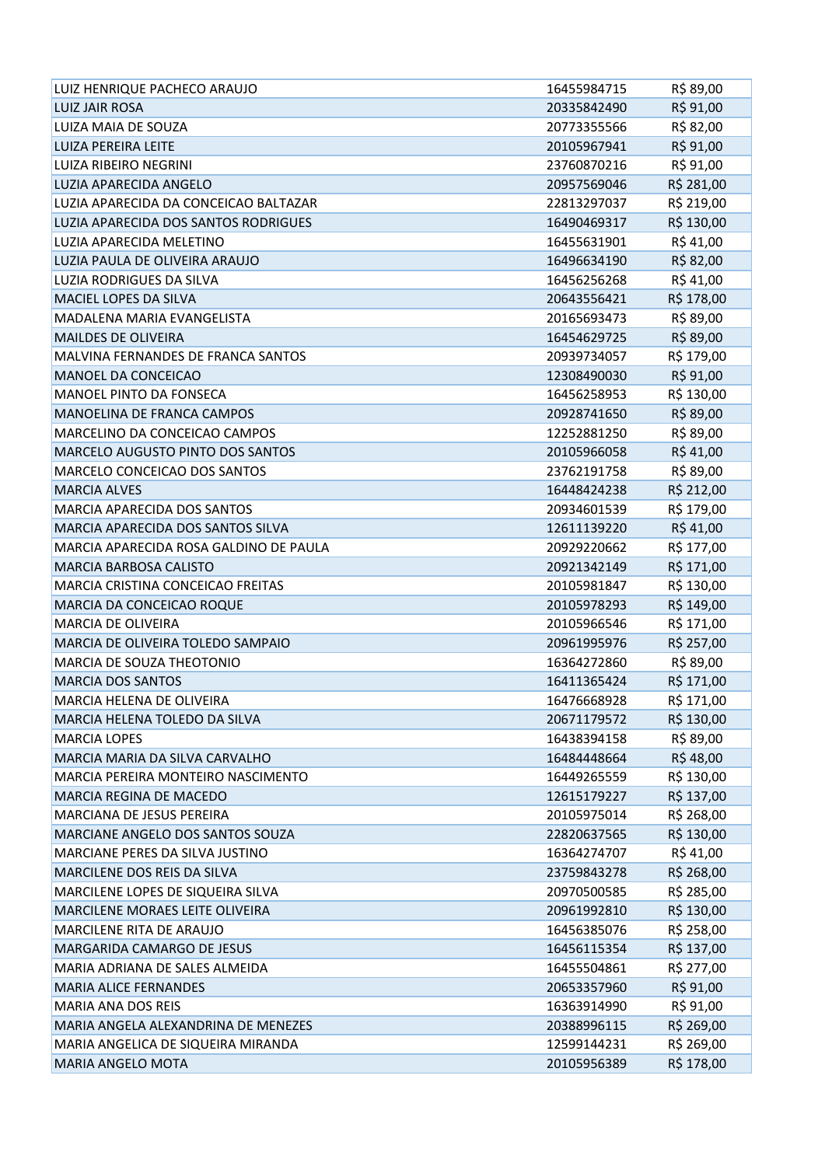| LUIZ HENRIQUE PACHECO ARAUJO             | 16455984715 | R\$ 89,00  |
|------------------------------------------|-------------|------------|
| <b>LUIZ JAIR ROSA</b>                    | 20335842490 | R\$ 91,00  |
| LUIZA MAIA DE SOUZA                      | 20773355566 | R\$ 82,00  |
| LUIZA PEREIRA LEITE                      | 20105967941 | R\$ 91,00  |
| LUIZA RIBEIRO NEGRINI                    | 23760870216 | R\$ 91,00  |
| LUZIA APARECIDA ANGELO                   | 20957569046 | R\$ 281,00 |
| LUZIA APARECIDA DA CONCEICAO BALTAZAR    | 22813297037 | R\$ 219,00 |
| LUZIA APARECIDA DOS SANTOS RODRIGUES     | 16490469317 | R\$ 130,00 |
| LUZIA APARECIDA MELETINO                 | 16455631901 | R\$41,00   |
| LUZIA PAULA DE OLIVEIRA ARAUJO           | 16496634190 | R\$ 82,00  |
| <b>LUZIA RODRIGUES DA SILVA</b>          | 16456256268 | R\$41,00   |
| MACIEL LOPES DA SILVA                    | 20643556421 | R\$ 178,00 |
| MADALENA MARIA EVANGELISTA               | 20165693473 | R\$ 89,00  |
| <b>MAILDES DE OLIVEIRA</b>               | 16454629725 | R\$ 89,00  |
| MALVINA FERNANDES DE FRANCA SANTOS       | 20939734057 | R\$ 179,00 |
| MANOEL DA CONCEICAO                      | 12308490030 | R\$ 91,00  |
| <b>MANOEL PINTO DA FONSECA</b>           | 16456258953 | R\$ 130,00 |
| MANOELINA DE FRANCA CAMPOS               | 20928741650 | R\$ 89,00  |
| MARCELINO DA CONCEICAO CAMPOS            | 12252881250 | R\$ 89,00  |
| MARCELO AUGUSTO PINTO DOS SANTOS         | 20105966058 | R\$41,00   |
| MARCELO CONCEICAO DOS SANTOS             | 23762191758 | R\$ 89,00  |
| <b>MARCIA ALVES</b>                      | 16448424238 | R\$ 212,00 |
| <b>MARCIA APARECIDA DOS SANTOS</b>       | 20934601539 | R\$ 179,00 |
| MARCIA APARECIDA DOS SANTOS SILVA        | 12611139220 | R\$41,00   |
| MARCIA APARECIDA ROSA GALDINO DE PAULA   | 20929220662 | R\$ 177,00 |
| <b>MARCIA BARBOSA CALISTO</b>            | 20921342149 | R\$ 171,00 |
| <b>MARCIA CRISTINA CONCEICAO FREITAS</b> | 20105981847 | R\$ 130,00 |
| MARCIA DA CONCEICAO ROQUE                | 20105978293 | R\$ 149,00 |
| <b>MARCIA DE OLIVEIRA</b>                | 20105966546 | R\$ 171,00 |
| MARCIA DE OLIVEIRA TOLEDO SAMPAIO        | 20961995976 | R\$ 257,00 |
| MARCIA DE SOUZA THEOTONIO                | 16364272860 | R\$ 89,00  |
| <b>MARCIA DOS SANTOS</b>                 | 16411365424 | R\$ 171,00 |
| MARCIA HELENA DE OLIVEIRA                | 16476668928 | R\$ 171,00 |
| MARCIA HELENA TOLEDO DA SILVA            | 20671179572 | R\$ 130,00 |
| <b>MARCIA LOPES</b>                      | 16438394158 | R\$ 89,00  |
| MARCIA MARIA DA SILVA CARVALHO           | 16484448664 | R\$48,00   |
| MARCIA PEREIRA MONTEIRO NASCIMENTO       | 16449265559 | R\$ 130,00 |
| MARCIA REGINA DE MACEDO                  | 12615179227 | R\$ 137,00 |
| MARCIANA DE JESUS PEREIRA                | 20105975014 | R\$ 268,00 |
| MARCIANE ANGELO DOS SANTOS SOUZA         | 22820637565 | R\$ 130,00 |
| MARCIANE PERES DA SILVA JUSTINO          | 16364274707 | R\$41,00   |
| MARCILENE DOS REIS DA SILVA              | 23759843278 | R\$ 268,00 |
| MARCILENE LOPES DE SIQUEIRA SILVA        | 20970500585 | R\$ 285,00 |
| MARCILENE MORAES LEITE OLIVEIRA          | 20961992810 | R\$ 130,00 |
| <b>MARCILENE RITA DE ARAUJO</b>          | 16456385076 | R\$ 258,00 |
| MARGARIDA CAMARGO DE JESUS               | 16456115354 | R\$ 137,00 |
| MARIA ADRIANA DE SALES ALMEIDA           | 16455504861 | R\$ 277,00 |
| <b>MARIA ALICE FERNANDES</b>             | 20653357960 | R\$ 91,00  |
| MARIA ANA DOS REIS                       | 16363914990 | R\$ 91,00  |
| MARIA ANGELA ALEXANDRINA DE MENEZES      | 20388996115 | R\$ 269,00 |
| MARIA ANGELICA DE SIQUEIRA MIRANDA       | 12599144231 | R\$ 269,00 |
| MARIA ANGELO MOTA                        | 20105956389 | R\$ 178,00 |
|                                          |             |            |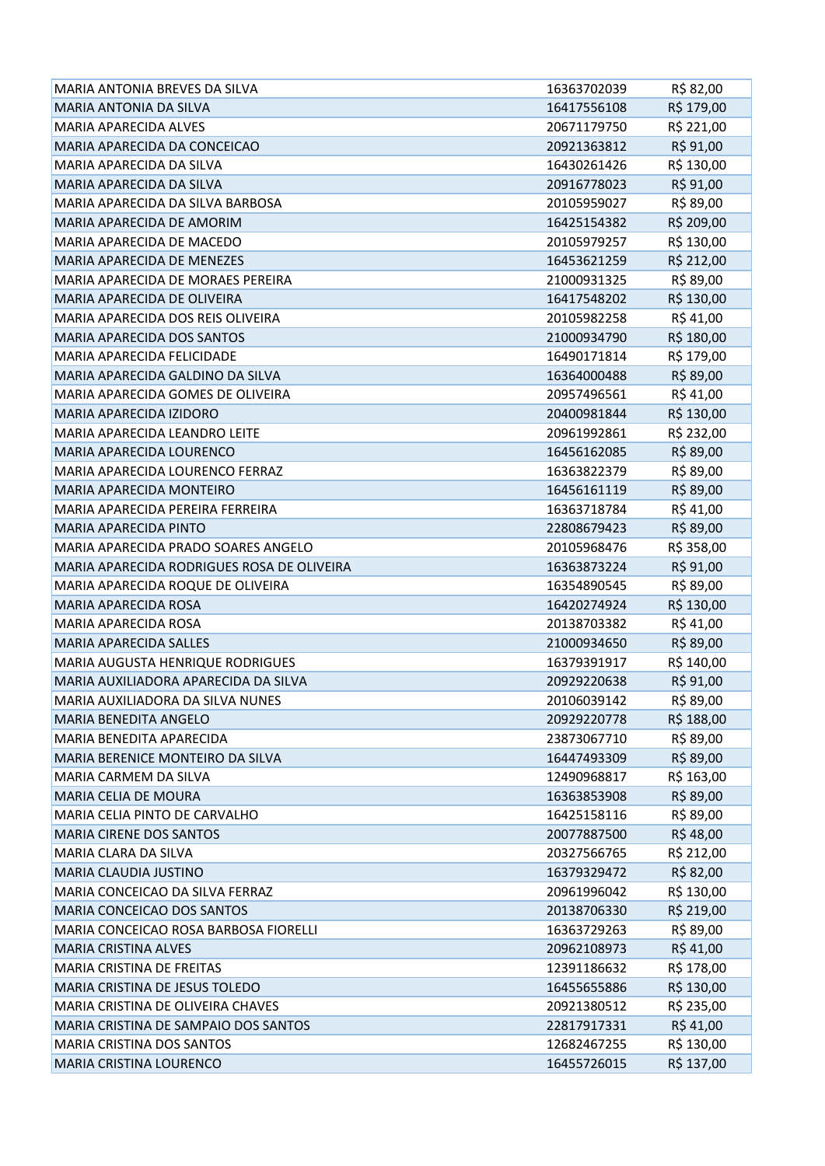| <b>MARIA ANTONIA BREVES DA SILVA</b>       | 16363702039 | R\$ 82,00               |
|--------------------------------------------|-------------|-------------------------|
| <b>MARIA ANTONIA DA SILVA</b>              | 16417556108 | R\$ 179,00              |
| <b>MARIA APARECIDA ALVES</b>               | 20671179750 | R\$ 221,00              |
| MARIA APARECIDA DA CONCEICAO               | 20921363812 | R\$ 91,00               |
| MARIA APARECIDA DA SILVA                   | 16430261426 | R\$ 130,00              |
| MARIA APARECIDA DA SILVA                   | 20916778023 | R\$ 91,00               |
| MARIA APARECIDA DA SILVA BARBOSA           | 20105959027 | R\$ 89,00               |
| <b>MARIA APARECIDA DE AMORIM</b>           | 16425154382 | R\$ 209,00              |
| MARIA APARECIDA DE MACEDO                  | 20105979257 | R\$ 130,00              |
| <b>MARIA APARECIDA DE MENEZES</b>          | 16453621259 | R\$ 212,00              |
| MARIA APARECIDA DE MORAES PEREIRA          | 21000931325 | R\$ 89,00               |
| MARIA APARECIDA DE OLIVEIRA                | 16417548202 | R\$ 130,00              |
| MARIA APARECIDA DOS REIS OLIVEIRA          | 20105982258 | R\$41,00                |
| <b>MARIA APARECIDA DOS SANTOS</b>          | 21000934790 | R\$ 180,00              |
| MARIA APARECIDA FELICIDADE                 | 16490171814 | R\$ 179,00              |
| MARIA APARECIDA GALDINO DA SILVA           | 16364000488 | R\$ 89,00               |
| MARIA APARECIDA GOMES DE OLIVEIRA          | 20957496561 | R\$ 41,00               |
| <b>MARIA APARECIDA IZIDORO</b>             | 20400981844 | R\$ 130,00              |
| MARIA APARECIDA LEANDRO LEITE              | 20961992861 | R\$ 232,00              |
| <b>MARIA APARECIDA LOURENCO</b>            | 16456162085 | R\$ 89,00               |
| MARIA APARECIDA LOURENCO FERRAZ            | 16363822379 | R\$ 89,00               |
| <b>MARIA APARECIDA MONTEIRO</b>            | 16456161119 | R\$ 89,00               |
| MARIA APARECIDA PEREIRA FERREIRA           | 16363718784 | R\$41,00                |
| <b>MARIA APARECIDA PINTO</b>               | 22808679423 | R\$ 89,00               |
| MARIA APARECIDA PRADO SOARES ANGELO        | 20105968476 | R\$ 358,00              |
| MARIA APARECIDA RODRIGUES ROSA DE OLIVEIRA | 16363873224 | R\$ 91,00               |
|                                            | 16354890545 |                         |
| MARIA APARECIDA ROQUE DE OLIVEIRA          |             |                         |
| <b>MARIA APARECIDA ROSA</b>                | 16420274924 | R\$ 89,00               |
| MARIA APARECIDA ROSA                       | 20138703382 | R\$ 130,00              |
| <b>MARIA APARECIDA SALLES</b>              | 21000934650 | R\$ 41,00               |
| MARIA AUGUSTA HENRIQUE RODRIGUES           | 16379391917 | R\$ 89,00               |
| MARIA AUXILIADORA APARECIDA DA SILVA       | 20929220638 | R\$ 140,00              |
| MARIA AUXILIADORA DA SILVA NUNES           | 20106039142 | R\$ 91,00               |
| <b>MARIA BENEDITA ANGELO</b>               | 20929220778 | R\$ 89,00               |
| <b>MARIA BENEDITA APARECIDA</b>            | 23873067710 | R\$ 188,00<br>R\$ 89,00 |
| MARIA BERENICE MONTEIRO DA SILVA           | 16447493309 |                         |
| <b>MARIA CARMEM DA SILVA</b>               | 12490968817 | R\$ 89,00               |
| <b>MARIA CELIA DE MOURA</b>                | 16363853908 | R\$ 163,00              |
| MARIA CELIA PINTO DE CARVALHO              | 16425158116 | R\$ 89,00<br>R\$ 89,00  |
| <b>MARIA CIRENE DOS SANTOS</b>             | 20077887500 | R\$48,00                |
| MARIA CLARA DA SILVA                       | 20327566765 | R\$ 212,00              |
| MARIA CLAUDIA JUSTINO                      | 16379329472 |                         |
| MARIA CONCEICAO DA SILVA FERRAZ            | 20961996042 | R\$ 82,00               |
| MARIA CONCEICAO DOS SANTOS                 | 20138706330 | R\$ 130,00              |
| MARIA CONCEICAO ROSA BARBOSA FIORELLI      | 16363729263 | R\$ 219,00<br>R\$ 89,00 |
| <b>MARIA CRISTINA ALVES</b>                | 20962108973 | R\$41,00                |
| MARIA CRISTINA DE FREITAS                  | 12391186632 |                         |
| MARIA CRISTINA DE JESUS TOLEDO             | 16455655886 | R\$ 178,00              |
| MARIA CRISTINA DE OLIVEIRA CHAVES          | 20921380512 | R\$ 130,00              |
| MARIA CRISTINA DE SAMPAIO DOS SANTOS       | 22817917331 | R\$ 235,00<br>R\$41,00  |
| <b>MARIA CRISTINA DOS SANTOS</b>           | 12682467255 | R\$ 130,00              |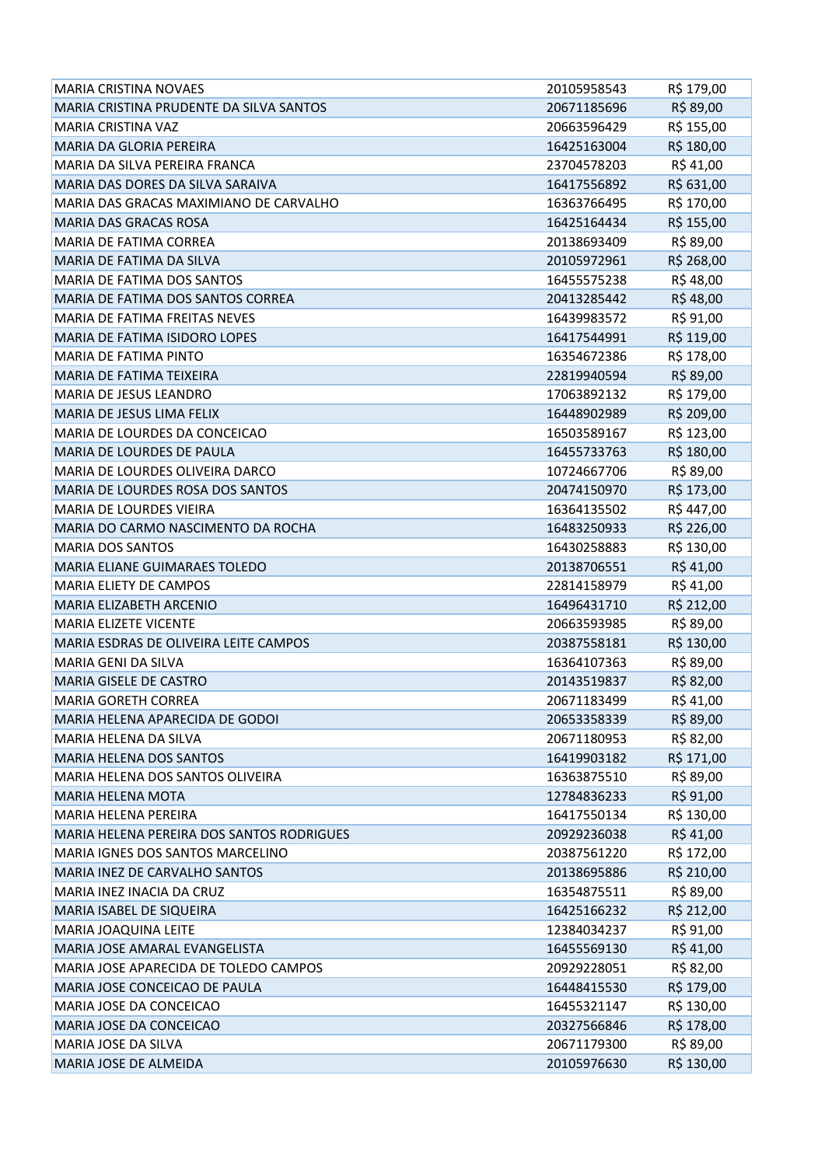| R\$ 89,00<br>MARIA CRISTINA PRUDENTE DA SILVA SANTOS<br>20671185696<br>R\$ 155,00<br><b>MARIA CRISTINA VAZ</b><br>20663596429<br>R\$ 180,00<br><b>MARIA DA GLORIA PEREIRA</b><br>16425163004<br>MARIA DA SILVA PEREIRA FRANCA<br>23704578203<br>R\$41,00<br>R\$ 631,00<br>MARIA DAS DORES DA SILVA SARAIVA<br>16417556892<br>R\$ 170,00<br>MARIA DAS GRACAS MAXIMIANO DE CARVALHO<br>16363766495<br>R\$ 155,00<br><b>MARIA DAS GRACAS ROSA</b><br>16425164434<br>R\$ 89,00<br><b>MARIA DE FATIMA CORREA</b><br>20138693409<br>R\$ 268,00<br><b>MARIA DE FATIMA DA SILVA</b><br>20105972961<br>R\$48,00<br><b>MARIA DE FATIMA DOS SANTOS</b><br>16455575238<br>R\$48,00<br>MARIA DE FATIMA DOS SANTOS CORREA<br>20413285442 |
|----------------------------------------------------------------------------------------------------------------------------------------------------------------------------------------------------------------------------------------------------------------------------------------------------------------------------------------------------------------------------------------------------------------------------------------------------------------------------------------------------------------------------------------------------------------------------------------------------------------------------------------------------------------------------------------------------------------------------|
|                                                                                                                                                                                                                                                                                                                                                                                                                                                                                                                                                                                                                                                                                                                            |
|                                                                                                                                                                                                                                                                                                                                                                                                                                                                                                                                                                                                                                                                                                                            |
|                                                                                                                                                                                                                                                                                                                                                                                                                                                                                                                                                                                                                                                                                                                            |
|                                                                                                                                                                                                                                                                                                                                                                                                                                                                                                                                                                                                                                                                                                                            |
|                                                                                                                                                                                                                                                                                                                                                                                                                                                                                                                                                                                                                                                                                                                            |
|                                                                                                                                                                                                                                                                                                                                                                                                                                                                                                                                                                                                                                                                                                                            |
|                                                                                                                                                                                                                                                                                                                                                                                                                                                                                                                                                                                                                                                                                                                            |
|                                                                                                                                                                                                                                                                                                                                                                                                                                                                                                                                                                                                                                                                                                                            |
|                                                                                                                                                                                                                                                                                                                                                                                                                                                                                                                                                                                                                                                                                                                            |
|                                                                                                                                                                                                                                                                                                                                                                                                                                                                                                                                                                                                                                                                                                                            |
|                                                                                                                                                                                                                                                                                                                                                                                                                                                                                                                                                                                                                                                                                                                            |
| R\$ 91,00<br><b>MARIA DE FATIMA FREITAS NEVES</b><br>16439983572                                                                                                                                                                                                                                                                                                                                                                                                                                                                                                                                                                                                                                                           |
| R\$ 119,00<br><b>MARIA DE FATIMA ISIDORO LOPES</b><br>16417544991                                                                                                                                                                                                                                                                                                                                                                                                                                                                                                                                                                                                                                                          |
| R\$ 178,00<br><b>MARIA DE FATIMA PINTO</b><br>16354672386                                                                                                                                                                                                                                                                                                                                                                                                                                                                                                                                                                                                                                                                  |
| R\$ 89,00<br><b>MARIA DE FATIMA TEIXEIRA</b><br>22819940594                                                                                                                                                                                                                                                                                                                                                                                                                                                                                                                                                                                                                                                                |
| R\$ 179,00<br><b>MARIA DE JESUS LEANDRO</b><br>17063892132                                                                                                                                                                                                                                                                                                                                                                                                                                                                                                                                                                                                                                                                 |
| R\$ 209,00<br>MARIA DE JESUS LIMA FELIX<br>16448902989                                                                                                                                                                                                                                                                                                                                                                                                                                                                                                                                                                                                                                                                     |
| R\$ 123,00<br>MARIA DE LOURDES DA CONCEICAO<br>16503589167                                                                                                                                                                                                                                                                                                                                                                                                                                                                                                                                                                                                                                                                 |
| R\$ 180,00<br>MARIA DE LOURDES DE PAULA<br>16455733763                                                                                                                                                                                                                                                                                                                                                                                                                                                                                                                                                                                                                                                                     |
| R\$ 89,00<br>MARIA DE LOURDES OLIVEIRA DARCO<br>10724667706                                                                                                                                                                                                                                                                                                                                                                                                                                                                                                                                                                                                                                                                |
| R\$ 173,00<br>MARIA DE LOURDES ROSA DOS SANTOS<br>20474150970                                                                                                                                                                                                                                                                                                                                                                                                                                                                                                                                                                                                                                                              |
| R\$447,00<br><b>MARIA DE LOURDES VIEIRA</b><br>16364135502                                                                                                                                                                                                                                                                                                                                                                                                                                                                                                                                                                                                                                                                 |
| R\$ 226,00<br>MARIA DO CARMO NASCIMENTO DA ROCHA<br>16483250933                                                                                                                                                                                                                                                                                                                                                                                                                                                                                                                                                                                                                                                            |
| <b>MARIA DOS SANTOS</b><br>R\$ 130,00<br>16430258883                                                                                                                                                                                                                                                                                                                                                                                                                                                                                                                                                                                                                                                                       |
| R\$41,00<br><b>MARIA ELIANE GUIMARAES TOLEDO</b><br>20138706551                                                                                                                                                                                                                                                                                                                                                                                                                                                                                                                                                                                                                                                            |
| R\$41,00<br><b>MARIA ELIETY DE CAMPOS</b><br>22814158979                                                                                                                                                                                                                                                                                                                                                                                                                                                                                                                                                                                                                                                                   |
| R\$ 212,00<br><b>MARIA ELIZABETH ARCENIO</b><br>16496431710                                                                                                                                                                                                                                                                                                                                                                                                                                                                                                                                                                                                                                                                |
| R\$ 89,00<br><b>MARIA ELIZETE VICENTE</b><br>20663593985                                                                                                                                                                                                                                                                                                                                                                                                                                                                                                                                                                                                                                                                   |
| R\$ 130,00<br>MARIA ESDRAS DE OLIVEIRA LEITE CAMPOS<br>20387558181                                                                                                                                                                                                                                                                                                                                                                                                                                                                                                                                                                                                                                                         |
| R\$ 89,00<br><b>MARIA GENI DA SILVA</b><br>16364107363                                                                                                                                                                                                                                                                                                                                                                                                                                                                                                                                                                                                                                                                     |
| R\$ 82,00<br><b>MARIA GISELE DE CASTRO</b><br>20143519837                                                                                                                                                                                                                                                                                                                                                                                                                                                                                                                                                                                                                                                                  |
| R\$41,00<br>MARIA GORETH CORREA<br>20671183499                                                                                                                                                                                                                                                                                                                                                                                                                                                                                                                                                                                                                                                                             |
| R\$ 89,00<br>MARIA HELENA APARECIDA DE GODOI<br>20653358339                                                                                                                                                                                                                                                                                                                                                                                                                                                                                                                                                                                                                                                                |
| R\$ 82,00<br>MARIA HELENA DA SILVA<br>20671180953                                                                                                                                                                                                                                                                                                                                                                                                                                                                                                                                                                                                                                                                          |
| R\$ 171,00<br><b>MARIA HELENA DOS SANTOS</b><br>16419903182                                                                                                                                                                                                                                                                                                                                                                                                                                                                                                                                                                                                                                                                |
| R\$ 89,00<br>MARIA HELENA DOS SANTOS OLIVEIRA<br>16363875510                                                                                                                                                                                                                                                                                                                                                                                                                                                                                                                                                                                                                                                               |
| R\$ 91,00<br><b>MARIA HELENA MOTA</b><br>12784836233                                                                                                                                                                                                                                                                                                                                                                                                                                                                                                                                                                                                                                                                       |
| R\$ 130,00<br><b>MARIA HELENA PEREIRA</b><br>16417550134                                                                                                                                                                                                                                                                                                                                                                                                                                                                                                                                                                                                                                                                   |
| R\$41,00<br><b>MARIA HELENA PEREIRA DOS SANTOS RODRIGUES</b><br>20929236038                                                                                                                                                                                                                                                                                                                                                                                                                                                                                                                                                                                                                                                |
| R\$ 172,00<br>MARIA IGNES DOS SANTOS MARCELINO<br>20387561220                                                                                                                                                                                                                                                                                                                                                                                                                                                                                                                                                                                                                                                              |
| R\$ 210,00<br>MARIA INEZ DE CARVALHO SANTOS<br>20138695886                                                                                                                                                                                                                                                                                                                                                                                                                                                                                                                                                                                                                                                                 |
| R\$ 89,00<br>MARIA INEZ INACIA DA CRUZ<br>16354875511                                                                                                                                                                                                                                                                                                                                                                                                                                                                                                                                                                                                                                                                      |
| R\$ 212,00<br><b>MARIA ISABEL DE SIQUEIRA</b><br>16425166232                                                                                                                                                                                                                                                                                                                                                                                                                                                                                                                                                                                                                                                               |
| R\$ 91,00<br><b>MARIA JOAQUINA LEITE</b><br>12384034237                                                                                                                                                                                                                                                                                                                                                                                                                                                                                                                                                                                                                                                                    |
| R\$41,00<br>MARIA JOSE AMARAL EVANGELISTA<br>16455569130                                                                                                                                                                                                                                                                                                                                                                                                                                                                                                                                                                                                                                                                   |
| R\$ 82,00<br>MARIA JOSE APARECIDA DE TOLEDO CAMPOS<br>20929228051                                                                                                                                                                                                                                                                                                                                                                                                                                                                                                                                                                                                                                                          |
| R\$ 179,00<br>MARIA JOSE CONCEICAO DE PAULA<br>16448415530                                                                                                                                                                                                                                                                                                                                                                                                                                                                                                                                                                                                                                                                 |
| R\$ 130,00<br>MARIA JOSE DA CONCEICAO<br>16455321147                                                                                                                                                                                                                                                                                                                                                                                                                                                                                                                                                                                                                                                                       |
| R\$ 178,00<br>MARIA JOSE DA CONCEICAO<br>20327566846                                                                                                                                                                                                                                                                                                                                                                                                                                                                                                                                                                                                                                                                       |
| R\$ 89,00<br>MARIA JOSE DA SILVA<br>20671179300                                                                                                                                                                                                                                                                                                                                                                                                                                                                                                                                                                                                                                                                            |
| R\$ 130,00<br>MARIA JOSE DE ALMEIDA<br>20105976630                                                                                                                                                                                                                                                                                                                                                                                                                                                                                                                                                                                                                                                                         |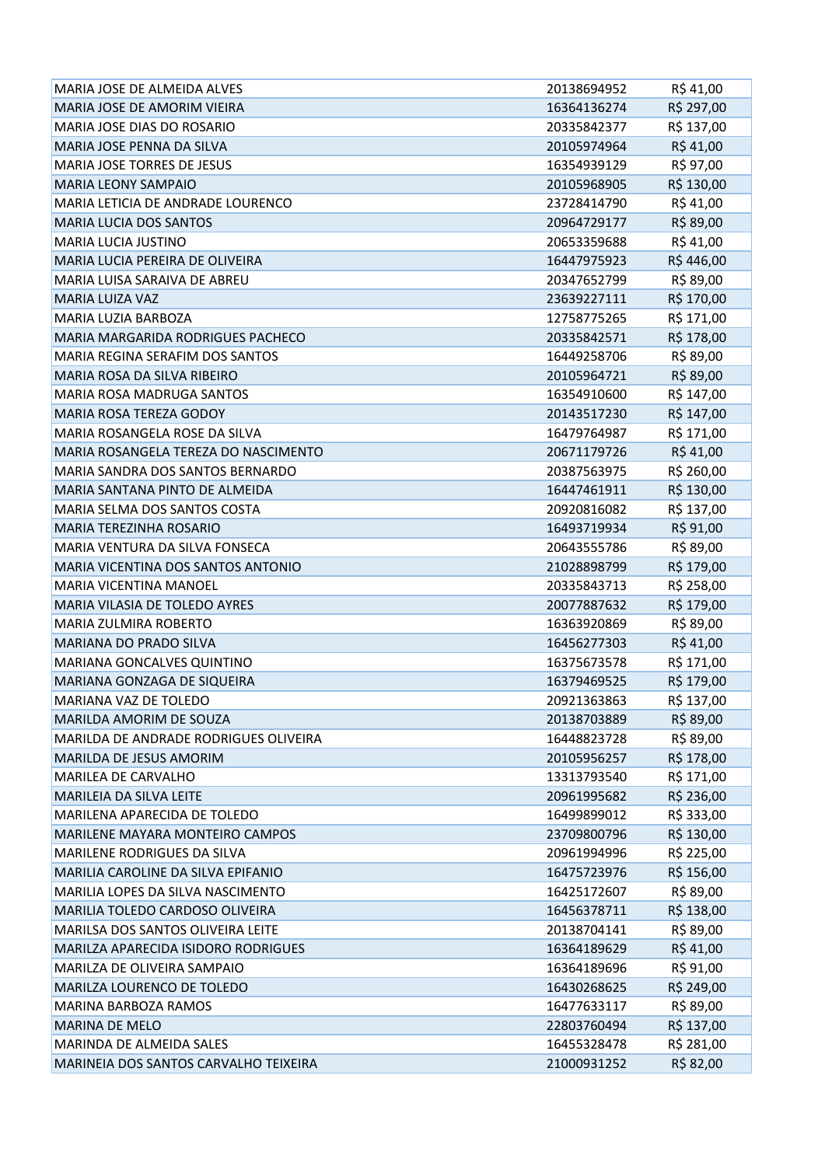| MARIA JOSE DE ALMEIDA ALVES              | 20138694952 | R\$41,00   |
|------------------------------------------|-------------|------------|
| MARIA JOSE DE AMORIM VIEIRA              | 16364136274 | R\$ 297,00 |
| MARIA JOSE DIAS DO ROSARIO               | 20335842377 | R\$ 137,00 |
| MARIA JOSE PENNA DA SILVA                | 20105974964 | R\$41,00   |
| MARIA JOSE TORRES DE JESUS               | 16354939129 | R\$ 97,00  |
| <b>MARIA LEONY SAMPAIO</b>               | 20105968905 | R\$ 130,00 |
| MARIA LETICIA DE ANDRADE LOURENCO        | 23728414790 | R\$ 41,00  |
| <b>MARIA LUCIA DOS SANTOS</b>            | 20964729177 | R\$ 89,00  |
| <b>MARIA LUCIA JUSTINO</b>               | 20653359688 | R\$ 41,00  |
| MARIA LUCIA PEREIRA DE OLIVEIRA          | 16447975923 | R\$446,00  |
| MARIA LUISA SARAIVA DE ABREU             | 20347652799 | R\$ 89,00  |
| <b>MARIA LUIZA VAZ</b>                   | 23639227111 | R\$ 170,00 |
| <b>MARIA LUZIA BARBOZA</b>               | 12758775265 | R\$ 171,00 |
| <b>MARIA MARGARIDA RODRIGUES PACHECO</b> | 20335842571 | R\$ 178,00 |
| MARIA REGINA SERAFIM DOS SANTOS          | 16449258706 | R\$ 89,00  |
| MARIA ROSA DA SILVA RIBEIRO              | 20105964721 | R\$ 89,00  |
| <b>MARIA ROSA MADRUGA SANTOS</b>         | 16354910600 | R\$ 147,00 |
| MARIA ROSA TEREZA GODOY                  | 20143517230 | R\$ 147,00 |
| MARIA ROSANGELA ROSE DA SILVA            | 16479764987 | R\$ 171,00 |
| MARIA ROSANGELA TEREZA DO NASCIMENTO     | 20671179726 | R\$41,00   |
| MARIA SANDRA DOS SANTOS BERNARDO         | 20387563975 | R\$ 260,00 |
| MARIA SANTANA PINTO DE ALMEIDA           | 16447461911 | R\$ 130,00 |
| MARIA SELMA DOS SANTOS COSTA             | 20920816082 | R\$ 137,00 |
| MARIA TEREZINHA ROSARIO                  | 16493719934 | R\$ 91,00  |
| MARIA VENTURA DA SILVA FONSECA           | 20643555786 | R\$ 89,00  |
| MARIA VICENTINA DOS SANTOS ANTONIO       | 21028898799 | R\$ 179,00 |
| <b>MARIA VICENTINA MANOEL</b>            | 20335843713 | R\$ 258,00 |
| MARIA VILASIA DE TOLEDO AYRES            | 20077887632 | R\$ 179,00 |
| <b>MARIA ZULMIRA ROBERTO</b>             | 16363920869 | R\$ 89,00  |
| MARIANA DO PRADO SILVA                   | 16456277303 | R\$41,00   |
| MARIANA GONCALVES QUINTINO               | 16375673578 | R\$ 171,00 |
| MARIANA GONZAGA DE SIQUEIRA              | 16379469525 | R\$ 179,00 |
| MARIANA VAZ DE TOLEDO                    | 20921363863 | R\$ 137,00 |
| MARILDA AMORIM DE SOUZA                  | 20138703889 | R\$ 89,00  |
| MARILDA DE ANDRADE RODRIGUES OLIVEIRA    | 16448823728 | R\$ 89,00  |
| MARILDA DE JESUS AMORIM                  | 20105956257 | R\$ 178,00 |
| <b>MARILEA DE CARVALHO</b>               | 13313793540 | R\$ 171,00 |
| <b>MARILEIA DA SILVA LEITE</b>           | 20961995682 | R\$ 236,00 |
| MARILENA APARECIDA DE TOLEDO             | 16499899012 | R\$ 333,00 |
| <b>MARILENE MAYARA MONTEIRO CAMPOS</b>   | 23709800796 | R\$ 130,00 |
| MARILENE RODRIGUES DA SILVA              | 20961994996 | R\$ 225,00 |
| MARILIA CAROLINE DA SILVA EPIFANIO       | 16475723976 | R\$ 156,00 |
| MARILIA LOPES DA SILVA NASCIMENTO        | 16425172607 | R\$ 89,00  |
| MARILIA TOLEDO CARDOSO OLIVEIRA          | 16456378711 | R\$ 138,00 |
| MARILSA DOS SANTOS OLIVEIRA LEITE        | 20138704141 | R\$ 89,00  |
| MARILZA APARECIDA ISIDORO RODRIGUES      | 16364189629 | R\$41,00   |
| MARILZA DE OLIVEIRA SAMPAIO              | 16364189696 | R\$ 91,00  |
| MARILZA LOURENCO DE TOLEDO               | 16430268625 | R\$ 249,00 |
| MARINA BARBOZA RAMOS                     | 16477633117 | R\$ 89,00  |
| <b>MARINA DE MELO</b>                    | 22803760494 | R\$ 137,00 |
| MARINDA DE ALMEIDA SALES                 | 16455328478 | R\$ 281,00 |
| MARINEIA DOS SANTOS CARVALHO TEIXEIRA    | 21000931252 | R\$ 82,00  |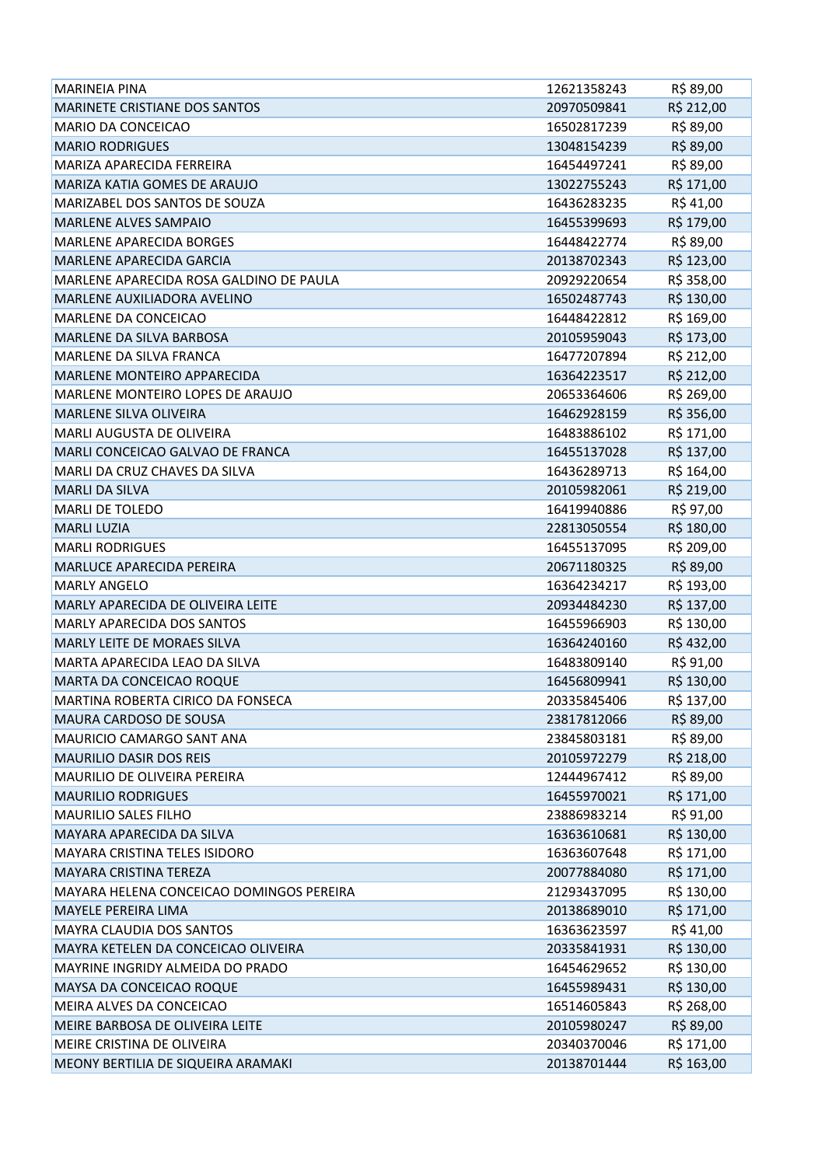| <b>MARINEIA PINA</b>                     | 12621358243 | R\$ 89,00  |
|------------------------------------------|-------------|------------|
| <b>MARINETE CRISTIANE DOS SANTOS</b>     | 20970509841 | R\$ 212,00 |
| <b>MARIO DA CONCEICAO</b>                | 16502817239 | R\$ 89,00  |
| <b>MARIO RODRIGUES</b>                   | 13048154239 | R\$ 89,00  |
| MARIZA APARECIDA FERREIRA                | 16454497241 | R\$ 89,00  |
| MARIZA KATIA GOMES DE ARAUJO             | 13022755243 | R\$ 171,00 |
| MARIZABEL DOS SANTOS DE SOUZA            | 16436283235 | R\$41,00   |
| <b>MARLENE ALVES SAMPAIO</b>             | 16455399693 | R\$ 179,00 |
| <b>MARLENE APARECIDA BORGES</b>          | 16448422774 | R\$ 89,00  |
| <b>MARLENE APARECIDA GARCIA</b>          | 20138702343 | R\$ 123,00 |
| MARLENE APARECIDA ROSA GALDINO DE PAULA  | 20929220654 | R\$ 358,00 |
| MARLENE AUXILIADORA AVELINO              | 16502487743 | R\$ 130,00 |
| MARLENE DA CONCEICAO                     | 16448422812 | R\$ 169,00 |
| MARLENE DA SILVA BARBOSA                 | 20105959043 | R\$ 173,00 |
| <b>MARLENE DA SILVA FRANCA</b>           | 16477207894 | R\$ 212,00 |
| <b>MARLENE MONTEIRO APPARECIDA</b>       | 16364223517 | R\$ 212,00 |
| MARLENE MONTEIRO LOPES DE ARAUJO         | 20653364606 | R\$ 269,00 |
| MARLENE SILVA OLIVEIRA                   | 16462928159 | R\$ 356,00 |
| <b>MARLI AUGUSTA DE OLIVEIRA</b>         | 16483886102 | R\$ 171,00 |
| MARLI CONCEICAO GALVAO DE FRANCA         | 16455137028 | R\$ 137,00 |
| MARLI DA CRUZ CHAVES DA SILVA            | 16436289713 | R\$ 164,00 |
| <b>MARLI DA SILVA</b>                    | 20105982061 | R\$ 219,00 |
| <b>MARLI DE TOLEDO</b>                   | 16419940886 | R\$ 97,00  |
| <b>MARLI LUZIA</b>                       | 22813050554 | R\$ 180,00 |
| <b>MARLI RODRIGUES</b>                   | 16455137095 | R\$ 209,00 |
| <b>MARLUCE APARECIDA PEREIRA</b>         | 20671180325 | R\$ 89,00  |
| <b>MARLY ANGELO</b>                      | 16364234217 | R\$ 193,00 |
| MARLY APARECIDA DE OLIVEIRA LEITE        | 20934484230 | R\$ 137,00 |
| MARLY APARECIDA DOS SANTOS               | 16455966903 | R\$ 130,00 |
| MARLY LEITE DE MORAES SILVA              | 16364240160 | R\$432,00  |
| MARTA APARECIDA LEAO DA SILVA            | 16483809140 | R\$ 91,00  |
| MARTA DA CONCEICAO ROQUE                 | 16456809941 | R\$ 130,00 |
| MARTINA ROBERTA CIRICO DA FONSECA        | 20335845406 | R\$ 137,00 |
| MAURA CARDOSO DE SOUSA                   | 23817812066 | R\$ 89,00  |
| MAURICIO CAMARGO SANT ANA                | 23845803181 | R\$ 89,00  |
| MAURILIO DASIR DOS REIS                  | 20105972279 | R\$ 218,00 |
| MAURILIO DE OLIVEIRA PEREIRA             | 12444967412 | R\$ 89,00  |
| <b>MAURILIO RODRIGUES</b>                | 16455970021 | R\$ 171,00 |
| <b>MAURILIO SALES FILHO</b>              | 23886983214 | R\$ 91,00  |
| MAYARA APARECIDA DA SILVA                | 16363610681 | R\$ 130,00 |
| MAYARA CRISTINA TELES ISIDORO            | 16363607648 | R\$ 171,00 |
| <b>MAYARA CRISTINA TEREZA</b>            | 20077884080 | R\$ 171,00 |
| MAYARA HELENA CONCEICAO DOMINGOS PEREIRA | 21293437095 | R\$ 130,00 |
| <b>MAYELE PEREIRA LIMA</b>               | 20138689010 | R\$ 171,00 |
| MAYRA CLAUDIA DOS SANTOS                 | 16363623597 | R\$41,00   |
| MAYRA KETELEN DA CONCEICAO OLIVEIRA      | 20335841931 | R\$ 130,00 |
| MAYRINE INGRIDY ALMEIDA DO PRADO         | 16454629652 | R\$ 130,00 |
| MAYSA DA CONCEICAO ROQUE                 | 16455989431 | R\$ 130,00 |
| MEIRA ALVES DA CONCEICAO                 | 16514605843 | R\$ 268,00 |
| MEIRE BARBOSA DE OLIVEIRA LEITE          | 20105980247 | R\$ 89,00  |
| MEIRE CRISTINA DE OLIVEIRA               | 20340370046 | R\$ 171,00 |
| MEONY BERTILIA DE SIQUEIRA ARAMAKI       | 20138701444 | R\$ 163,00 |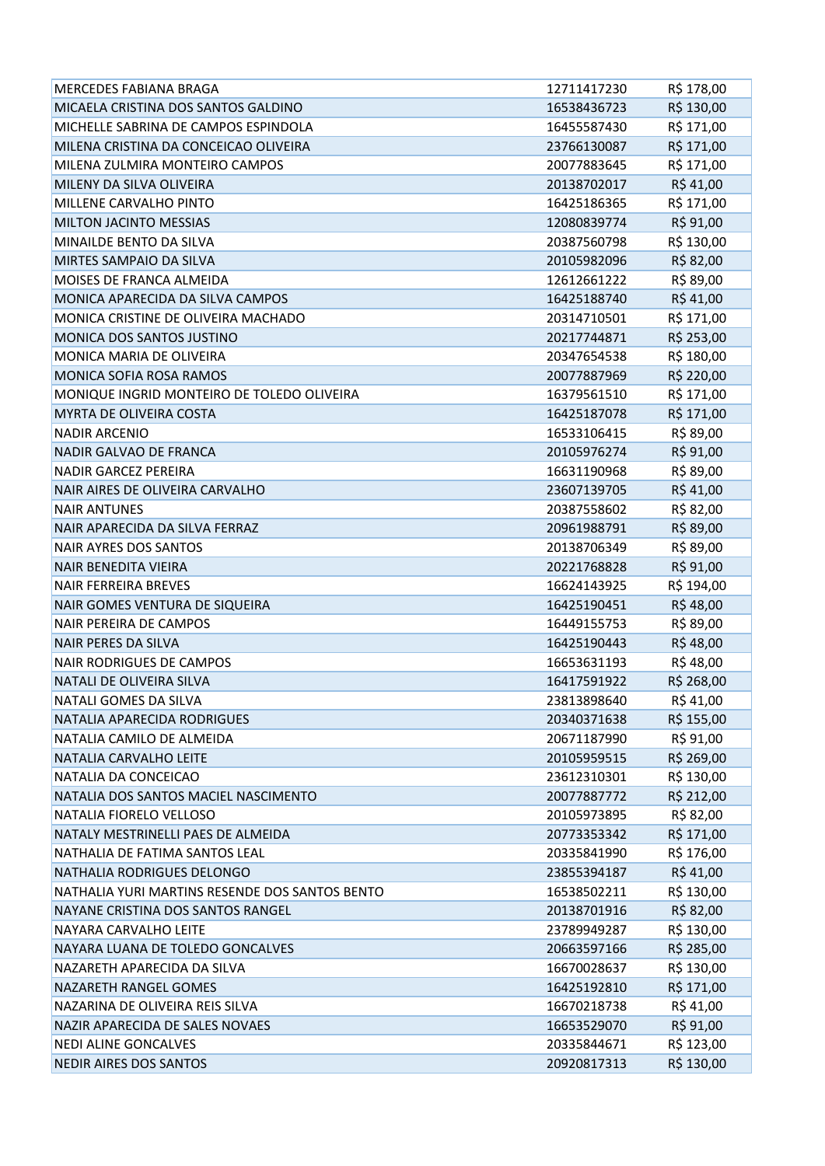| <b>MERCEDES FABIANA BRAGA</b>                  | 12711417230 | R\$ 178,00 |
|------------------------------------------------|-------------|------------|
| MICAELA CRISTINA DOS SANTOS GALDINO            | 16538436723 | R\$ 130,00 |
| MICHELLE SABRINA DE CAMPOS ESPINDOLA           | 16455587430 | R\$ 171,00 |
| MILENA CRISTINA DA CONCEICAO OLIVEIRA          | 23766130087 | R\$ 171,00 |
| MILENA ZULMIRA MONTEIRO CAMPOS                 | 20077883645 | R\$ 171,00 |
| MILENY DA SILVA OLIVEIRA                       | 20138702017 | R\$ 41,00  |
| <b>MILLENE CARVALHO PINTO</b>                  | 16425186365 | R\$ 171,00 |
| MILTON JACINTO MESSIAS                         | 12080839774 | R\$ 91,00  |
| MINAILDE BENTO DA SILVA                        | 20387560798 | R\$ 130,00 |
| MIRTES SAMPAIO DA SILVA                        | 20105982096 | R\$ 82,00  |
| MOISES DE FRANCA ALMEIDA                       | 12612661222 | R\$ 89,00  |
| MONICA APARECIDA DA SILVA CAMPOS               | 16425188740 | R\$41,00   |
| MONICA CRISTINE DE OLIVEIRA MACHADO            | 20314710501 | R\$ 171,00 |
| MONICA DOS SANTOS JUSTINO                      | 20217744871 | R\$ 253,00 |
| MONICA MARIA DE OLIVEIRA                       | 20347654538 | R\$ 180,00 |
| MONICA SOFIA ROSA RAMOS                        | 20077887969 | R\$ 220,00 |
| MONIQUE INGRID MONTEIRO DE TOLEDO OLIVEIRA     | 16379561510 | R\$ 171,00 |
| MYRTA DE OLIVEIRA COSTA                        | 16425187078 | R\$ 171,00 |
| <b>NADIR ARCENIO</b>                           | 16533106415 | R\$ 89,00  |
| NADIR GALVAO DE FRANCA                         | 20105976274 | R\$ 91,00  |
| <b>NADIR GARCEZ PEREIRA</b>                    | 16631190968 | R\$ 89,00  |
| NAIR AIRES DE OLIVEIRA CARVALHO                | 23607139705 | R\$41,00   |
| <b>NAIR ANTUNES</b>                            | 20387558602 | R\$ 82,00  |
| NAIR APARECIDA DA SILVA FERRAZ                 | 20961988791 | R\$ 89,00  |
| <b>NAIR AYRES DOS SANTOS</b>                   | 20138706349 | R\$ 89,00  |
| <b>NAIR BENEDITA VIEIRA</b>                    | 20221768828 | R\$ 91,00  |
| <b>NAIR FERREIRA BREVES</b>                    | 16624143925 | R\$ 194,00 |
| NAIR GOMES VENTURA DE SIQUEIRA                 | 16425190451 | R\$48,00   |
| <b>NAIR PEREIRA DE CAMPOS</b>                  | 16449155753 | R\$ 89,00  |
| <b>NAIR PERES DA SILVA</b>                     | 16425190443 | R\$48,00   |
| <b>NAIR RODRIGUES DE CAMPOS</b>                | 16653631193 | R\$48,00   |
| NATALI DE OLIVEIRA SILVA                       | 16417591922 | R\$ 268,00 |
| NATALI GOMES DA SILVA                          | 23813898640 | R\$ 41,00  |
| NATALIA APARECIDA RODRIGUES                    | 20340371638 | R\$ 155,00 |
| NATALIA CAMILO DE ALMEIDA                      | 20671187990 | R\$ 91,00  |
| NATALIA CARVALHO LEITE                         | 20105959515 | R\$ 269,00 |
| NATALIA DA CONCEICAO                           | 23612310301 | R\$ 130,00 |
| NATALIA DOS SANTOS MACIEL NASCIMENTO           | 20077887772 | R\$ 212,00 |
| NATALIA FIORELO VELLOSO                        | 20105973895 | R\$ 82,00  |
| NATALY MESTRINELLI PAES DE ALMEIDA             | 20773353342 | R\$ 171,00 |
| NATHALIA DE FATIMA SANTOS LEAL                 | 20335841990 | R\$ 176,00 |
| NATHALIA RODRIGUES DELONGO                     | 23855394187 | R\$41,00   |
| NATHALIA YURI MARTINS RESENDE DOS SANTOS BENTO | 16538502211 | R\$ 130,00 |
| NAYANE CRISTINA DOS SANTOS RANGEL              | 20138701916 | R\$ 82,00  |
| NAYARA CARVALHO LEITE                          | 23789949287 | R\$ 130,00 |
| NAYARA LUANA DE TOLEDO GONCALVES               | 20663597166 | R\$ 285,00 |
| NAZARETH APARECIDA DA SILVA                    | 16670028637 | R\$ 130,00 |
| NAZARETH RANGEL GOMES                          | 16425192810 | R\$ 171,00 |
| NAZARINA DE OLIVEIRA REIS SILVA                | 16670218738 | R\$ 41,00  |
| NAZIR APARECIDA DE SALES NOVAES                | 16653529070 | R\$ 91,00  |
| <b>NEDI ALINE GONCALVES</b>                    | 20335844671 | R\$ 123,00 |
| <b>NEDIR AIRES DOS SANTOS</b>                  | 20920817313 | R\$ 130,00 |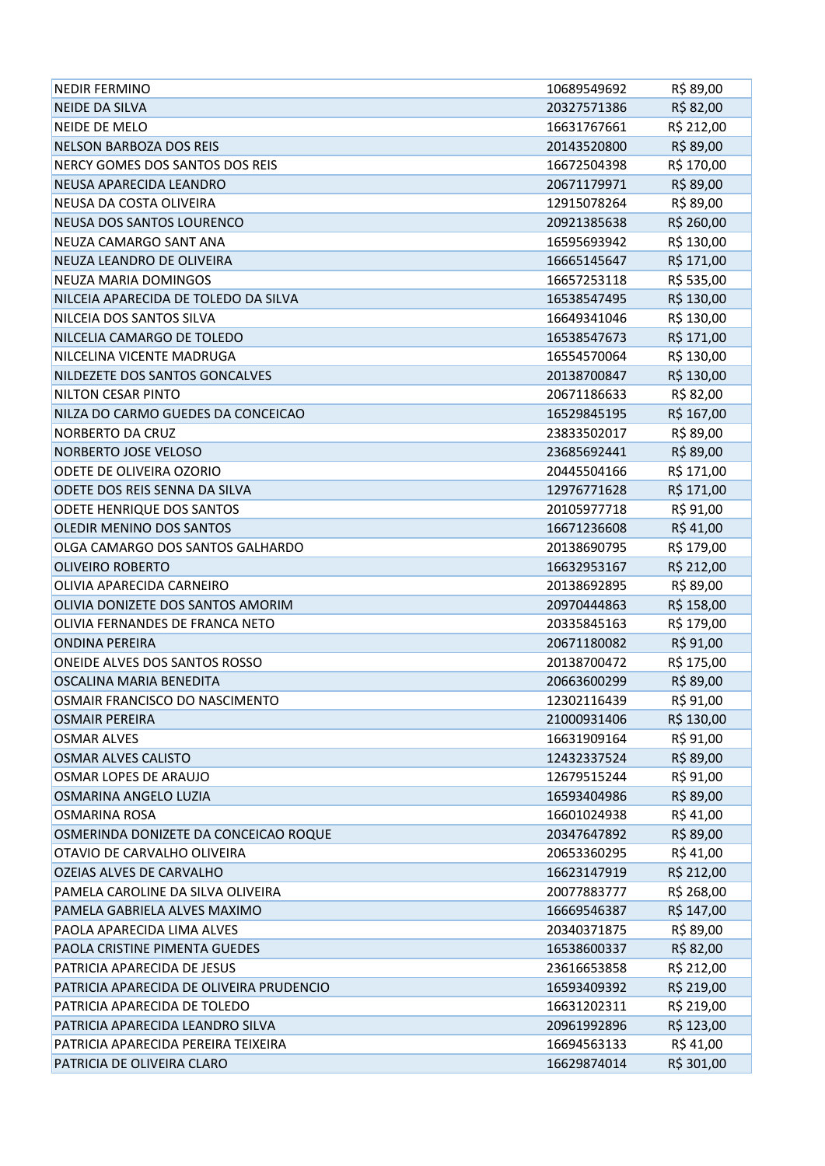| <b>NEDIR FERMINO</b>                     | 10689549692 | R\$ 89,00  |
|------------------------------------------|-------------|------------|
| <b>NEIDE DA SILVA</b>                    | 20327571386 | R\$ 82,00  |
| <b>NEIDE DE MELO</b>                     | 16631767661 | R\$ 212,00 |
| NELSON BARBOZA DOS REIS                  | 20143520800 | R\$ 89,00  |
| NERCY GOMES DOS SANTOS DOS REIS          | 16672504398 | R\$ 170,00 |
| NEUSA APARECIDA LEANDRO                  | 20671179971 | R\$ 89,00  |
| NEUSA DA COSTA OLIVEIRA                  | 12915078264 | R\$ 89,00  |
| NEUSA DOS SANTOS LOURENCO                | 20921385638 | R\$ 260,00 |
| NEUZA CAMARGO SANT ANA                   | 16595693942 | R\$ 130,00 |
| NEUZA LEANDRO DE OLIVEIRA                | 16665145647 | R\$ 171,00 |
| NEUZA MARIA DOMINGOS                     | 16657253118 | R\$ 535,00 |
| NILCEIA APARECIDA DE TOLEDO DA SILVA     | 16538547495 | R\$ 130,00 |
| NILCEIA DOS SANTOS SILVA                 | 16649341046 | R\$ 130,00 |
| NILCELIA CAMARGO DE TOLEDO               | 16538547673 | R\$ 171,00 |
| NILCELINA VICENTE MADRUGA                | 16554570064 | R\$ 130,00 |
| NILDEZETE DOS SANTOS GONCALVES           | 20138700847 | R\$ 130,00 |
| NILTON CESAR PINTO                       | 20671186633 | R\$ 82,00  |
| NILZA DO CARMO GUEDES DA CONCEICAO       | 16529845195 | R\$ 167,00 |
| NORBERTO DA CRUZ                         | 23833502017 | R\$ 89,00  |
| NORBERTO JOSE VELOSO                     | 23685692441 | R\$ 89,00  |
| ODETE DE OLIVEIRA OZORIO                 | 20445504166 | R\$ 171,00 |
| ODETE DOS REIS SENNA DA SILVA            | 12976771628 | R\$ 171,00 |
| ODETE HENRIQUE DOS SANTOS                | 20105977718 | R\$ 91,00  |
| OLEDIR MENINO DOS SANTOS                 | 16671236608 | R\$41,00   |
| OLGA CAMARGO DOS SANTOS GALHARDO         | 20138690795 | R\$ 179,00 |
| <b>OLIVEIRO ROBERTO</b>                  | 16632953167 | R\$ 212,00 |
| OLIVIA APARECIDA CARNEIRO                | 20138692895 | R\$ 89,00  |
| OLIVIA DONIZETE DOS SANTOS AMORIM        | 20970444863 | R\$ 158,00 |
| OLIVIA FERNANDES DE FRANCA NETO          | 20335845163 | R\$ 179,00 |
| <b>ONDINA PEREIRA</b>                    | 20671180082 | R\$ 91,00  |
| ONEIDE ALVES DOS SANTOS ROSSO            | 20138700472 | R\$ 175,00 |
| OSCALINA MARIA BENEDITA                  | 20663600299 | R\$ 89,00  |
| OSMAIR FRANCISCO DO NASCIMENTO           | 12302116439 | R\$ 91,00  |
| <b>OSMAIR PEREIRA</b>                    | 21000931406 | R\$ 130,00 |
| <b>OSMAR ALVES</b>                       | 16631909164 | R\$ 91,00  |
| <b>OSMAR ALVES CALISTO</b>               | 12432337524 | R\$ 89,00  |
| OSMAR LOPES DE ARAUJO                    | 12679515244 | R\$ 91,00  |
| OSMARINA ANGELO LUZIA                    | 16593404986 | R\$ 89,00  |
| <b>OSMARINA ROSA</b>                     | 16601024938 | R\$41,00   |
| OSMERINDA DONIZETE DA CONCEICAO ROQUE    | 20347647892 | R\$ 89,00  |
| OTAVIO DE CARVALHO OLIVEIRA              | 20653360295 | R\$41,00   |
| OZEIAS ALVES DE CARVALHO                 | 16623147919 | R\$ 212,00 |
| PAMELA CAROLINE DA SILVA OLIVEIRA        | 20077883777 | R\$ 268,00 |
| PAMELA GABRIELA ALVES MAXIMO             | 16669546387 | R\$ 147,00 |
| PAOLA APARECIDA LIMA ALVES               | 20340371875 | R\$ 89,00  |
| PAOLA CRISTINE PIMENTA GUEDES            | 16538600337 | R\$ 82,00  |
| PATRICIA APARECIDA DE JESUS              | 23616653858 | R\$ 212,00 |
| PATRICIA APARECIDA DE OLIVEIRA PRUDENCIO | 16593409392 | R\$ 219,00 |
| PATRICIA APARECIDA DE TOLEDO             | 16631202311 | R\$ 219,00 |
| PATRICIA APARECIDA LEANDRO SILVA         | 20961992896 | R\$ 123,00 |
| PATRICIA APARECIDA PEREIRA TEIXEIRA      | 16694563133 | R\$41,00   |
| PATRICIA DE OLIVEIRA CLARO               | 16629874014 | R\$ 301,00 |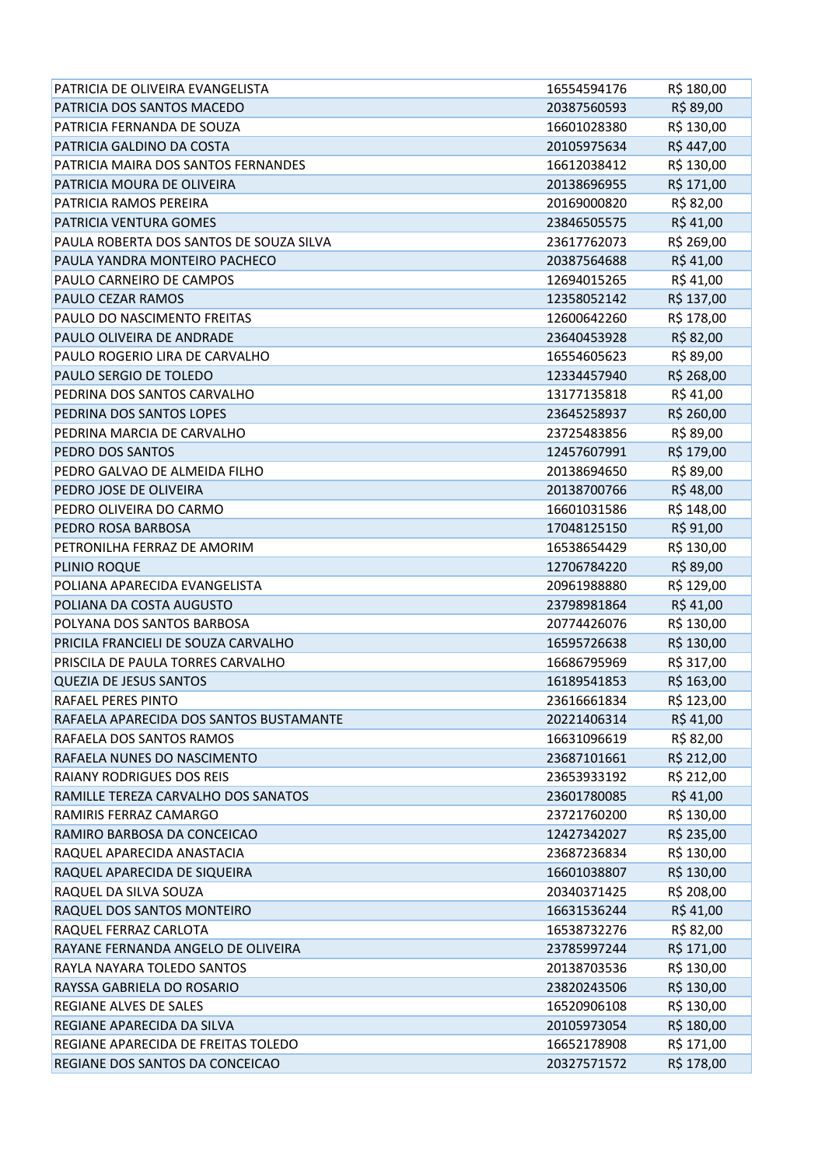| PATRICIA DE OLIVEIRA EVANGELISTA        | 16554594176 | R\$ 180,00 |
|-----------------------------------------|-------------|------------|
| PATRICIA DOS SANTOS MACEDO              | 20387560593 | R\$ 89,00  |
| PATRICIA FERNANDA DE SOUZA              | 16601028380 | R\$ 130,00 |
| PATRICIA GALDINO DA COSTA               | 20105975634 | R\$447,00  |
| PATRICIA MAIRA DOS SANTOS FERNANDES     | 16612038412 | R\$ 130,00 |
| PATRICIA MOURA DE OLIVEIRA              | 20138696955 | R\$ 171,00 |
| PATRICIA RAMOS PEREIRA                  | 20169000820 | R\$ 82,00  |
| <b>PATRICIA VENTURA GOMES</b>           | 23846505575 | R\$41,00   |
| PAULA ROBERTA DOS SANTOS DE SOUZA SILVA | 23617762073 | R\$ 269,00 |
| PAULA YANDRA MONTEIRO PACHECO           | 20387564688 | R\$41,00   |
| PAULO CARNEIRO DE CAMPOS                | 12694015265 | R\$41,00   |
| PAULO CEZAR RAMOS                       | 12358052142 | R\$ 137,00 |
| PAULO DO NASCIMENTO FREITAS             | 12600642260 | R\$ 178,00 |
| PAULO OLIVEIRA DE ANDRADE               | 23640453928 | R\$ 82,00  |
| PAULO ROGERIO LIRA DE CARVALHO          | 16554605623 | R\$ 89,00  |
| PAULO SERGIO DE TOLEDO                  | 12334457940 | R\$ 268,00 |
| PEDRINA DOS SANTOS CARVALHO             | 13177135818 | R\$ 41,00  |
| PEDRINA DOS SANTOS LOPES                | 23645258937 | R\$ 260,00 |
| PEDRINA MARCIA DE CARVALHO              | 23725483856 | R\$ 89,00  |
| PEDRO DOS SANTOS                        | 12457607991 | R\$ 179,00 |
| PEDRO GALVAO DE ALMEIDA FILHO           | 20138694650 | R\$ 89,00  |
| PEDRO JOSE DE OLIVEIRA                  | 20138700766 | R\$48,00   |
| PEDRO OLIVEIRA DO CARMO                 | 16601031586 | R\$ 148,00 |
| PEDRO ROSA BARBOSA                      | 17048125150 | R\$ 91,00  |
| PETRONILHA FERRAZ DE AMORIM             | 16538654429 | R\$ 130,00 |
| PLINIO ROQUE                            | 12706784220 | R\$ 89,00  |
| POLIANA APARECIDA EVANGELISTA           | 20961988880 | R\$ 129,00 |
| POLIANA DA COSTA AUGUSTO                | 23798981864 | R\$41,00   |
| POLYANA DOS SANTOS BARBOSA              | 20774426076 | R\$ 130,00 |
| PRICILA FRANCIELI DE SOUZA CARVALHO     | 16595726638 | R\$ 130,00 |
| PRISCILA DE PAULA TORRES CARVALHO       | 16686795969 | R\$ 317,00 |
| <b>QUEZIA DE JESUS SANTOS</b>           | 16189541853 | R\$ 163,00 |
| RAFAEL PERES PINTO                      | 23616661834 | R\$ 123,00 |
| RAFAELA APARECIDA DOS SANTOS BUSTAMANTE | 20221406314 | R\$41,00   |
| RAFAELA DOS SANTOS RAMOS                | 16631096619 | R\$ 82,00  |
| RAFAELA NUNES DO NASCIMENTO             | 23687101661 | R\$ 212,00 |
| <b>RAIANY RODRIGUES DOS REIS</b>        | 23653933192 | R\$ 212,00 |
| RAMILLE TEREZA CARVALHO DOS SANATOS     | 23601780085 | R\$41,00   |
| RAMIRIS FERRAZ CAMARGO                  | 23721760200 | R\$ 130,00 |
| RAMIRO BARBOSA DA CONCEICAO             | 12427342027 | R\$ 235,00 |
| RAQUEL APARECIDA ANASTACIA              | 23687236834 | R\$ 130,00 |
| RAQUEL APARECIDA DE SIQUEIRA            | 16601038807 | R\$ 130,00 |
| RAQUEL DA SILVA SOUZA                   | 20340371425 | R\$ 208,00 |
| RAQUEL DOS SANTOS MONTEIRO              | 16631536244 | R\$41,00   |
| RAQUEL FERRAZ CARLOTA                   | 16538732276 | R\$ 82,00  |
| RAYANE FERNANDA ANGELO DE OLIVEIRA      | 23785997244 | R\$ 171,00 |
| RAYLA NAYARA TOLEDO SANTOS              | 20138703536 | R\$ 130,00 |
| RAYSSA GABRIELA DO ROSARIO              | 23820243506 | R\$ 130,00 |
| REGIANE ALVES DE SALES                  | 16520906108 | R\$ 130,00 |
| REGIANE APARECIDA DA SILVA              | 20105973054 | R\$ 180,00 |
| REGIANE APARECIDA DE FREITAS TOLEDO     | 16652178908 | R\$ 171,00 |
|                                         |             |            |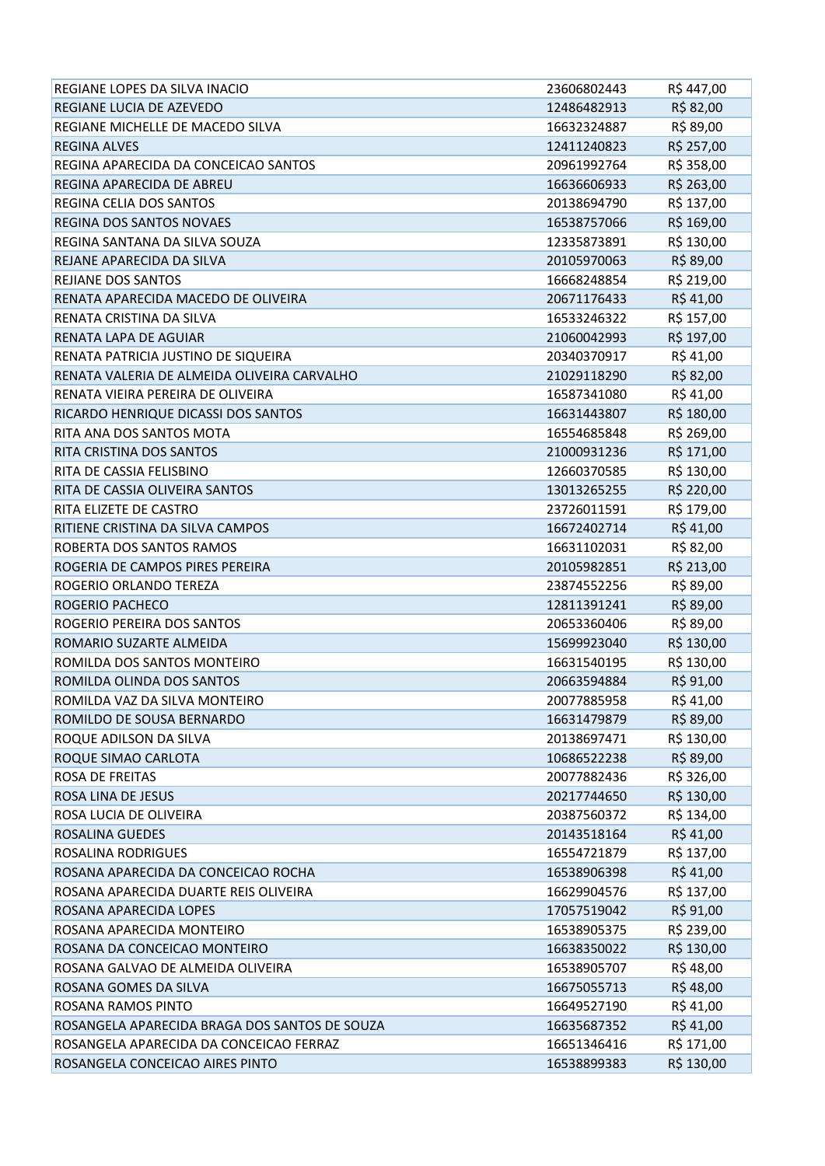| REGIANE LOPES DA SILVA INACIO                 | 23606802443 | R\$447,00  |
|-----------------------------------------------|-------------|------------|
| REGIANE LUCIA DE AZEVEDO                      | 12486482913 | R\$ 82,00  |
| REGIANE MICHELLE DE MACEDO SILVA              | 16632324887 | R\$ 89,00  |
| <b>REGINA ALVES</b>                           | 12411240823 | R\$ 257,00 |
| REGINA APARECIDA DA CONCEICAO SANTOS          | 20961992764 | R\$ 358,00 |
| REGINA APARECIDA DE ABREU                     | 16636606933 | R\$ 263,00 |
| REGINA CELIA DOS SANTOS                       | 20138694790 | R\$ 137,00 |
| REGINA DOS SANTOS NOVAES                      | 16538757066 | R\$ 169,00 |
| REGINA SANTANA DA SILVA SOUZA                 | 12335873891 | R\$ 130,00 |
| REJANE APARECIDA DA SILVA                     | 20105970063 | R\$ 89,00  |
| <b>REJIANE DOS SANTOS</b>                     | 16668248854 | R\$ 219,00 |
| RENATA APARECIDA MACEDO DE OLIVEIRA           | 20671176433 | R\$ 41,00  |
| RENATA CRISTINA DA SILVA                      | 16533246322 | R\$ 157,00 |
| RENATA LAPA DE AGUIAR                         | 21060042993 | R\$ 197,00 |
| RENATA PATRICIA JUSTINO DE SIQUEIRA           | 20340370917 | R\$ 41,00  |
| RENATA VALERIA DE ALMEIDA OLIVEIRA CARVALHO   | 21029118290 | R\$ 82,00  |
| RENATA VIEIRA PEREIRA DE OLIVEIRA             | 16587341080 | R\$ 41,00  |
| RICARDO HENRIQUE DICASSI DOS SANTOS           | 16631443807 | R\$ 180,00 |
| RITA ANA DOS SANTOS MOTA                      | 16554685848 | R\$ 269,00 |
| RITA CRISTINA DOS SANTOS                      | 21000931236 | R\$ 171,00 |
| RITA DE CASSIA FELISBINO                      | 12660370585 | R\$ 130,00 |
| RITA DE CASSIA OLIVEIRA SANTOS                | 13013265255 | R\$ 220,00 |
| RITA ELIZETE DE CASTRO                        | 23726011591 | R\$ 179,00 |
| RITIENE CRISTINA DA SILVA CAMPOS              | 16672402714 | R\$41,00   |
| ROBERTA DOS SANTOS RAMOS                      | 16631102031 | R\$ 82,00  |
| ROGERIA DE CAMPOS PIRES PEREIRA               | 20105982851 | R\$ 213,00 |
| ROGERIO ORLANDO TEREZA                        | 23874552256 | R\$ 89,00  |
| <b>ROGERIO PACHECO</b>                        | 12811391241 | R\$ 89,00  |
| ROGERIO PEREIRA DOS SANTOS                    | 20653360406 | R\$ 89,00  |
| ROMARIO SUZARTE ALMEIDA                       | 15699923040 | R\$ 130,00 |
| ROMILDA DOS SANTOS MONTEIRO                   | 16631540195 | R\$ 130,00 |
| ROMILDA OLINDA DOS SANTOS                     | 20663594884 | R\$ 91,00  |
| ROMILDA VAZ DA SILVA MONTEIRO                 | 20077885958 | R\$41,00   |
| ROMILDO DE SOUSA BERNARDO                     | 16631479879 | R\$ 89,00  |
| ROQUE ADILSON DA SILVA                        | 20138697471 | R\$ 130,00 |
| ROQUE SIMAO CARLOTA                           | 10686522238 | R\$ 89,00  |
| <b>ROSA DE FREITAS</b>                        | 20077882436 | R\$ 326,00 |
| <b>ROSA LINA DE JESUS</b>                     | 20217744650 | R\$ 130,00 |
| ROSA LUCIA DE OLIVEIRA                        | 20387560372 | R\$ 134,00 |
| ROSALINA GUEDES                               | 20143518164 | R\$41,00   |
| ROSALINA RODRIGUES                            | 16554721879 | R\$ 137,00 |
| ROSANA APARECIDA DA CONCEICAO ROCHA           | 16538906398 | R\$41,00   |
| ROSANA APARECIDA DUARTE REIS OLIVEIRA         | 16629904576 | R\$ 137,00 |
| ROSANA APARECIDA LOPES                        | 17057519042 | R\$ 91,00  |
| ROSANA APARECIDA MONTEIRO                     | 16538905375 | R\$ 239,00 |
| ROSANA DA CONCEICAO MONTEIRO                  | 16638350022 | R\$ 130,00 |
| ROSANA GALVAO DE ALMEIDA OLIVEIRA             | 16538905707 | R\$48,00   |
| ROSANA GOMES DA SILVA                         | 16675055713 | R\$48,00   |
| ROSANA RAMOS PINTO                            | 16649527190 | R\$ 41,00  |
| ROSANGELA APARECIDA BRAGA DOS SANTOS DE SOUZA | 16635687352 | R\$41,00   |
| ROSANGELA APARECIDA DA CONCEICAO FERRAZ       | 16651346416 | R\$ 171,00 |
| ROSANGELA CONCEICAO AIRES PINTO               | 16538899383 | R\$ 130,00 |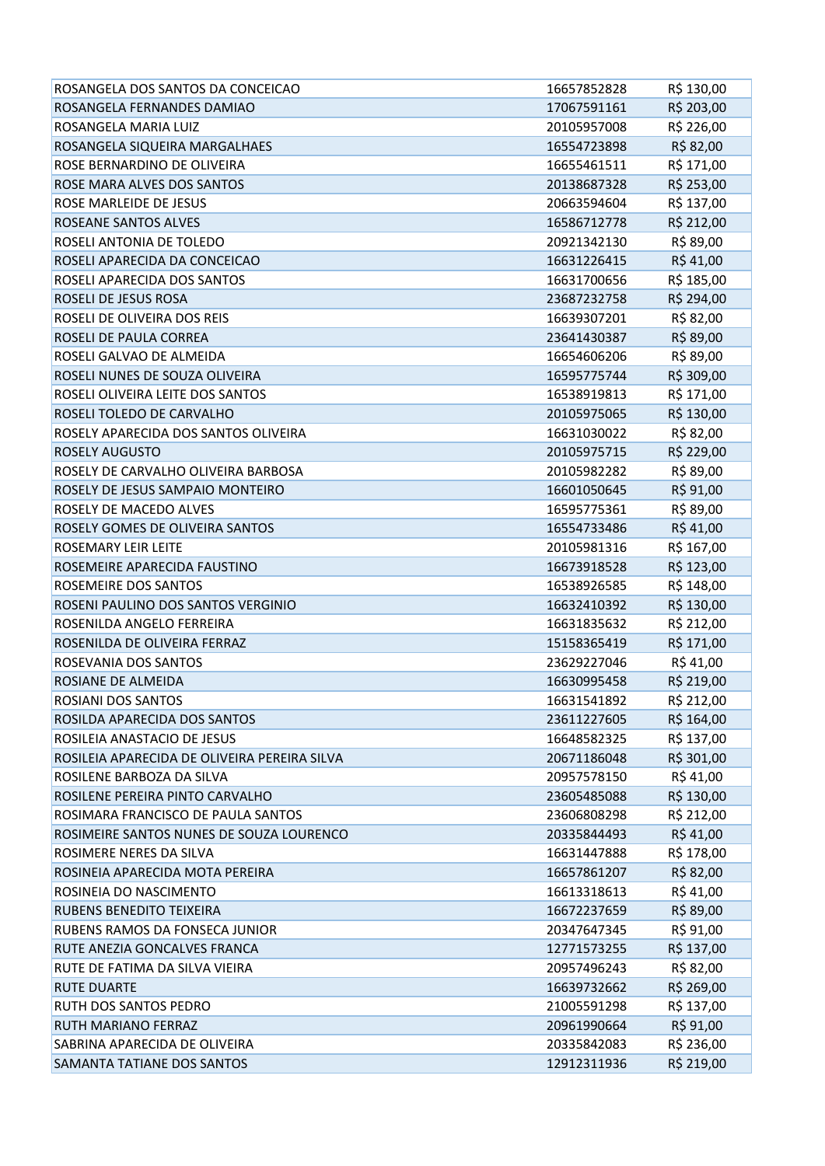| ROSANGELA DOS SANTOS DA CONCEICAO            | 16657852828 | R\$ 130,00 |
|----------------------------------------------|-------------|------------|
| ROSANGELA FERNANDES DAMIAO                   | 17067591161 | R\$ 203,00 |
| ROSANGELA MARIA LUIZ                         | 20105957008 | R\$ 226,00 |
| ROSANGELA SIQUEIRA MARGALHAES                | 16554723898 | R\$ 82,00  |
| ROSE BERNARDINO DE OLIVEIRA                  | 16655461511 | R\$ 171,00 |
| ROSE MARA ALVES DOS SANTOS                   | 20138687328 | R\$ 253,00 |
| ROSE MARLEIDE DE JESUS                       | 20663594604 | R\$ 137,00 |
| <b>ROSEANE SANTOS ALVES</b>                  | 16586712778 | R\$ 212,00 |
| ROSELI ANTONIA DE TOLEDO                     | 20921342130 | R\$ 89,00  |
| ROSELI APARECIDA DA CONCEICAO                | 16631226415 | R\$41,00   |
| ROSELI APARECIDA DOS SANTOS                  | 16631700656 | R\$ 185,00 |
| ROSELI DE JESUS ROSA                         | 23687232758 | R\$ 294,00 |
| ROSELI DE OLIVEIRA DOS REIS                  | 16639307201 | R\$ 82,00  |
| ROSELI DE PAULA CORREA                       | 23641430387 | R\$ 89,00  |
| ROSELI GALVAO DE ALMEIDA                     | 16654606206 | R\$ 89,00  |
| ROSELI NUNES DE SOUZA OLIVEIRA               | 16595775744 | R\$ 309,00 |
| ROSELI OLIVEIRA LEITE DOS SANTOS             | 16538919813 | R\$ 171,00 |
| ROSELI TOLEDO DE CARVALHO                    | 20105975065 | R\$ 130,00 |
| ROSELY APARECIDA DOS SANTOS OLIVEIRA         | 16631030022 | R\$ 82,00  |
| <b>ROSELY AUGUSTO</b>                        | 20105975715 | R\$ 229,00 |
| ROSELY DE CARVALHO OLIVEIRA BARBOSA          | 20105982282 | R\$ 89,00  |
| ROSELY DE JESUS SAMPAIO MONTEIRO             | 16601050645 | R\$ 91,00  |
| ROSELY DE MACEDO ALVES                       | 16595775361 | R\$ 89,00  |
| ROSELY GOMES DE OLIVEIRA SANTOS              | 16554733486 | R\$41,00   |
| <b>ROSEMARY LEIR LEITE</b>                   | 20105981316 | R\$ 167,00 |
| ROSEMEIRE APARECIDA FAUSTINO                 | 16673918528 | R\$ 123,00 |
| ROSEMEIRE DOS SANTOS                         | 16538926585 | R\$ 148,00 |
| ROSENI PAULINO DOS SANTOS VERGINIO           | 16632410392 | R\$ 130,00 |
| ROSENILDA ANGELO FERREIRA                    | 16631835632 | R\$ 212,00 |
| ROSENILDA DE OLIVEIRA FERRAZ                 | 15158365419 | R\$ 171,00 |
| ROSEVANIA DOS SANTOS                         | 23629227046 | R\$41,00   |
| ROSIANE DE ALMEIDA                           | 16630995458 | R\$ 219,00 |
| ROSIANI DOS SANTOS                           | 16631541892 | R\$ 212,00 |
| ROSILDA APARECIDA DOS SANTOS                 | 23611227605 | R\$ 164,00 |
| ROSILEIA ANASTACIO DE JESUS                  | 16648582325 | R\$ 137,00 |
| ROSILEIA APARECIDA DE OLIVEIRA PEREIRA SILVA | 20671186048 | R\$ 301,00 |
| ROSILENE BARBOZA DA SILVA                    | 20957578150 | R\$ 41,00  |
| ROSILENE PEREIRA PINTO CARVALHO              | 23605485088 | R\$ 130,00 |
| ROSIMARA FRANCISCO DE PAULA SANTOS           | 23606808298 | R\$ 212,00 |
| ROSIMEIRE SANTOS NUNES DE SOUZA LOURENCO     | 20335844493 | R\$41,00   |
| ROSIMERE NERES DA SILVA                      | 16631447888 | R\$ 178,00 |
| ROSINEIA APARECIDA MOTA PEREIRA              | 16657861207 | R\$ 82,00  |
| ROSINEIA DO NASCIMENTO                       | 16613318613 | R\$41,00   |
| RUBENS BENEDITO TEIXEIRA                     | 16672237659 | R\$ 89,00  |
| RUBENS RAMOS DA FONSECA JUNIOR               | 20347647345 | R\$ 91,00  |
| RUTE ANEZIA GONCALVES FRANCA                 | 12771573255 | R\$ 137,00 |
| RUTE DE FATIMA DA SILVA VIEIRA               | 20957496243 | R\$ 82,00  |
| <b>RUTE DUARTE</b>                           | 16639732662 | R\$ 269,00 |
| RUTH DOS SANTOS PEDRO                        | 21005591298 | R\$ 137,00 |
| RUTH MARIANO FERRAZ                          | 20961990664 | R\$ 91,00  |
| SABRINA APARECIDA DE OLIVEIRA                | 20335842083 | R\$ 236,00 |
| SAMANTA TATIANE DOS SANTOS                   | 12912311936 | R\$ 219,00 |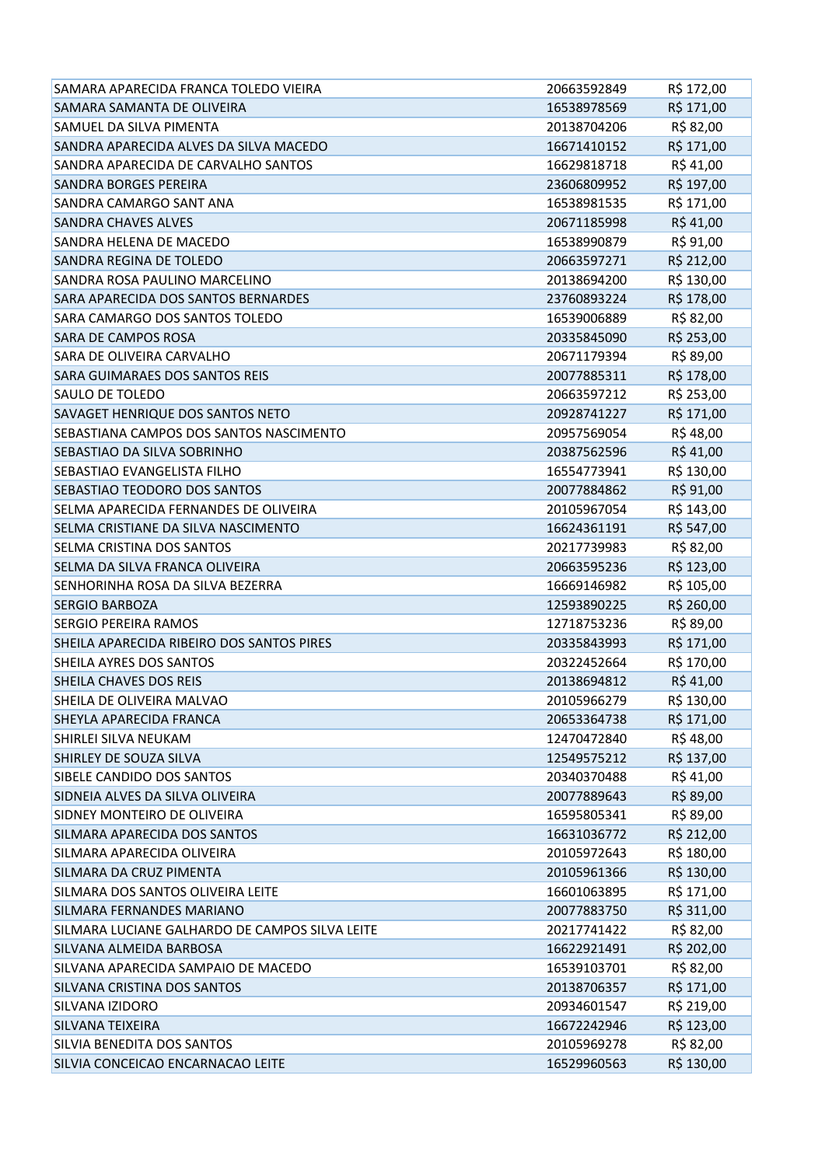| SAMARA APARECIDA FRANCA TOLEDO VIEIRA          | 20663592849 | R\$ 172,00 |
|------------------------------------------------|-------------|------------|
| SAMARA SAMANTA DE OLIVEIRA                     | 16538978569 | R\$ 171,00 |
| SAMUEL DA SILVA PIMENTA                        | 20138704206 | R\$ 82,00  |
| SANDRA APARECIDA ALVES DA SILVA MACEDO         | 16671410152 | R\$ 171,00 |
| SANDRA APARECIDA DE CARVALHO SANTOS            | 16629818718 | R\$ 41,00  |
| <b>SANDRA BORGES PEREIRA</b>                   | 23606809952 | R\$ 197,00 |
| SANDRA CAMARGO SANT ANA                        | 16538981535 | R\$ 171,00 |
| <b>SANDRA CHAVES ALVES</b>                     | 20671185998 | R\$41,00   |
| SANDRA HELENA DE MACEDO                        | 16538990879 | R\$ 91,00  |
| SANDRA REGINA DE TOLEDO                        | 20663597271 | R\$ 212,00 |
| SANDRA ROSA PAULINO MARCELINO                  | 20138694200 | R\$ 130,00 |
| SARA APARECIDA DOS SANTOS BERNARDES            | 23760893224 | R\$ 178,00 |
| SARA CAMARGO DOS SANTOS TOLEDO                 | 16539006889 | R\$ 82,00  |
| <b>SARA DE CAMPOS ROSA</b>                     | 20335845090 | R\$ 253,00 |
| <b>SARA DE OLIVEIRA CARVALHO</b>               | 20671179394 | R\$ 89,00  |
| <b>SARA GUIMARAES DOS SANTOS REIS</b>          | 20077885311 | R\$ 178,00 |
| SAULO DE TOLEDO                                | 20663597212 | R\$ 253,00 |
| SAVAGET HENRIQUE DOS SANTOS NETO               | 20928741227 | R\$ 171,00 |
| SEBASTIANA CAMPOS DOS SANTOS NASCIMENTO        | 20957569054 | R\$48,00   |
| SEBASTIAO DA SILVA SOBRINHO                    | 20387562596 | R\$41,00   |
| <b>SEBASTIAO EVANGELISTA FILHO</b>             | 16554773941 | R\$ 130,00 |
| SEBASTIAO TEODORO DOS SANTOS                   | 20077884862 | R\$ 91,00  |
| SELMA APARECIDA FERNANDES DE OLIVEIRA          | 20105967054 | R\$ 143,00 |
| SELMA CRISTIANE DA SILVA NASCIMENTO            | 16624361191 | R\$ 547,00 |
| <b>SELMA CRISTINA DOS SANTOS</b>               | 20217739983 | R\$ 82,00  |
| SELMA DA SILVA FRANCA OLIVEIRA                 | 20663595236 | R\$ 123,00 |
| SENHORINHA ROSA DA SILVA BEZERRA               | 16669146982 | R\$ 105,00 |
| <b>SERGIO BARBOZA</b>                          | 12593890225 | R\$ 260,00 |
| <b>SERGIO PEREIRA RAMOS</b>                    | 12718753236 | R\$ 89,00  |
| SHEILA APARECIDA RIBEIRO DOS SANTOS PIRES      | 20335843993 | R\$ 171,00 |
| SHEILA AYRES DOS SANTOS                        | 20322452664 | R\$ 170,00 |
| SHEILA CHAVES DOS REIS                         | 20138694812 | R\$ 41,00  |
| SHEILA DE OLIVEIRA MALVAO                      | 20105966279 | R\$ 130,00 |
| SHEYLA APARECIDA FRANCA                        | 20653364738 | R\$ 171,00 |
| SHIRLEI SILVA NEUKAM                           | 12470472840 | R\$48,00   |
| SHIRLEY DE SOUZA SILVA                         | 12549575212 | R\$ 137,00 |
| SIBELE CANDIDO DOS SANTOS                      | 20340370488 | R\$ 41,00  |
| SIDNEIA ALVES DA SILVA OLIVEIRA                | 20077889643 | R\$ 89,00  |
| SIDNEY MONTEIRO DE OLIVEIRA                    | 16595805341 | R\$ 89,00  |
| SILMARA APARECIDA DOS SANTOS                   | 16631036772 | R\$ 212,00 |
| SILMARA APARECIDA OLIVEIRA                     | 20105972643 | R\$ 180,00 |
| SILMARA DA CRUZ PIMENTA                        | 20105961366 | R\$ 130,00 |
| SILMARA DOS SANTOS OLIVEIRA LEITE              | 16601063895 | R\$ 171,00 |
| SILMARA FERNANDES MARIANO                      | 20077883750 | R\$ 311,00 |
| SILMARA LUCIANE GALHARDO DE CAMPOS SILVA LEITE | 20217741422 | R\$ 82,00  |
| SILVANA ALMEIDA BARBOSA                        | 16622921491 | R\$ 202,00 |
| SILVANA APARECIDA SAMPAIO DE MACEDO            | 16539103701 | R\$ 82,00  |
| SILVANA CRISTINA DOS SANTOS                    | 20138706357 | R\$ 171,00 |
| SILVANA IZIDORO                                | 20934601547 | R\$ 219,00 |
| <b>SILVANA TEIXEIRA</b>                        | 16672242946 | R\$ 123,00 |
| SILVIA BENEDITA DOS SANTOS                     | 20105969278 | R\$ 82,00  |
| SILVIA CONCEICAO ENCARNACAO LEITE              | 16529960563 | R\$ 130,00 |
|                                                |             |            |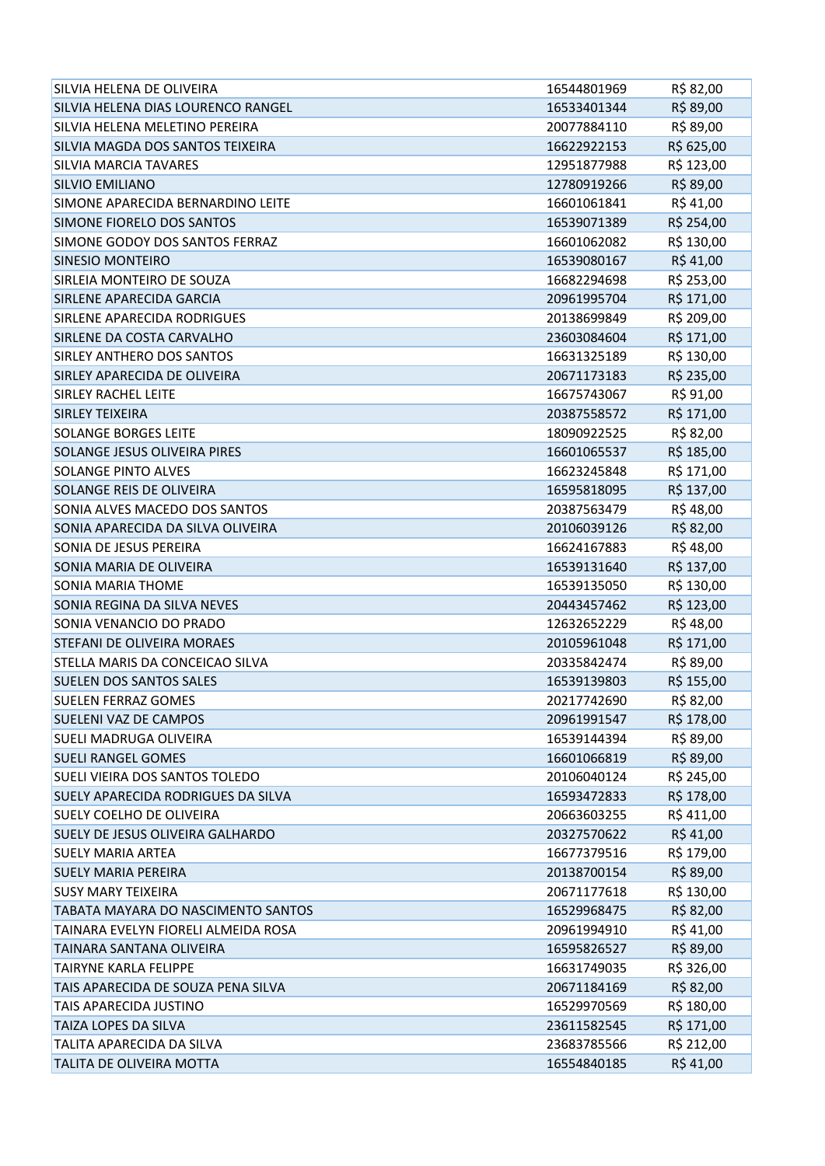| SILVIA HELENA DE OLIVEIRA           | 16544801969 | R\$ 82,00  |
|-------------------------------------|-------------|------------|
| SILVIA HELENA DIAS LOURENCO RANGEL  | 16533401344 | R\$ 89,00  |
| SILVIA HELENA MELETINO PEREIRA      | 20077884110 | R\$ 89,00  |
| SILVIA MAGDA DOS SANTOS TEIXEIRA    | 16622922153 | R\$ 625,00 |
| <b>SILVIA MARCIA TAVARES</b>        | 12951877988 | R\$ 123,00 |
| SILVIO EMILIANO                     | 12780919266 | R\$ 89,00  |
| SIMONE APARECIDA BERNARDINO LEITE   | 16601061841 | R\$ 41,00  |
| SIMONE FIORELO DOS SANTOS           | 16539071389 | R\$ 254,00 |
| SIMONE GODOY DOS SANTOS FERRAZ      | 16601062082 | R\$ 130,00 |
| <b>SINESIO MONTEIRO</b>             | 16539080167 | R\$41,00   |
| SIRLEIA MONTEIRO DE SOUZA           | 16682294698 | R\$ 253,00 |
| SIRLENE APARECIDA GARCIA            | 20961995704 | R\$ 171,00 |
| SIRLENE APARECIDA RODRIGUES         | 20138699849 | R\$ 209,00 |
| SIRLENE DA COSTA CARVALHO           | 23603084604 | R\$ 171,00 |
| <b>SIRLEY ANTHERO DOS SANTOS</b>    | 16631325189 | R\$ 130,00 |
| SIRLEY APARECIDA DE OLIVEIRA        | 20671173183 | R\$ 235,00 |
| <b>SIRLEY RACHEL LEITE</b>          | 16675743067 | R\$ 91,00  |
| <b>SIRLEY TEIXEIRA</b>              | 20387558572 | R\$ 171,00 |
| <b>SOLANGE BORGES LEITE</b>         | 18090922525 | R\$ 82,00  |
| SOLANGE JESUS OLIVEIRA PIRES        | 16601065537 | R\$ 185,00 |
| <b>SOLANGE PINTO ALVES</b>          | 16623245848 | R\$ 171,00 |
| SOLANGE REIS DE OLIVEIRA            | 16595818095 | R\$ 137,00 |
| SONIA ALVES MACEDO DOS SANTOS       | 20387563479 | R\$48,00   |
| SONIA APARECIDA DA SILVA OLIVEIRA   | 20106039126 | R\$ 82,00  |
| SONIA DE JESUS PEREIRA              | 16624167883 | R\$48,00   |
| SONIA MARIA DE OLIVEIRA             | 16539131640 | R\$ 137,00 |
| <b>SONIA MARIA THOME</b>            | 16539135050 | R\$ 130,00 |
| SONIA REGINA DA SILVA NEVES         | 20443457462 | R\$ 123,00 |
| SONIA VENANCIO DO PRADO             | 12632652229 | R\$48,00   |
| STEFANI DE OLIVEIRA MORAES          | 20105961048 | R\$ 171,00 |
| STELLA MARIS DA CONCEICAO SILVA     | 20335842474 | R\$ 89,00  |
| <b>SUELEN DOS SANTOS SALES</b>      | 16539139803 | R\$ 155,00 |
| <b>SUELEN FERRAZ GOMES</b>          | 20217742690 | R\$ 82,00  |
| SUELENI VAZ DE CAMPOS               | 20961991547 | R\$ 178,00 |
| <b>SUELI MADRUGA OLIVEIRA</b>       | 16539144394 | R\$ 89,00  |
| <b>SUELI RANGEL GOMES</b>           | 16601066819 | R\$ 89,00  |
| SUELI VIEIRA DOS SANTOS TOLEDO      | 20106040124 | R\$ 245,00 |
| SUELY APARECIDA RODRIGUES DA SILVA  | 16593472833 | R\$ 178,00 |
| SUELY COELHO DE OLIVEIRA            | 20663603255 | R\$411,00  |
| SUELY DE JESUS OLIVEIRA GALHARDO    | 20327570622 | R\$41,00   |
| <b>SUELY MARIA ARTEA</b>            | 16677379516 | R\$ 179,00 |
| <b>SUELY MARIA PEREIRA</b>          | 20138700154 | R\$ 89,00  |
| <b>SUSY MARY TEIXEIRA</b>           | 20671177618 | R\$ 130,00 |
| TABATA MAYARA DO NASCIMENTO SANTOS  | 16529968475 | R\$ 82,00  |
| TAINARA EVELYN FIORELI ALMEIDA ROSA | 20961994910 | R\$ 41,00  |
| TAINARA SANTANA OLIVEIRA            | 16595826527 | R\$ 89,00  |
| <b>TAIRYNE KARLA FELIPPE</b>        | 16631749035 | R\$ 326,00 |
| TAIS APARECIDA DE SOUZA PENA SILVA  | 20671184169 | R\$ 82,00  |
| TAIS APARECIDA JUSTINO              | 16529970569 | R\$ 180,00 |
| TAIZA LOPES DA SILVA                | 23611582545 | R\$ 171,00 |
| TALITA APARECIDA DA SILVA           | 23683785566 | R\$ 212,00 |
| TALITA DE OLIVEIRA MOTTA            | 16554840185 | R\$41,00   |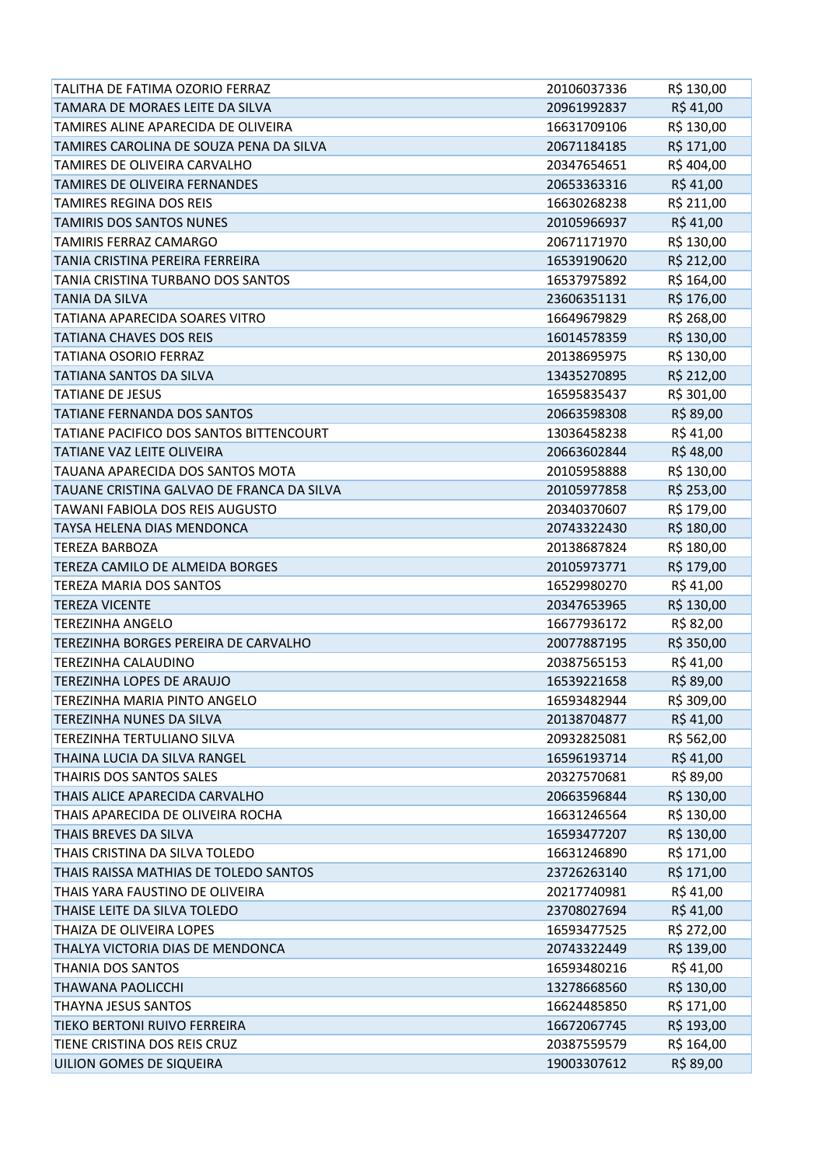| TALITHA DE FATIMA OZORIO FERRAZ           | 20106037336 | R\$ 130,00 |
|-------------------------------------------|-------------|------------|
| TAMARA DE MORAES LEITE DA SILVA           | 20961992837 | R\$41,00   |
| TAMIRES ALINE APARECIDA DE OLIVEIRA       | 16631709106 | R\$ 130,00 |
| TAMIRES CAROLINA DE SOUZA PENA DA SILVA   | 20671184185 | R\$ 171,00 |
| TAMIRES DE OLIVEIRA CARVALHO              | 20347654651 | R\$404,00  |
| TAMIRES DE OLIVEIRA FERNANDES             | 20653363316 | R\$41,00   |
| <b>TAMIRES REGINA DOS REIS</b>            | 16630268238 | R\$ 211,00 |
| <b>TAMIRIS DOS SANTOS NUNES</b>           | 20105966937 | R\$41,00   |
| <b>TAMIRIS FERRAZ CAMARGO</b>             | 20671171970 | R\$ 130,00 |
| TANIA CRISTINA PEREIRA FERREIRA           | 16539190620 | R\$ 212,00 |
| TANIA CRISTINA TURBANO DOS SANTOS         | 16537975892 | R\$ 164,00 |
| <b>TANIA DA SILVA</b>                     | 23606351131 | R\$ 176,00 |
| <b>TATIANA APARECIDA SOARES VITRO</b>     | 16649679829 | R\$ 268,00 |
| <b>TATIANA CHAVES DOS REIS</b>            | 16014578359 | R\$ 130,00 |
| <b>TATIANA OSORIO FERRAZ</b>              | 20138695975 | R\$ 130,00 |
| <b>TATIANA SANTOS DA SILVA</b>            | 13435270895 | R\$ 212,00 |
| <b>TATIANE DE JESUS</b>                   | 16595835437 | R\$ 301,00 |
| TATIANE FERNANDA DOS SANTOS               | 20663598308 | R\$ 89,00  |
| TATIANE PACIFICO DOS SANTOS BITTENCOURT   | 13036458238 | R\$41,00   |
| TATIANE VAZ LEITE OLIVEIRA                | 20663602844 | R\$48,00   |
| TAUANA APARECIDA DOS SANTOS MOTA          | 20105958888 | R\$ 130,00 |
| TAUANE CRISTINA GALVAO DE FRANCA DA SILVA | 20105977858 | R\$ 253,00 |
| <b>TAWANI FABIOLA DOS REIS AUGUSTO</b>    | 20340370607 | R\$ 179,00 |
| TAYSA HELENA DIAS MENDONCA                | 20743322430 | R\$ 180,00 |
| <b>TEREZA BARBOZA</b>                     | 20138687824 | R\$ 180,00 |
| TEREZA CAMILO DE ALMEIDA BORGES           | 20105973771 | R\$ 179,00 |
| TEREZA MARIA DOS SANTOS                   | 16529980270 | R\$ 41,00  |
| <b>TEREZA VICENTE</b>                     | 20347653965 | R\$ 130,00 |
| <b>TEREZINHA ANGELO</b>                   | 16677936172 | R\$ 82,00  |
| TEREZINHA BORGES PEREIRA DE CARVALHO      | 20077887195 | R\$ 350,00 |
| <b>TEREZINHA CALAUDINO</b>                | 20387565153 | R\$41,00   |
| TEREZINHA LOPES DE ARAUJO                 | 16539221658 | R\$ 89,00  |
| TEREZINHA MARIA PINTO ANGELO              | 16593482944 | R\$ 309,00 |
| TEREZINHA NUNES DA SILVA                  | 20138704877 | R\$41,00   |
| <b>TEREZINHA TERTULIANO SILVA</b>         | 20932825081 | R\$ 562,00 |
| THAINA LUCIA DA SILVA RANGEL              | 16596193714 | R\$41,00   |
| THAIRIS DOS SANTOS SALES                  | 20327570681 | R\$ 89,00  |
| THAIS ALICE APARECIDA CARVALHO            | 20663596844 | R\$ 130,00 |
| THAIS APARECIDA DE OLIVEIRA ROCHA         | 16631246564 | R\$ 130,00 |
| THAIS BREVES DA SILVA                     | 16593477207 | R\$ 130,00 |
| THAIS CRISTINA DA SILVA TOLEDO            | 16631246890 | R\$ 171,00 |
| THAIS RAISSA MATHIAS DE TOLEDO SANTOS     | 23726263140 | R\$ 171,00 |
| THAIS YARA FAUSTINO DE OLIVEIRA           | 20217740981 | R\$ 41,00  |
| THAISE LEITE DA SILVA TOLEDO              | 23708027694 | R\$ 41,00  |
| THAIZA DE OLIVEIRA LOPES                  | 16593477525 | R\$ 272,00 |
| THALYA VICTORIA DIAS DE MENDONCA          | 20743322449 | R\$ 139,00 |
| THANIA DOS SANTOS                         | 16593480216 | R\$41,00   |
| THAWANA PAOLICCHI                         | 13278668560 | R\$ 130,00 |
| THAYNA JESUS SANTOS                       | 16624485850 | R\$ 171,00 |
| TIEKO BERTONI RUIVO FERREIRA              | 16672067745 | R\$ 193,00 |
| TIENE CRISTINA DOS REIS CRUZ              | 20387559579 | R\$ 164,00 |
| UILION GOMES DE SIQUEIRA                  | 19003307612 | R\$ 89,00  |
|                                           |             |            |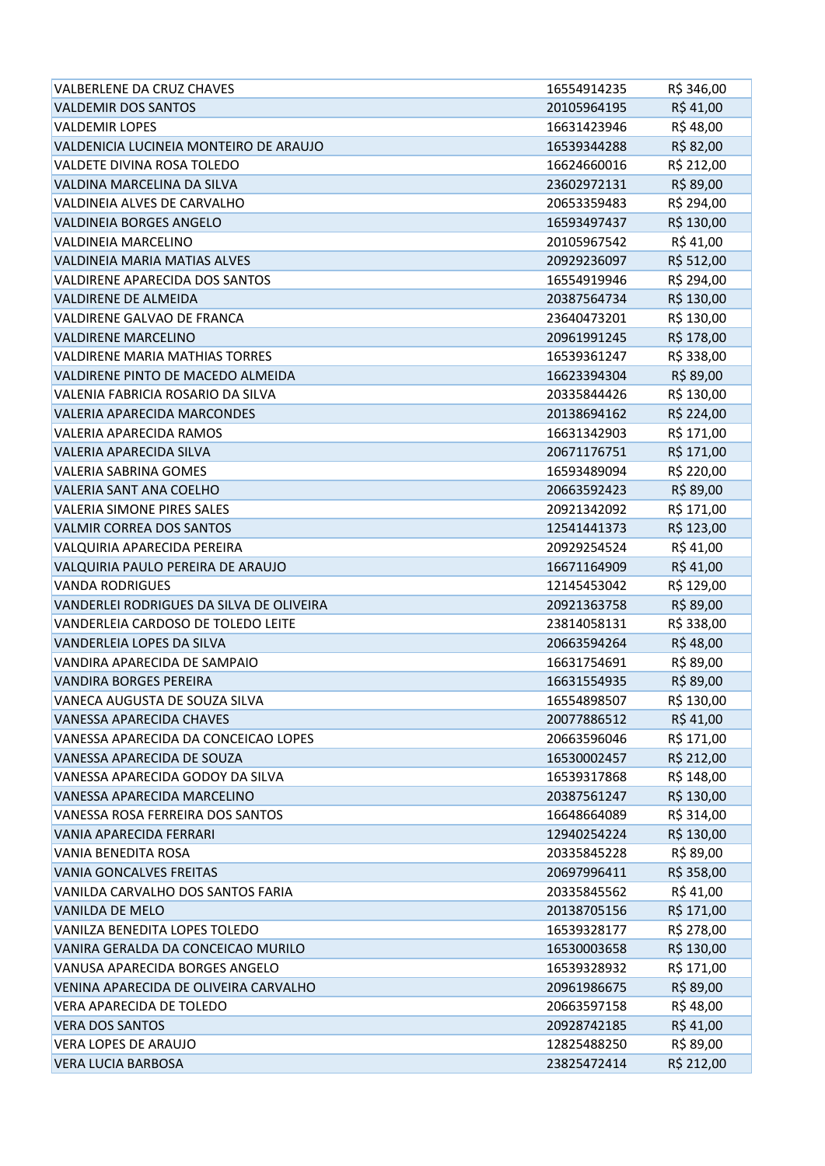| VALBERLENE DA CRUZ CHAVES                | 16554914235 | R\$ 346,00 |
|------------------------------------------|-------------|------------|
| <b>VALDEMIR DOS SANTOS</b>               | 20105964195 | R\$41,00   |
| <b>VALDEMIR LOPES</b>                    | 16631423946 | R\$48,00   |
| VALDENICIA LUCINEIA MONTEIRO DE ARAUJO   | 16539344288 | R\$ 82,00  |
| VALDETE DIVINA ROSA TOLEDO               | 16624660016 | R\$ 212,00 |
| VALDINA MARCELINA DA SILVA               | 23602972131 | R\$ 89,00  |
| VALDINEIA ALVES DE CARVALHO              | 20653359483 | R\$ 294,00 |
| <b>VALDINEIA BORGES ANGELO</b>           | 16593497437 | R\$ 130,00 |
| <b>VALDINEIA MARCELINO</b>               | 20105967542 | R\$41,00   |
| VALDINEIA MARIA MATIAS ALVES             | 20929236097 | R\$ 512,00 |
| <b>VALDIRENE APARECIDA DOS SANTOS</b>    | 16554919946 | R\$ 294,00 |
| <b>VALDIRENE DE ALMEIDA</b>              | 20387564734 | R\$ 130,00 |
| VALDIRENE GALVAO DE FRANCA               | 23640473201 | R\$ 130,00 |
| <b>VALDIRENE MARCELINO</b>               | 20961991245 | R\$ 178,00 |
| <b>VALDIRENE MARIA MATHIAS TORRES</b>    | 16539361247 | R\$ 338,00 |
| VALDIRENE PINTO DE MACEDO ALMEIDA        | 16623394304 | R\$ 89,00  |
| VALENIA FABRICIA ROSARIO DA SILVA        | 20335844426 | R\$ 130,00 |
| <b>VALERIA APARECIDA MARCONDES</b>       | 20138694162 | R\$ 224,00 |
| <b>VALERIA APARECIDA RAMOS</b>           | 16631342903 | R\$ 171,00 |
| VALERIA APARECIDA SILVA                  | 20671176751 | R\$ 171,00 |
| <b>VALERIA SABRINA GOMES</b>             | 16593489094 | R\$ 220,00 |
| <b>VALERIA SANT ANA COELHO</b>           | 20663592423 | R\$ 89,00  |
| <b>VALERIA SIMONE PIRES SALES</b>        | 20921342092 | R\$ 171,00 |
| <b>VALMIR CORREA DOS SANTOS</b>          | 12541441373 | R\$ 123,00 |
| VALQUIRIA APARECIDA PEREIRA              | 20929254524 | R\$ 41,00  |
| VALQUIRIA PAULO PEREIRA DE ARAUJO        | 16671164909 | R\$41,00   |
| <b>VANDA RODRIGUES</b>                   | 12145453042 | R\$ 129,00 |
| VANDERLEI RODRIGUES DA SILVA DE OLIVEIRA | 20921363758 | R\$ 89,00  |
| VANDERLEIA CARDOSO DE TOLEDO LEITE       | 23814058131 | R\$ 338,00 |
| VANDERLEIA LOPES DA SILVA                | 20663594264 | R\$48,00   |
| VANDIRA APARECIDA DE SAMPAIO             | 16631754691 | R\$ 89,00  |
| <b>VANDIRA BORGES PEREIRA</b>            | 16631554935 | R\$ 89,00  |
| VANECA AUGUSTA DE SOUZA SILVA            | 16554898507 | R\$ 130,00 |
| <b>VANESSA APARECIDA CHAVES</b>          | 20077886512 | R\$41,00   |
| VANESSA APARECIDA DA CONCEICAO LOPES     | 20663596046 | R\$ 171,00 |
| VANESSA APARECIDA DE SOUZA               | 16530002457 | R\$ 212,00 |
| VANESSA APARECIDA GODOY DA SILVA         | 16539317868 | R\$ 148,00 |
| VANESSA APARECIDA MARCELINO              | 20387561247 | R\$ 130,00 |
| VANESSA ROSA FERREIRA DOS SANTOS         | 16648664089 | R\$ 314,00 |
| VANIA APARECIDA FERRARI                  | 12940254224 | R\$ 130,00 |
| VANIA BENEDITA ROSA                      | 20335845228 | R\$ 89,00  |
| <b>VANIA GONCALVES FREITAS</b>           | 20697996411 | R\$ 358,00 |
| VANILDA CARVALHO DOS SANTOS FARIA        | 20335845562 | R\$ 41,00  |
| <b>VANILDA DE MELO</b>                   | 20138705156 | R\$ 171,00 |
| VANILZA BENEDITA LOPES TOLEDO            | 16539328177 | R\$ 278,00 |
| VANIRA GERALDA DA CONCEICAO MURILO       | 16530003658 | R\$ 130,00 |
| VANUSA APARECIDA BORGES ANGELO           | 16539328932 | R\$ 171,00 |
| VENINA APARECIDA DE OLIVEIRA CARVALHO    | 20961986675 | R\$ 89,00  |
| VERA APARECIDA DE TOLEDO                 | 20663597158 | R\$48,00   |
| <b>VERA DOS SANTOS</b>                   | 20928742185 | R\$ 41,00  |
| <b>VERA LOPES DE ARAUJO</b>              | 12825488250 | R\$ 89,00  |
| <b>VERA LUCIA BARBOSA</b>                | 23825472414 | R\$ 212,00 |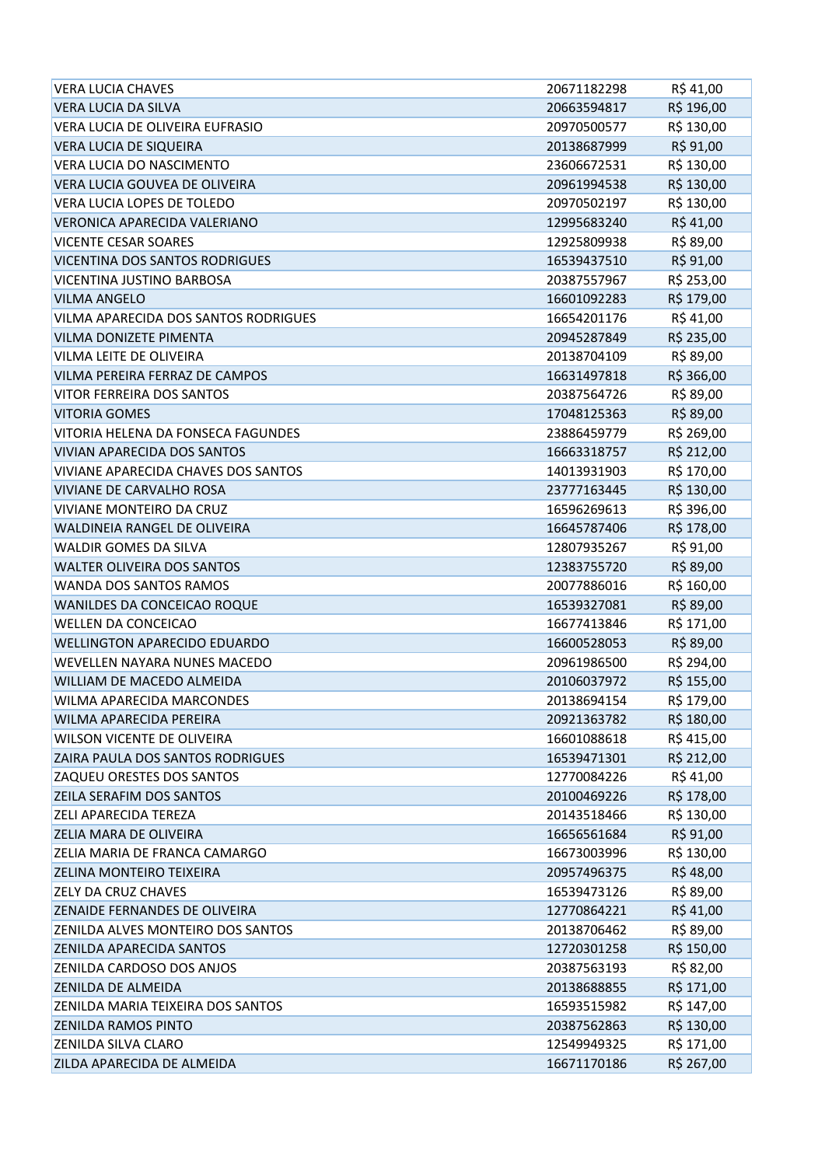| <b>VERA LUCIA CHAVES</b>              | 20671182298 | R\$41,00   |
|---------------------------------------|-------------|------------|
| <b>VERA LUCIA DA SILVA</b>            | 20663594817 | R\$ 196,00 |
| VERA LUCIA DE OLIVEIRA EUFRASIO       | 20970500577 | R\$ 130,00 |
| <b>VERA LUCIA DE SIQUEIRA</b>         | 20138687999 | R\$ 91,00  |
| <b>VERA LUCIA DO NASCIMENTO</b>       | 23606672531 | R\$ 130,00 |
| VERA LUCIA GOUVEA DE OLIVEIRA         | 20961994538 | R\$ 130,00 |
| VERA LUCIA LOPES DE TOLEDO            | 20970502197 | R\$ 130,00 |
| VERONICA APARECIDA VALERIANO          | 12995683240 | R\$41,00   |
| <b>VICENTE CESAR SOARES</b>           | 12925809938 | R\$ 89,00  |
| <b>VICENTINA DOS SANTOS RODRIGUES</b> | 16539437510 | R\$ 91,00  |
| VICENTINA JUSTINO BARBOSA             | 20387557967 | R\$ 253,00 |
| <b>VILMA ANGELO</b>                   | 16601092283 | R\$ 179,00 |
| VILMA APARECIDA DOS SANTOS RODRIGUES  | 16654201176 | R\$ 41,00  |
| <b>VILMA DONIZETE PIMENTA</b>         | 20945287849 | R\$ 235,00 |
| <b>VILMA LEITE DE OLIVEIRA</b>        | 20138704109 | R\$ 89,00  |
| VILMA PEREIRA FERRAZ DE CAMPOS        | 16631497818 | R\$ 366,00 |
| <b>VITOR FERREIRA DOS SANTOS</b>      | 20387564726 | R\$ 89,00  |
| <b>VITORIA GOMES</b>                  | 17048125363 | R\$ 89,00  |
| VITORIA HELENA DA FONSECA FAGUNDES    | 23886459779 | R\$ 269,00 |
| VIVIAN APARECIDA DOS SANTOS           | 16663318757 | R\$ 212,00 |
| VIVIANE APARECIDA CHAVES DOS SANTOS   | 14013931903 | R\$ 170,00 |
| <b>VIVIANE DE CARVALHO ROSA</b>       | 23777163445 | R\$ 130,00 |
| VIVIANE MONTEIRO DA CRUZ              | 16596269613 | R\$ 396,00 |
| WALDINEIA RANGEL DE OLIVEIRA          | 16645787406 | R\$ 178,00 |
| WALDIR GOMES DA SILVA                 | 12807935267 | R\$ 91,00  |
| <b>WALTER OLIVEIRA DOS SANTOS</b>     | 12383755720 | R\$ 89,00  |
| WANDA DOS SANTOS RAMOS                | 20077886016 | R\$ 160,00 |
| WANILDES DA CONCEICAO ROQUE           | 16539327081 | R\$ 89,00  |
| <b>WELLEN DA CONCEICAO</b>            | 16677413846 | R\$ 171,00 |
| <b>WELLINGTON APARECIDO EDUARDO</b>   | 16600528053 | R\$ 89,00  |
| WEVELLEN NAYARA NUNES MACEDO          | 20961986500 | R\$ 294,00 |
| WILLIAM DE MACEDO ALMEIDA             | 20106037972 | R\$ 155,00 |
| <b>WILMA APARECIDA MARCONDES</b>      | 20138694154 | R\$ 179,00 |
| WILMA APARECIDA PEREIRA               | 20921363782 | R\$ 180,00 |
| <b>WILSON VICENTE DE OLIVEIRA</b>     | 16601088618 | R\$415,00  |
| ZAIRA PAULA DOS SANTOS RODRIGUES      | 16539471301 | R\$ 212,00 |
| ZAQUEU ORESTES DOS SANTOS             | 12770084226 | R\$41,00   |
| ZEILA SERAFIM DOS SANTOS              | 20100469226 | R\$ 178,00 |
| ZELI APARECIDA TEREZA                 | 20143518466 | R\$ 130,00 |
| ZELIA MARA DE OLIVEIRA                | 16656561684 | R\$ 91,00  |
| ZELIA MARIA DE FRANCA CAMARGO         | 16673003996 | R\$ 130,00 |
| ZELINA MONTEIRO TEIXEIRA              | 20957496375 | R\$48,00   |
| ZELY DA CRUZ CHAVES                   | 16539473126 | R\$ 89,00  |
| ZENAIDE FERNANDES DE OLIVEIRA         | 12770864221 | R\$41,00   |
| ZENILDA ALVES MONTEIRO DOS SANTOS     | 20138706462 | R\$ 89,00  |
| ZENILDA APARECIDA SANTOS              | 12720301258 | R\$ 150,00 |
| ZENILDA CARDOSO DOS ANJOS             | 20387563193 | R\$ 82,00  |
| <b>ZENILDA DE ALMEIDA</b>             | 20138688855 | R\$ 171,00 |
| ZENILDA MARIA TEIXEIRA DOS SANTOS     | 16593515982 | R\$ 147,00 |
| <b>ZENILDA RAMOS PINTO</b>            | 20387562863 | R\$ 130,00 |
| <b>ZENILDA SILVA CLARO</b>            | 12549949325 | R\$ 171,00 |
| ZILDA APARECIDA DE ALMEIDA            | 16671170186 | R\$ 267,00 |